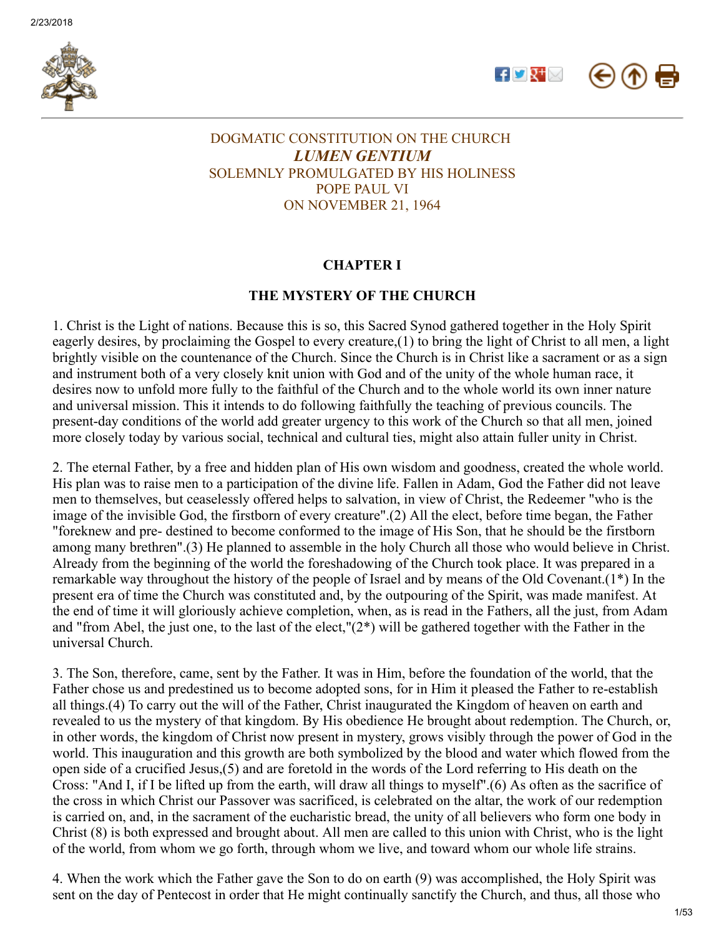



## DOGMATIC CONSTITUTION ON THE CHURCH *LUMEN GENTIUM* SOLEMNLY PROMULGATED BY HIS HOLINESS POPE PAUL VI ON NOVEMBER 21, 1964

# CHAPTER I

## THE MYSTERY OF THE CHURCH

1. Christ is the Light of nations. Because this is so, this Sacred Synod gathered together in the Holy Spirit eagerly desires, by proclaiming the Gospel to every creature,(1) to bring the light of Christ to all men, a light brightly visible on the countenance of the Church. Since the Church is in Christ like a sacrament or as a sign and instrument both of a very closely knit union with God and of the unity of the whole human race, it desires now to unfold more fully to the faithful of the Church and to the whole world its own inner nature and universal mission. This it intends to do following faithfully the teaching of previous councils. The present-day conditions of the world add greater urgency to this work of the Church so that all men, joined more closely today by various social, technical and cultural ties, might also attain fuller unity in Christ.

2. The eternal Father, by a free and hidden plan of His own wisdom and goodness, created the whole world. His plan was to raise men to a participation of the divine life. Fallen in Adam, God the Father did not leave men to themselves, but ceaselessly offered helps to salvation, in view of Christ, the Redeemer "who is the image of the invisible God, the firstborn of every creature".(2) All the elect, before time began, the Father "foreknew and pre- destined to become conformed to the image of His Son, that he should be the firstborn among many brethren".(3) He planned to assemble in the holy Church all those who would believe in Christ. Already from the beginning of the world the foreshadowing of the Church took place. It was prepared in a remarkable way throughout the history of the people of Israel and by means of the Old Covenant.(1\*) In the present era of time the Church was constituted and, by the outpouring of the Spirit, was made manifest. At the end of time it will gloriously achieve completion, when, as is read in the Fathers, all the just, from Adam and "from Abel, the just one, to the last of the elect,"(2\*) will be gathered together with the Father in the universal Church.

3. The Son, therefore, came, sent by the Father. It was in Him, before the foundation of the world, that the Father chose us and predestined us to become adopted sons, for in Him it pleased the Father to re-establish all things.(4) To carry out the will of the Father, Christ inaugurated the Kingdom of heaven on earth and revealed to us the mystery of that kingdom. By His obedience He brought about redemption. The Church, or, in other words, the kingdom of Christ now present in mystery, grows visibly through the power of God in the world. This inauguration and this growth are both symbolized by the blood and water which flowed from the open side of a crucified Jesus,(5) and are foretold in the words of the Lord referring to His death on the Cross: "And I, if I be lifted up from the earth, will draw all things to myself".(6) As often as the sacrifice of the cross in which Christ our Passover was sacrificed, is celebrated on the altar, the work of our redemption is carried on, and, in the sacrament of the eucharistic bread, the unity of all believers who form one body in Christ (8) is both expressed and brought about. All men are called to this union with Christ, who is the light of the world, from whom we go forth, through whom we live, and toward whom our whole life strains.

4. When the work which the Father gave the Son to do on earth (9) was accomplished, the Holy Spirit was sent on the day of Pentecost in order that He might continually sanctify the Church, and thus, all those who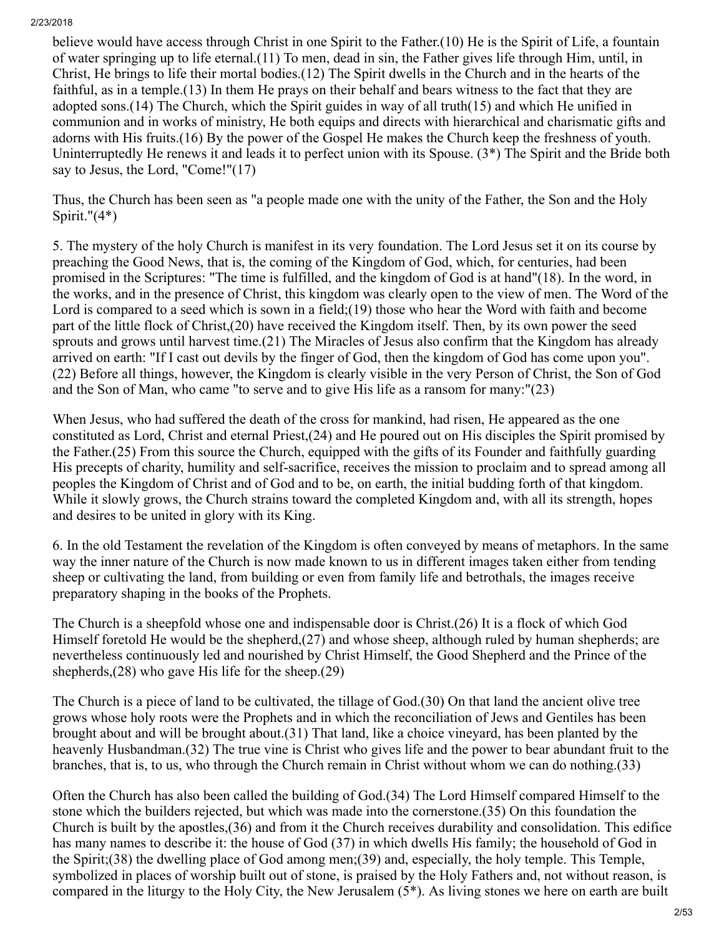believe would have access through Christ in one Spirit to the Father.(10) He is the Spirit of Life, a fountain of water springing up to life eternal.(11) To men, dead in sin, the Father gives life through Him, until, in Christ, He brings to life their mortal bodies.(12) The Spirit dwells in the Church and in the hearts of the faithful, as in a temple.(13) In them He prays on their behalf and bears witness to the fact that they are adopted sons.(14) The Church, which the Spirit guides in way of all truth(15) and which He unified in communion and in works of ministry, He both equips and directs with hierarchical and charismatic gifts and adorns with His fruits.(16) By the power of the Gospel He makes the Church keep the freshness of youth. Uninterruptedly He renews it and leads it to perfect union with its Spouse. (3\*) The Spirit and the Bride both say to Jesus, the Lord, "Come!"(17)

Thus, the Church has been seen as "a people made one with the unity of the Father, the Son and the Holy Spirit." $(4^*)$ 

5. The mystery of the holy Church is manifest in its very foundation. The Lord Jesus set it on its course by preaching the Good News, that is, the coming of the Kingdom of God, which, for centuries, had been promised in the Scriptures: "The time is fulfilled, and the kingdom of God is at hand"(18). In the word, in the works, and in the presence of Christ, this kingdom was clearly open to the view of men. The Word of the Lord is compared to a seed which is sown in a field; (19) those who hear the Word with faith and become part of the little flock of Christ,(20) have received the Kingdom itself. Then, by its own power the seed sprouts and grows until harvest time.(21) The Miracles of Jesus also confirm that the Kingdom has already arrived on earth: "If I cast out devils by the finger of God, then the kingdom of God has come upon you". (22) Before all things, however, the Kingdom is clearly visible in the very Person of Christ, the Son of God and the Son of Man, who came "to serve and to give His life as a ransom for many:"(23)

When Jesus, who had suffered the death of the cross for mankind, had risen, He appeared as the one constituted as Lord, Christ and eternal Priest,(24) and He poured out on His disciples the Spirit promised by the Father.(25) From this source the Church, equipped with the gifts of its Founder and faithfully guarding His precepts of charity, humility and self-sacrifice, receives the mission to proclaim and to spread among all peoples the Kingdom of Christ and of God and to be, on earth, the initial budding forth of that kingdom. While it slowly grows, the Church strains toward the completed Kingdom and, with all its strength, hopes and desires to be united in glory with its King.

6. In the old Testament the revelation of the Kingdom is often conveyed by means of metaphors. In the same way the inner nature of the Church is now made known to us in different images taken either from tending sheep or cultivating the land, from building or even from family life and betrothals, the images receive preparatory shaping in the books of the Prophets.

The Church is a sheepfold whose one and indispensable door is Christ.(26) It is a flock of which God Himself foretold He would be the shepherd,(27) and whose sheep, although ruled by human shepherds; are nevertheless continuously led and nourished by Christ Himself, the Good Shepherd and the Prince of the shepherds,(28) who gave His life for the sheep.(29)

The Church is a piece of land to be cultivated, the tillage of God.(30) On that land the ancient olive tree grows whose holy roots were the Prophets and in which the reconciliation of Jews and Gentiles has been brought about and will be brought about.(31) That land, like a choice vineyard, has been planted by the heavenly Husbandman.(32) The true vine is Christ who gives life and the power to bear abundant fruit to the branches, that is, to us, who through the Church remain in Christ without whom we can do nothing.(33)

Often the Church has also been called the building of God.(34) The Lord Himself compared Himself to the stone which the builders rejected, but which was made into the cornerstone.(35) On this foundation the Church is built by the apostles,(36) and from it the Church receives durability and consolidation. This edifice has many names to describe it: the house of God (37) in which dwells His family; the household of God in the Spirit;(38) the dwelling place of God among men;(39) and, especially, the holy temple. This Temple, symbolized in places of worship built out of stone, is praised by the Holy Fathers and, not without reason, is compared in the liturgy to the Holy City, the New Jerusalem (5\*). As living stones we here on earth are built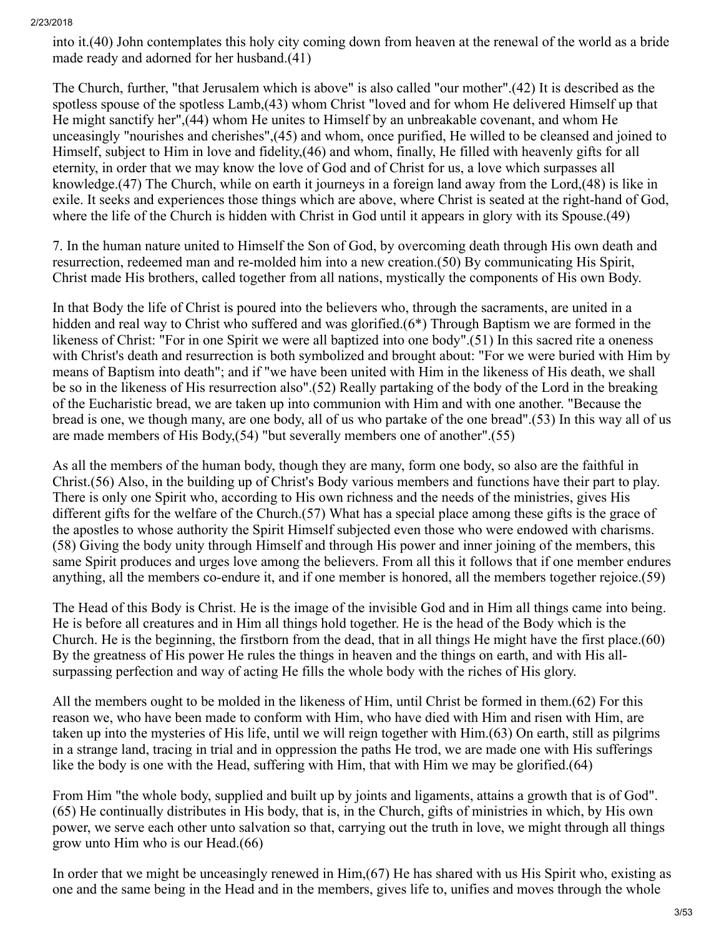into it.(40) John contemplates this holy city coming down from heaven at the renewal of the world as a bride made ready and adorned for her husband.(41)

The Church, further, "that Jerusalem which is above" is also called "our mother".(42) It is described as the spotless spouse of the spotless Lamb,(43) whom Christ "loved and for whom He delivered Himself up that He might sanctify her",(44) whom He unites to Himself by an unbreakable covenant, and whom He unceasingly "nourishes and cherishes",(45) and whom, once purified, He willed to be cleansed and joined to Himself, subject to Him in love and fidelity,(46) and whom, finally, He filled with heavenly gifts for all eternity, in order that we may know the love of God and of Christ for us, a love which surpasses all knowledge.(47) The Church, while on earth it journeys in a foreign land away from the Lord,(48) is like in exile. It seeks and experiences those things which are above, where Christ is seated at the right-hand of God, where the life of the Church is hidden with Christ in God until it appears in glory with its Spouse.(49)

7. In the human nature united to Himself the Son of God, by overcoming death through His own death and resurrection, redeemed man and re-molded him into a new creation.(50) By communicating His Spirit, Christ made His brothers, called together from all nations, mystically the components of His own Body.

In that Body the life of Christ is poured into the believers who, through the sacraments, are united in a hidden and real way to Christ who suffered and was glorified.(6\*) Through Baptism we are formed in the likeness of Christ: "For in one Spirit we were all baptized into one body".(51) In this sacred rite a oneness with Christ's death and resurrection is both symbolized and brought about: "For we were buried with Him by means of Baptism into death"; and if "we have been united with Him in the likeness of His death, we shall be so in the likeness of His resurrection also".(52) Really partaking of the body of the Lord in the breaking of the Eucharistic bread, we are taken up into communion with Him and with one another. "Because the bread is one, we though many, are one body, all of us who partake of the one bread".(53) In this way all of us are made members of His Body,(54) "but severally members one of another".(55)

As all the members of the human body, though they are many, form one body, so also are the faithful in Christ.(56) Also, in the building up of Christ's Body various members and functions have their part to play. There is only one Spirit who, according to His own richness and the needs of the ministries, gives His different gifts for the welfare of the Church.(57) What has a special place among these gifts is the grace of the apostles to whose authority the Spirit Himself subjected even those who were endowed with charisms. (58) Giving the body unity through Himself and through His power and inner joining of the members, this same Spirit produces and urges love among the believers. From all this it follows that if one member endures anything, all the members co-endure it, and if one member is honored, all the members together rejoice.(59)

The Head of this Body is Christ. He is the image of the invisible God and in Him all things came into being. He is before all creatures and in Him all things hold together. He is the head of the Body which is the Church. He is the beginning, the firstborn from the dead, that in all things He might have the first place.(60) By the greatness of His power He rules the things in heaven and the things on earth, and with His allsurpassing perfection and way of acting He fills the whole body with the riches of His glory.

All the members ought to be molded in the likeness of Him, until Christ be formed in them.(62) For this reason we, who have been made to conform with Him, who have died with Him and risen with Him, are taken up into the mysteries of His life, until we will reign together with Him.(63) On earth, still as pilgrims in a strange land, tracing in trial and in oppression the paths He trod, we are made one with His sufferings like the body is one with the Head, suffering with Him, that with Him we may be glorified.(64)

From Him "the whole body, supplied and built up by joints and ligaments, attains a growth that is of God". (65) He continually distributes in His body, that is, in the Church, gifts of ministries in which, by His own power, we serve each other unto salvation so that, carrying out the truth in love, we might through all things grow unto Him who is our Head.(66)

In order that we might be unceasingly renewed in Him,(67) He has shared with us His Spirit who, existing as one and the same being in the Head and in the members, gives life to, unifies and moves through the whole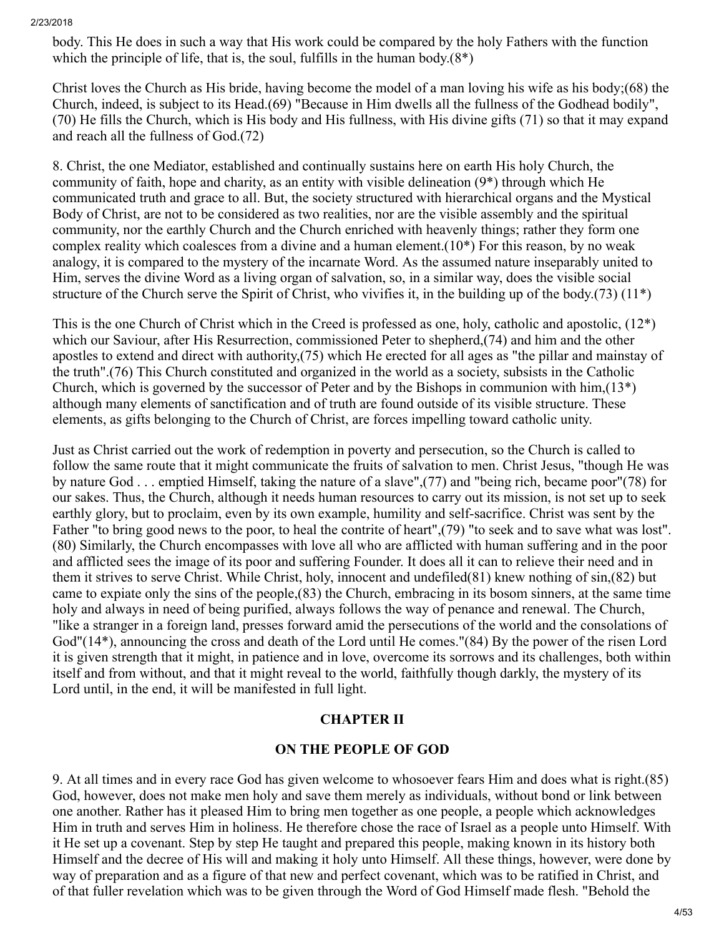body. This He does in such a way that His work could be compared by the holy Fathers with the function which the principle of life, that is, the soul, fulfills in the human body. $(8^*)$ 

Christ loves the Church as His bride, having become the model of a man loving his wife as his body;(68) the Church, indeed, is subject to its Head.(69) "Because in Him dwells all the fullness of the Godhead bodily", (70) He fills the Church, which is His body and His fullness, with His divine gifts (71) so that it may expand and reach all the fullness of God.(72)

8. Christ, the one Mediator, established and continually sustains here on earth His holy Church, the community of faith, hope and charity, as an entity with visible delineation (9\*) through which He communicated truth and grace to all. But, the society structured with hierarchical organs and the Mystical Body of Christ, are not to be considered as two realities, nor are the visible assembly and the spiritual community, nor the earthly Church and the Church enriched with heavenly things; rather they form one complex reality which coalesces from a divine and a human element. $(10^*)$  For this reason, by no weak analogy, it is compared to the mystery of the incarnate Word. As the assumed nature inseparably united to Him, serves the divine Word as a living organ of salvation, so, in a similar way, does the visible social structure of the Church serve the Spirit of Christ, who vivifies it, in the building up of the body.(73) (11\*)

This is the one Church of Christ which in the Creed is professed as one, holy, catholic and apostolic, (12\*) which our Saviour, after His Resurrection, commissioned Peter to shepherd,(74) and him and the other apostles to extend and direct with authority,(75) which He erected for all ages as "the pillar and mainstay of the truth".(76) This Church constituted and organized in the world as a society, subsists in the Catholic Church, which is governed by the successor of Peter and by the Bishops in communion with him, $(13^*)$ although many elements of sanctification and of truth are found outside of its visible structure. These elements, as gifts belonging to the Church of Christ, are forces impelling toward catholic unity.

Just as Christ carried out the work of redemption in poverty and persecution, so the Church is called to follow the same route that it might communicate the fruits of salvation to men. Christ Jesus, "though He was by nature God . . . emptied Himself, taking the nature of a slave",(77) and "being rich, became poor"(78) for our sakes. Thus, the Church, although it needs human resources to carry out its mission, is not set up to seek earthly glory, but to proclaim, even by its own example, humility and self-sacrifice. Christ was sent by the Father "to bring good news to the poor, to heal the contrite of heart",(79) "to seek and to save what was lost". (80) Similarly, the Church encompasses with love all who are afflicted with human suffering and in the poor and afflicted sees the image of its poor and suffering Founder. It does all it can to relieve their need and in them it strives to serve Christ. While Christ, holy, innocent and undefiled(81) knew nothing of sin,(82) but came to expiate only the sins of the people,(83) the Church, embracing in its bosom sinners, at the same time holy and always in need of being purified, always follows the way of penance and renewal. The Church, "like a stranger in a foreign land, presses forward amid the persecutions of the world and the consolations of God"(14\*), announcing the cross and death of the Lord until He comes."(84) By the power of the risen Lord it is given strength that it might, in patience and in love, overcome its sorrows and its challenges, both within itself and from without, and that it might reveal to the world, faithfully though darkly, the mystery of its Lord until, in the end, it will be manifested in full light.

### CHAPTER II

### ON THE PEOPLE OF GOD

9. At all times and in every race God has given welcome to whosoever fears Him and does what is right.(85) God, however, does not make men holy and save them merely as individuals, without bond or link between one another. Rather has it pleased Him to bring men together as one people, a people which acknowledges Him in truth and serves Him in holiness. He therefore chose the race of Israel as a people unto Himself. With it He set up a covenant. Step by step He taught and prepared this people, making known in its history both Himself and the decree of His will and making it holy unto Himself. All these things, however, were done by way of preparation and as a figure of that new and perfect covenant, which was to be ratified in Christ, and of that fuller revelation which was to be given through the Word of God Himself made flesh. "Behold the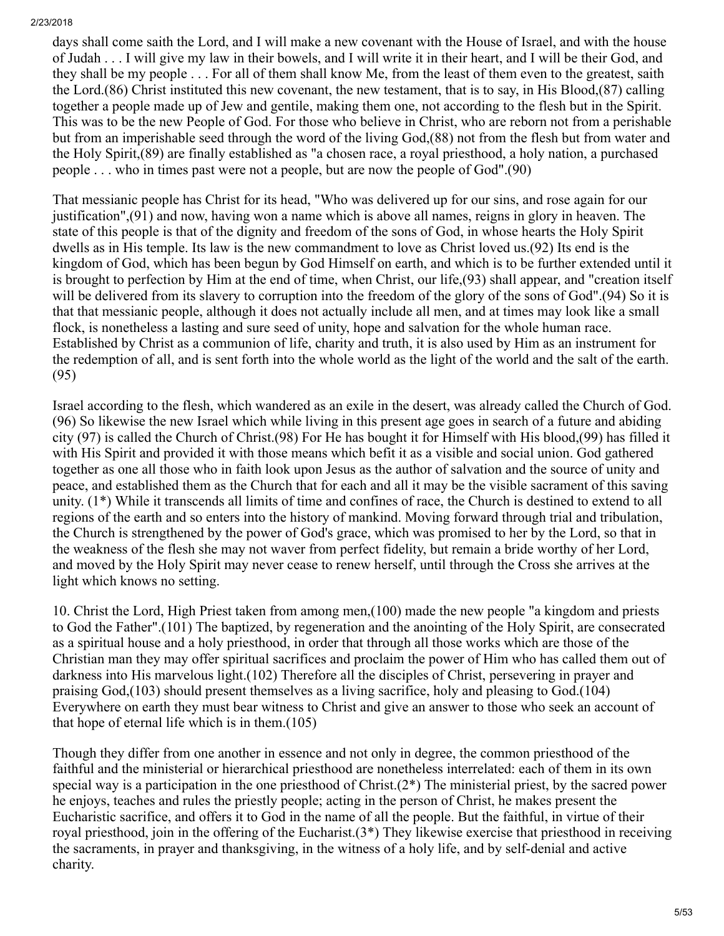days shall come saith the Lord, and I will make a new covenant with the House of Israel, and with the house of Judah . . . I will give my law in their bowels, and I will write it in their heart, and I will be their God, and they shall be my people . . . For all of them shall know Me, from the least of them even to the greatest, saith the Lord.(86) Christ instituted this new covenant, the new testament, that is to say, in His Blood,(87) calling together a people made up of Jew and gentile, making them one, not according to the flesh but in the Spirit. This was to be the new People of God. For those who believe in Christ, who are reborn not from a perishable but from an imperishable seed through the word of the living God,(88) not from the flesh but from water and the Holy Spirit,(89) are finally established as "a chosen race, a royal priesthood, a holy nation, a purchased people . . . who in times past were not a people, but are now the people of God".(90)

That messianic people has Christ for its head, "Who was delivered up for our sins, and rose again for our justification",(91) and now, having won a name which is above all names, reigns in glory in heaven. The state of this people is that of the dignity and freedom of the sons of God, in whose hearts the Holy Spirit dwells as in His temple. Its law is the new commandment to love as Christ loved us.(92) Its end is the kingdom of God, which has been begun by God Himself on earth, and which is to be further extended until it is brought to perfection by Him at the end of time, when Christ, our life,(93) shall appear, and "creation itself will be delivered from its slavery to corruption into the freedom of the glory of the sons of God".(94) So it is that that messianic people, although it does not actually include all men, and at times may look like a small flock, is nonetheless a lasting and sure seed of unity, hope and salvation for the whole human race. Established by Christ as a communion of life, charity and truth, it is also used by Him as an instrument for the redemption of all, and is sent forth into the whole world as the light of the world and the salt of the earth. (95)

Israel according to the flesh, which wandered as an exile in the desert, was already called the Church of God. (96) So likewise the new Israel which while living in this present age goes in search of a future and abiding city (97) is called the Church of Christ.(98) For He has bought it for Himself with His blood,(99) has filled it with His Spirit and provided it with those means which befit it as a visible and social union. God gathered together as one all those who in faith look upon Jesus as the author of salvation and the source of unity and peace, and established them as the Church that for each and all it may be the visible sacrament of this saving unity. (1\*) While it transcends all limits of time and confines of race, the Church is destined to extend to all regions of the earth and so enters into the history of mankind. Moving forward through trial and tribulation, the Church is strengthened by the power of God's grace, which was promised to her by the Lord, so that in the weakness of the flesh she may not waver from perfect fidelity, but remain a bride worthy of her Lord, and moved by the Holy Spirit may never cease to renew herself, until through the Cross she arrives at the light which knows no setting.

10. Christ the Lord, High Priest taken from among men,(100) made the new people "a kingdom and priests to God the Father".(101) The baptized, by regeneration and the anointing of the Holy Spirit, are consecrated as a spiritual house and a holy priesthood, in order that through all those works which are those of the Christian man they may offer spiritual sacrifices and proclaim the power of Him who has called them out of darkness into His marvelous light.(102) Therefore all the disciples of Christ, persevering in prayer and praising God,(103) should present themselves as a living sacrifice, holy and pleasing to God.(104) Everywhere on earth they must bear witness to Christ and give an answer to those who seek an account of that hope of eternal life which is in them.(105)

Though they differ from one another in essence and not only in degree, the common priesthood of the faithful and the ministerial or hierarchical priesthood are nonetheless interrelated: each of them in its own special way is a participation in the one priesthood of Christ.(2\*) The ministerial priest, by the sacred power he enjoys, teaches and rules the priestly people; acting in the person of Christ, he makes present the Eucharistic sacrifice, and offers it to God in the name of all the people. But the faithful, in virtue of their royal priesthood, join in the offering of the Eucharist.(3\*) They likewise exercise that priesthood in receiving the sacraments, in prayer and thanksgiving, in the witness of a holy life, and by self-denial and active charity.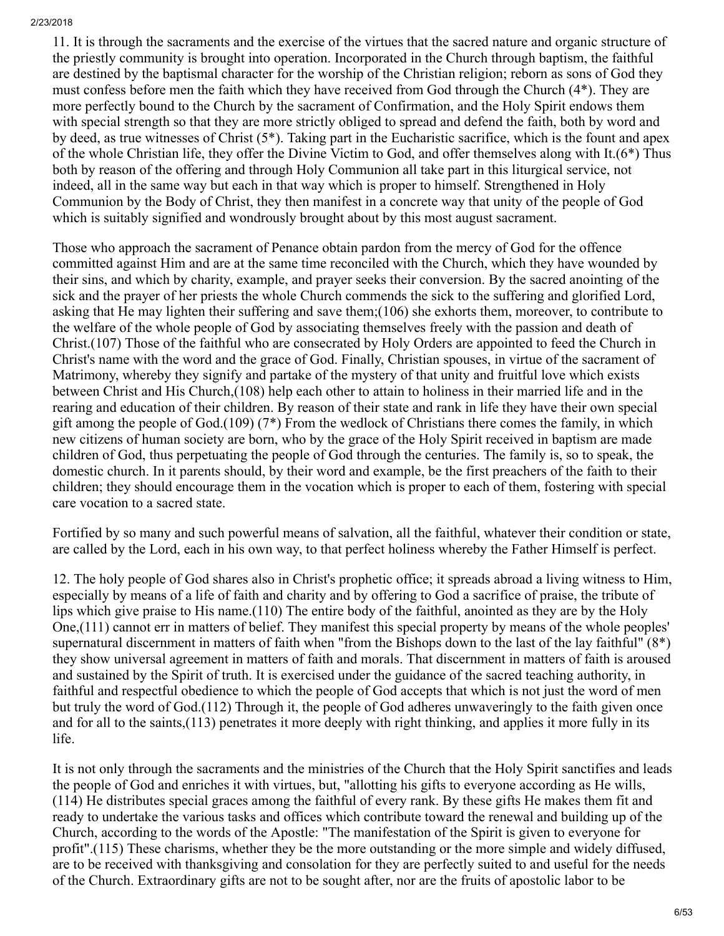11. It is through the sacraments and the exercise of the virtues that the sacred nature and organic structure of the priestly community is brought into operation. Incorporated in the Church through baptism, the faithful are destined by the baptismal character for the worship of the Christian religion; reborn as sons of God they must confess before men the faith which they have received from God through the Church (4\*). They are more perfectly bound to the Church by the sacrament of Confirmation, and the Holy Spirit endows them with special strength so that they are more strictly obliged to spread and defend the faith, both by word and by deed, as true witnesses of Christ (5\*). Taking part in the Eucharistic sacrifice, which is the fount and apex of the whole Christian life, they offer the Divine Victim to God, and offer themselves along with It.(6\*) Thus both by reason of the offering and through Holy Communion all take part in this liturgical service, not indeed, all in the same way but each in that way which is proper to himself. Strengthened in Holy Communion by the Body of Christ, they then manifest in a concrete way that unity of the people of God which is suitably signified and wondrously brought about by this most august sacrament.

Those who approach the sacrament of Penance obtain pardon from the mercy of God for the offence committed against Him and are at the same time reconciled with the Church, which they have wounded by their sins, and which by charity, example, and prayer seeks their conversion. By the sacred anointing of the sick and the prayer of her priests the whole Church commends the sick to the suffering and glorified Lord, asking that He may lighten their suffering and save them;(106) she exhorts them, moreover, to contribute to the welfare of the whole people of God by associating themselves freely with the passion and death of Christ.(107) Those of the faithful who are consecrated by Holy Orders are appointed to feed the Church in Christ's name with the word and the grace of God. Finally, Christian spouses, in virtue of the sacrament of Matrimony, whereby they signify and partake of the mystery of that unity and fruitful love which exists between Christ and His Church,(108) help each other to attain to holiness in their married life and in the rearing and education of their children. By reason of their state and rank in life they have their own special gift among the people of God.(109) (7\*) From the wedlock of Christians there comes the family, in which new citizens of human society are born, who by the grace of the Holy Spirit received in baptism are made children of God, thus perpetuating the people of God through the centuries. The family is, so to speak, the domestic church. In it parents should, by their word and example, be the first preachers of the faith to their children; they should encourage them in the vocation which is proper to each of them, fostering with special care vocation to a sacred state.

Fortified by so many and such powerful means of salvation, all the faithful, whatever their condition or state, are called by the Lord, each in his own way, to that perfect holiness whereby the Father Himself is perfect.

12. The holy people of God shares also in Christ's prophetic office; it spreads abroad a living witness to Him, especially by means of a life of faith and charity and by offering to God a sacrifice of praise, the tribute of lips which give praise to His name.(110) The entire body of the faithful, anointed as they are by the Holy One,(111) cannot err in matters of belief. They manifest this special property by means of the whole peoples' supernatural discernment in matters of faith when "from the Bishops down to the last of the lay faithful" (8\*) they show universal agreement in matters of faith and morals. That discernment in matters of faith is aroused and sustained by the Spirit of truth. It is exercised under the guidance of the sacred teaching authority, in faithful and respectful obedience to which the people of God accepts that which is not just the word of men but truly the word of God.(112) Through it, the people of God adheres unwaveringly to the faith given once and for all to the saints,(113) penetrates it more deeply with right thinking, and applies it more fully in its life.

It is not only through the sacraments and the ministries of the Church that the Holy Spirit sanctifies and leads the people of God and enriches it with virtues, but, "allotting his gifts to everyone according as He wills, (114) He distributes special graces among the faithful of every rank. By these gifts He makes them fit and ready to undertake the various tasks and offices which contribute toward the renewal and building up of the Church, according to the words of the Apostle: "The manifestation of the Spirit is given to everyone for profit".(115) These charisms, whether they be the more outstanding or the more simple and widely diffused, are to be received with thanksgiving and consolation for they are perfectly suited to and useful for the needs of the Church. Extraordinary gifts are not to be sought after, nor are the fruits of apostolic labor to be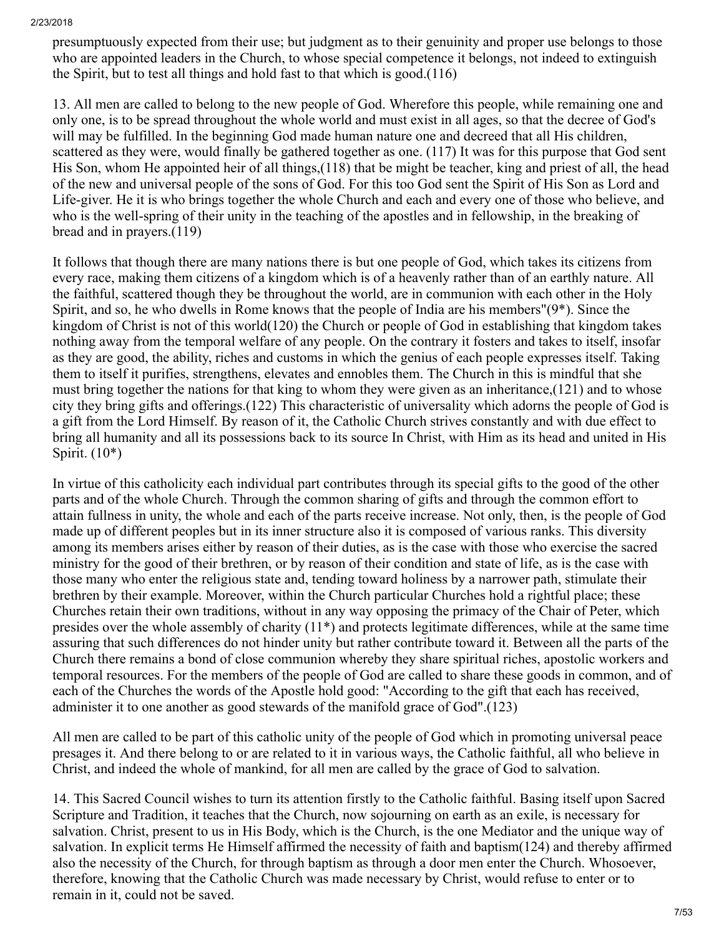presumptuously expected from their use; but judgment as to their genuinity and proper use belongs to those who are appointed leaders in the Church, to whose special competence it belongs, not indeed to extinguish the Spirit, but to test all things and hold fast to that which is good.(116)

13. All men are called to belong to the new people of God. Wherefore this people, while remaining one and only one, is to be spread throughout the whole world and must exist in all ages, so that the decree of God's will may be fulfilled. In the beginning God made human nature one and decreed that all His children, scattered as they were, would finally be gathered together as one. (117) It was for this purpose that God sent His Son, whom He appointed heir of all things,(118) that be might be teacher, king and priest of all, the head of the new and universal people of the sons of God. For this too God sent the Spirit of His Son as Lord and Life-giver. He it is who brings together the whole Church and each and every one of those who believe, and who is the well-spring of their unity in the teaching of the apostles and in fellowship, in the breaking of bread and in prayers.(119)

It follows that though there are many nations there is but one people of God, which takes its citizens from every race, making them citizens of a kingdom which is of a heavenly rather than of an earthly nature. All the faithful, scattered though they be throughout the world, are in communion with each other in the Holy Spirit, and so, he who dwells in Rome knows that the people of India are his members"(9\*). Since the kingdom of Christ is not of this world(120) the Church or people of God in establishing that kingdom takes nothing away from the temporal welfare of any people. On the contrary it fosters and takes to itself, insofar as they are good, the ability, riches and customs in which the genius of each people expresses itself. Taking them to itself it purifies, strengthens, elevates and ennobles them. The Church in this is mindful that she must bring together the nations for that king to whom they were given as an inheritance,(121) and to whose city they bring gifts and offerings.(122) This characteristic of universality which adorns the people of God is a gift from the Lord Himself. By reason of it, the Catholic Church strives constantly and with due effect to bring all humanity and all its possessions back to its source In Christ, with Him as its head and united in His Spirit.  $(10^*)$ 

In virtue of this catholicity each individual part contributes through its special gifts to the good of the other parts and of the whole Church. Through the common sharing of gifts and through the common effort to attain fullness in unity, the whole and each of the parts receive increase. Not only, then, is the people of God made up of different peoples but in its inner structure also it is composed of various ranks. This diversity among its members arises either by reason of their duties, as is the case with those who exercise the sacred ministry for the good of their brethren, or by reason of their condition and state of life, as is the case with those many who enter the religious state and, tending toward holiness by a narrower path, stimulate their brethren by their example. Moreover, within the Church particular Churches hold a rightful place; these Churches retain their own traditions, without in any way opposing the primacy of the Chair of Peter, which presides over the whole assembly of charity  $(11^*)$  and protects legitimate differences, while at the same time assuring that such differences do not hinder unity but rather contribute toward it. Between all the parts of the Church there remains a bond of close communion whereby they share spiritual riches, apostolic workers and temporal resources. For the members of the people of God are called to share these goods in common, and of each of the Churches the words of the Apostle hold good: "According to the gift that each has received, administer it to one another as good stewards of the manifold grace of God".(123)

All men are called to be part of this catholic unity of the people of God which in promoting universal peace presages it. And there belong to or are related to it in various ways, the Catholic faithful, all who believe in Christ, and indeed the whole of mankind, for all men are called by the grace of God to salvation.

14. This Sacred Council wishes to turn its attention firstly to the Catholic faithful. Basing itself upon Sacred Scripture and Tradition, it teaches that the Church, now sojourning on earth as an exile, is necessary for salvation. Christ, present to us in His Body, which is the Church, is the one Mediator and the unique way of salvation. In explicit terms He Himself affirmed the necessity of faith and baptism(124) and thereby affirmed also the necessity of the Church, for through baptism as through a door men enter the Church. Whosoever, therefore, knowing that the Catholic Church was made necessary by Christ, would refuse to enter or to remain in it, could not be saved.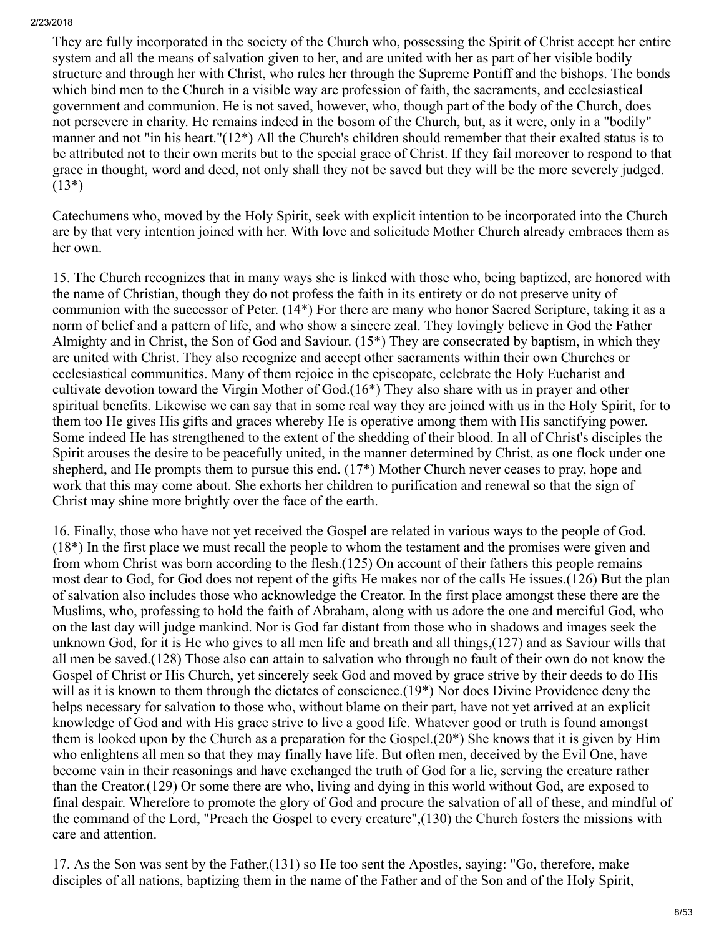They are fully incorporated in the society of the Church who, possessing the Spirit of Christ accept her entire system and all the means of salvation given to her, and are united with her as part of her visible bodily structure and through her with Christ, who rules her through the Supreme Pontiff and the bishops. The bonds which bind men to the Church in a visible way are profession of faith, the sacraments, and ecclesiastical government and communion. He is not saved, however, who, though part of the body of the Church, does not persevere in charity. He remains indeed in the bosom of the Church, but, as it were, only in a "bodily" manner and not "in his heart."(12\*) All the Church's children should remember that their exalted status is to be attributed not to their own merits but to the special grace of Christ. If they fail moreover to respond to that grace in thought, word and deed, not only shall they not be saved but they will be the more severely judged.  $(13^*)$ 

Catechumens who, moved by the Holy Spirit, seek with explicit intention to be incorporated into the Church are by that very intention joined with her. With love and solicitude Mother Church already embraces them as her own.

15. The Church recognizes that in many ways she is linked with those who, being baptized, are honored with the name of Christian, though they do not profess the faith in its entirety or do not preserve unity of communion with the successor of Peter. (14\*) For there are many who honor Sacred Scripture, taking it as a norm of belief and a pattern of life, and who show a sincere zeal. They lovingly believe in God the Father Almighty and in Christ, the Son of God and Saviour. (15\*) They are consecrated by baptism, in which they are united with Christ. They also recognize and accept other sacraments within their own Churches or ecclesiastical communities. Many of them rejoice in the episcopate, celebrate the Holy Eucharist and cultivate devotion toward the Virgin Mother of God.(16\*) They also share with us in prayer and other spiritual benefits. Likewise we can say that in some real way they are joined with us in the Holy Spirit, for to them too He gives His gifts and graces whereby He is operative among them with His sanctifying power. Some indeed He has strengthened to the extent of the shedding of their blood. In all of Christ's disciples the Spirit arouses the desire to be peacefully united, in the manner determined by Christ, as one flock under one shepherd, and He prompts them to pursue this end. (17\*) Mother Church never ceases to pray, hope and work that this may come about. She exhorts her children to purification and renewal so that the sign of Christ may shine more brightly over the face of the earth.

16. Finally, those who have not yet received the Gospel are related in various ways to the people of God. (18\*) In the first place we must recall the people to whom the testament and the promises were given and from whom Christ was born according to the flesh.(125) On account of their fathers this people remains most dear to God, for God does not repent of the gifts He makes nor of the calls He issues.(126) But the plan of salvation also includes those who acknowledge the Creator. In the first place amongst these there are the Muslims, who, professing to hold the faith of Abraham, along with us adore the one and merciful God, who on the last day will judge mankind. Nor is God far distant from those who in shadows and images seek the unknown God, for it is He who gives to all men life and breath and all things,(127) and as Saviour wills that all men be saved.(128) Those also can attain to salvation who through no fault of their own do not know the Gospel of Christ or His Church, yet sincerely seek God and moved by grace strive by their deeds to do His will as it is known to them through the dictates of conscience.  $(19^*)$  Nor does Divine Providence deny the helps necessary for salvation to those who, without blame on their part, have not yet arrived at an explicit knowledge of God and with His grace strive to live a good life. Whatever good or truth is found amongst them is looked upon by the Church as a preparation for the Gospel.(20\*) She knows that it is given by Him who enlightens all men so that they may finally have life. But often men, deceived by the Evil One, have become vain in their reasonings and have exchanged the truth of God for a lie, serving the creature rather than the Creator.(129) Or some there are who, living and dying in this world without God, are exposed to final despair. Wherefore to promote the glory of God and procure the salvation of all of these, and mindful of the command of the Lord, "Preach the Gospel to every creature",(130) the Church fosters the missions with care and attention.

17. As the Son was sent by the Father,(131) so He too sent the Apostles, saying: "Go, therefore, make disciples of all nations, baptizing them in the name of the Father and of the Son and of the Holy Spirit,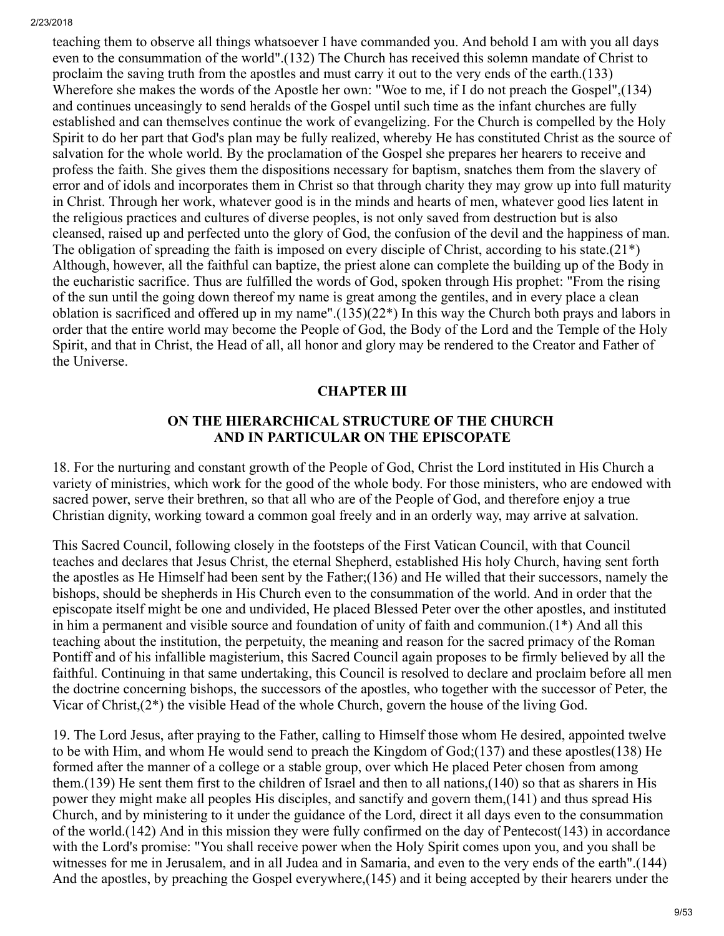teaching them to observe all things whatsoever I have commanded you. And behold I am with you all days even to the consummation of the world".(132) The Church has received this solemn mandate of Christ to proclaim the saving truth from the apostles and must carry it out to the very ends of the earth.(133) Wherefore she makes the words of the Apostle her own: "Woe to me, if I do not preach the Gospel",(134) and continues unceasingly to send heralds of the Gospel until such time as the infant churches are fully established and can themselves continue the work of evangelizing. For the Church is compelled by the Holy Spirit to do her part that God's plan may be fully realized, whereby He has constituted Christ as the source of salvation for the whole world. By the proclamation of the Gospel she prepares her hearers to receive and profess the faith. She gives them the dispositions necessary for baptism, snatches them from the slavery of error and of idols and incorporates them in Christ so that through charity they may grow up into full maturity in Christ. Through her work, whatever good is in the minds and hearts of men, whatever good lies latent in the religious practices and cultures of diverse peoples, is not only saved from destruction but is also cleansed, raised up and perfected unto the glory of God, the confusion of the devil and the happiness of man. The obligation of spreading the faith is imposed on every disciple of Christ, according to his state.(21\*) Although, however, all the faithful can baptize, the priest alone can complete the building up of the Body in the eucharistic sacrifice. Thus are fulfilled the words of God, spoken through His prophet: "From the rising of the sun until the going down thereof my name is great among the gentiles, and in every place a clean oblation is sacrificed and offered up in my name".(135)(22\*) In this way the Church both prays and labors in order that the entire world may become the People of God, the Body of the Lord and the Temple of the Holy Spirit, and that in Christ, the Head of all, all honor and glory may be rendered to the Creator and Father of the Universe.

### CHAPTER III

### ON THE HIERARCHICAL STRUCTURE OF THE CHURCH AND IN PARTICULAR ON THE EPISCOPATE

18. For the nurturing and constant growth of the People of God, Christ the Lord instituted in His Church a variety of ministries, which work for the good of the whole body. For those ministers, who are endowed with sacred power, serve their brethren, so that all who are of the People of God, and therefore enjoy a true Christian dignity, working toward a common goal freely and in an orderly way, may arrive at salvation.

This Sacred Council, following closely in the footsteps of the First Vatican Council, with that Council teaches and declares that Jesus Christ, the eternal Shepherd, established His holy Church, having sent forth the apostles as He Himself had been sent by the Father;(136) and He willed that their successors, namely the bishops, should be shepherds in His Church even to the consummation of the world. And in order that the episcopate itself might be one and undivided, He placed Blessed Peter over the other apostles, and instituted in him a permanent and visible source and foundation of unity of faith and communion.(1\*) And all this teaching about the institution, the perpetuity, the meaning and reason for the sacred primacy of the Roman Pontiff and of his infallible magisterium, this Sacred Council again proposes to be firmly believed by all the faithful. Continuing in that same undertaking, this Council is resolved to declare and proclaim before all men the doctrine concerning bishops, the successors of the apostles, who together with the successor of Peter, the Vicar of Christ,(2\*) the visible Head of the whole Church, govern the house of the living God.

19. The Lord Jesus, after praying to the Father, calling to Himself those whom He desired, appointed twelve to be with Him, and whom He would send to preach the Kingdom of God;(137) and these apostles(138) He formed after the manner of a college or a stable group, over which He placed Peter chosen from among them.(139) He sent them first to the children of Israel and then to all nations,(140) so that as sharers in His power they might make all peoples His disciples, and sanctify and govern them,(141) and thus spread His Church, and by ministering to it under the guidance of the Lord, direct it all days even to the consummation of the world.(142) And in this mission they were fully confirmed on the day of Pentecost(143) in accordance with the Lord's promise: "You shall receive power when the Holy Spirit comes upon you, and you shall be witnesses for me in Jerusalem, and in all Judea and in Samaria, and even to the very ends of the earth".(144) And the apostles, by preaching the Gospel everywhere,(145) and it being accepted by their hearers under the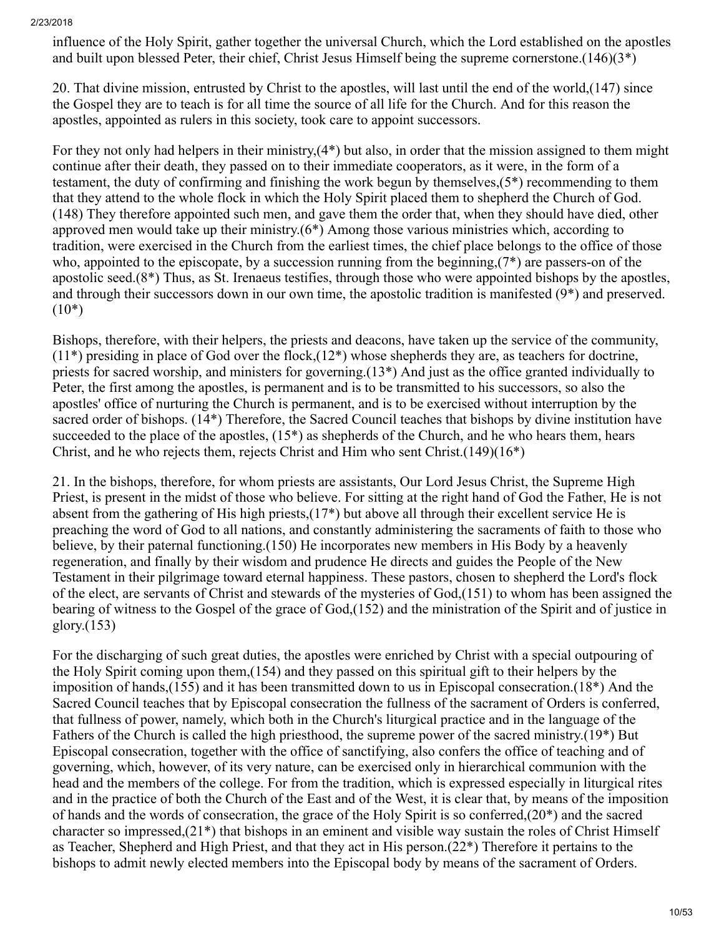influence of the Holy Spirit, gather together the universal Church, which the Lord established on the apostles and built upon blessed Peter, their chief, Christ Jesus Himself being the supreme cornerstone.(146)(3\*)

20. That divine mission, entrusted by Christ to the apostles, will last until the end of the world,(147) since the Gospel they are to teach is for all time the source of all life for the Church. And for this reason the apostles, appointed as rulers in this society, took care to appoint successors.

For they not only had helpers in their ministry,(4\*) but also, in order that the mission assigned to them might continue after their death, they passed on to their immediate cooperators, as it were, in the form of a testament, the duty of confirming and finishing the work begun by themselves,(5\*) recommending to them that they attend to the whole flock in which the Holy Spirit placed them to shepherd the Church of God. (148) They therefore appointed such men, and gave them the order that, when they should have died, other approved men would take up their ministry.(6\*) Among those various ministries which, according to tradition, were exercised in the Church from the earliest times, the chief place belongs to the office of those who, appointed to the episcopate, by a succession running from the beginning,(7\*) are passers-on of the apostolic seed.(8\*) Thus, as St. Irenaeus testifies, through those who were appointed bishops by the apostles, and through their successors down in our own time, the apostolic tradition is manifested (9\*) and preserved.  $(10^*)$ 

Bishops, therefore, with their helpers, the priests and deacons, have taken up the service of the community,  $(11*)$  presiding in place of God over the flock, $(12*)$  whose shepherds they are, as teachers for doctrine, priests for sacred worship, and ministers for governing.(13\*) And just as the office granted individually to Peter, the first among the apostles, is permanent and is to be transmitted to his successors, so also the apostles' office of nurturing the Church is permanent, and is to be exercised without interruption by the sacred order of bishops. (14\*) Therefore, the Sacred Council teaches that bishops by divine institution have succeeded to the place of the apostles,  $(15^*)$  as shepherds of the Church, and he who hears them, hears Christ, and he who rejects them, rejects Christ and Him who sent Christ.(149)(16\*)

21. In the bishops, therefore, for whom priests are assistants, Our Lord Jesus Christ, the Supreme High Priest, is present in the midst of those who believe. For sitting at the right hand of God the Father, He is not absent from the gathering of His high priests,(17\*) but above all through their excellent service He is preaching the word of God to all nations, and constantly administering the sacraments of faith to those who believe, by their paternal functioning.(150) He incorporates new members in His Body by a heavenly regeneration, and finally by their wisdom and prudence He directs and guides the People of the New Testament in their pilgrimage toward eternal happiness. These pastors, chosen to shepherd the Lord's flock of the elect, are servants of Christ and stewards of the mysteries of God,(151) to whom has been assigned the bearing of witness to the Gospel of the grace of God,(152) and the ministration of the Spirit and of justice in glory.(153)

For the discharging of such great duties, the apostles were enriched by Christ with a special outpouring of the Holy Spirit coming upon them,(154) and they passed on this spiritual gift to their helpers by the imposition of hands,(155) and it has been transmitted down to us in Episcopal consecration.(18\*) And the Sacred Council teaches that by Episcopal consecration the fullness of the sacrament of Orders is conferred, that fullness of power, namely, which both in the Church's liturgical practice and in the language of the Fathers of the Church is called the high priesthood, the supreme power of the sacred ministry.(19\*) But Episcopal consecration, together with the office of sanctifying, also confers the office of teaching and of governing, which, however, of its very nature, can be exercised only in hierarchical communion with the head and the members of the college. For from the tradition, which is expressed especially in liturgical rites and in the practice of both the Church of the East and of the West, it is clear that, by means of the imposition of hands and the words of consecration, the grace of the Holy Spirit is so conferred,(20\*) and the sacred character so impressed,(21\*) that bishops in an eminent and visible way sustain the roles of Christ Himself as Teacher, Shepherd and High Priest, and that they act in His person.(22\*) Therefore it pertains to the bishops to admit newly elected members into the Episcopal body by means of the sacrament of Orders.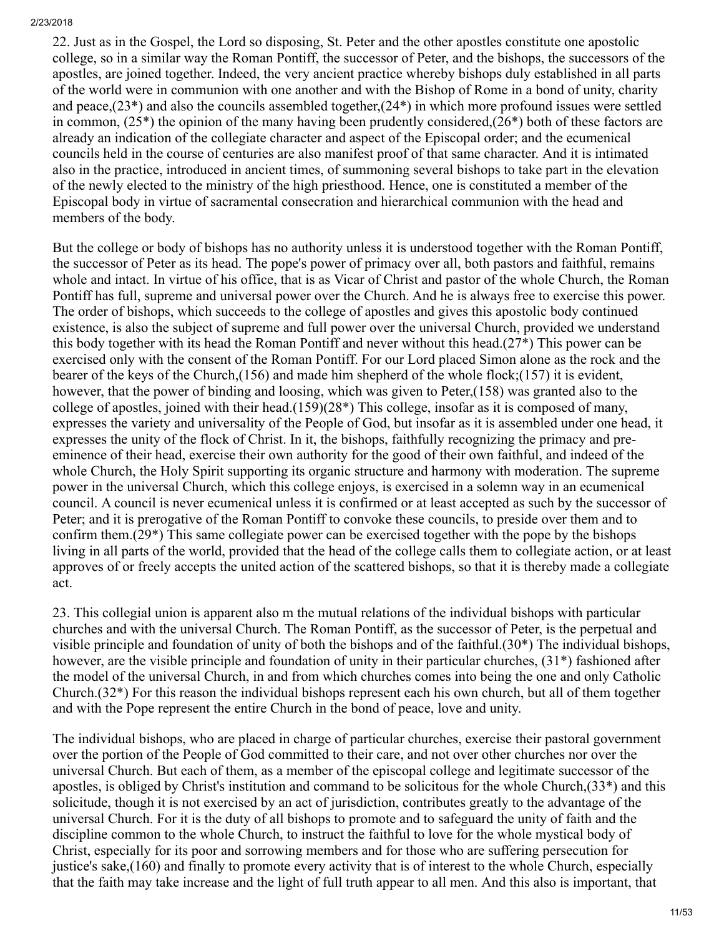22. Just as in the Gospel, the Lord so disposing, St. Peter and the other apostles constitute one apostolic college, so in a similar way the Roman Pontiff, the successor of Peter, and the bishops, the successors of the apostles, are joined together. Indeed, the very ancient practice whereby bishops duly established in all parts of the world were in communion with one another and with the Bishop of Rome in a bond of unity, charity and peace,(23\*) and also the councils assembled together,(24\*) in which more profound issues were settled in common, (25\*) the opinion of the many having been prudently considered,(26\*) both of these factors are already an indication of the collegiate character and aspect of the Episcopal order; and the ecumenical councils held in the course of centuries are also manifest proof of that same character. And it is intimated also in the practice, introduced in ancient times, of summoning several bishops to take part in the elevation of the newly elected to the ministry of the high priesthood. Hence, one is constituted a member of the Episcopal body in virtue of sacramental consecration and hierarchical communion with the head and members of the body.

But the college or body of bishops has no authority unless it is understood together with the Roman Pontiff, the successor of Peter as its head. The pope's power of primacy over all, both pastors and faithful, remains whole and intact. In virtue of his office, that is as Vicar of Christ and pastor of the whole Church, the Roman Pontiff has full, supreme and universal power over the Church. And he is always free to exercise this power. The order of bishops, which succeeds to the college of apostles and gives this apostolic body continued existence, is also the subject of supreme and full power over the universal Church, provided we understand this body together with its head the Roman Pontiff and never without this head.(27\*) This power can be exercised only with the consent of the Roman Pontiff. For our Lord placed Simon alone as the rock and the bearer of the keys of the Church,(156) and made him shepherd of the whole flock;(157) it is evident, however, that the power of binding and loosing, which was given to Peter,(158) was granted also to the college of apostles, joined with their head. $(159)(28^*)$  This college, insofar as it is composed of many, expresses the variety and universality of the People of God, but insofar as it is assembled under one head, it expresses the unity of the flock of Christ. In it, the bishops, faithfully recognizing the primacy and preeminence of their head, exercise their own authority for the good of their own faithful, and indeed of the whole Church, the Holy Spirit supporting its organic structure and harmony with moderation. The supreme power in the universal Church, which this college enjoys, is exercised in a solemn way in an ecumenical council. A council is never ecumenical unless it is confirmed or at least accepted as such by the successor of Peter; and it is prerogative of the Roman Pontiff to convoke these councils, to preside over them and to confirm them.(29\*) This same collegiate power can be exercised together with the pope by the bishops living in all parts of the world, provided that the head of the college calls them to collegiate action, or at least approves of or freely accepts the united action of the scattered bishops, so that it is thereby made a collegiate act.

23. This collegial union is apparent also m the mutual relations of the individual bishops with particular churches and with the universal Church. The Roman Pontiff, as the successor of Peter, is the perpetual and visible principle and foundation of unity of both the bishops and of the faithful.(30\*) The individual bishops, however, are the visible principle and foundation of unity in their particular churches, (31\*) fashioned after the model of the universal Church, in and from which churches comes into being the one and only Catholic Church.(32\*) For this reason the individual bishops represent each his own church, but all of them together and with the Pope represent the entire Church in the bond of peace, love and unity.

The individual bishops, who are placed in charge of particular churches, exercise their pastoral government over the portion of the People of God committed to their care, and not over other churches nor over the universal Church. But each of them, as a member of the episcopal college and legitimate successor of the apostles, is obliged by Christ's institution and command to be solicitous for the whole Church,(33\*) and this solicitude, though it is not exercised by an act of jurisdiction, contributes greatly to the advantage of the universal Church. For it is the duty of all bishops to promote and to safeguard the unity of faith and the discipline common to the whole Church, to instruct the faithful to love for the whole mystical body of Christ, especially for its poor and sorrowing members and for those who are suffering persecution for justice's sake,(160) and finally to promote every activity that is of interest to the whole Church, especially that the faith may take increase and the light of full truth appear to all men. And this also is important, that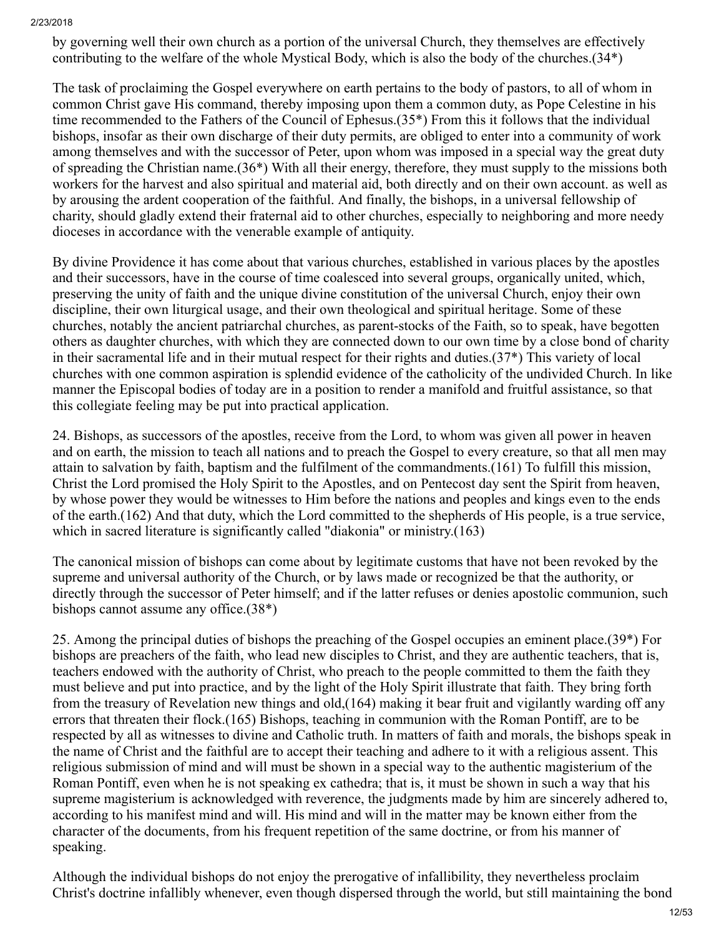by governing well their own church as a portion of the universal Church, they themselves are effectively contributing to the welfare of the whole Mystical Body, which is also the body of the churches.(34\*)

The task of proclaiming the Gospel everywhere on earth pertains to the body of pastors, to all of whom in common Christ gave His command, thereby imposing upon them a common duty, as Pope Celestine in his time recommended to the Fathers of the Council of Ephesus.(35\*) From this it follows that the individual bishops, insofar as their own discharge of their duty permits, are obliged to enter into a community of work among themselves and with the successor of Peter, upon whom was imposed in a special way the great duty of spreading the Christian name.(36\*) With all their energy, therefore, they must supply to the missions both workers for the harvest and also spiritual and material aid, both directly and on their own account. as well as by arousing the ardent cooperation of the faithful. And finally, the bishops, in a universal fellowship of charity, should gladly extend their fraternal aid to other churches, especially to neighboring and more needy dioceses in accordance with the venerable example of antiquity.

By divine Providence it has come about that various churches, established in various places by the apostles and their successors, have in the course of time coalesced into several groups, organically united, which, preserving the unity of faith and the unique divine constitution of the universal Church, enjoy their own discipline, their own liturgical usage, and their own theological and spiritual heritage. Some of these churches, notably the ancient patriarchal churches, as parent-stocks of the Faith, so to speak, have begotten others as daughter churches, with which they are connected down to our own time by a close bond of charity in their sacramental life and in their mutual respect for their rights and duties.(37\*) This variety of local churches with one common aspiration is splendid evidence of the catholicity of the undivided Church. In like manner the Episcopal bodies of today are in a position to render a manifold and fruitful assistance, so that this collegiate feeling may be put into practical application.

24. Bishops, as successors of the apostles, receive from the Lord, to whom was given all power in heaven and on earth, the mission to teach all nations and to preach the Gospel to every creature, so that all men may attain to salvation by faith, baptism and the fulfilment of the commandments.(161) To fulfill this mission, Christ the Lord promised the Holy Spirit to the Apostles, and on Pentecost day sent the Spirit from heaven, by whose power they would be witnesses to Him before the nations and peoples and kings even to the ends of the earth.(162) And that duty, which the Lord committed to the shepherds of His people, is a true service, which in sacred literature is significantly called "diakonia" or ministry.(163)

The canonical mission of bishops can come about by legitimate customs that have not been revoked by the supreme and universal authority of the Church, or by laws made or recognized be that the authority, or directly through the successor of Peter himself; and if the latter refuses or denies apostolic communion, such bishops cannot assume any office.(38\*)

25. Among the principal duties of bishops the preaching of the Gospel occupies an eminent place.(39\*) For bishops are preachers of the faith, who lead new disciples to Christ, and they are authentic teachers, that is, teachers endowed with the authority of Christ, who preach to the people committed to them the faith they must believe and put into practice, and by the light of the Holy Spirit illustrate that faith. They bring forth from the treasury of Revelation new things and old,(164) making it bear fruit and vigilantly warding off any errors that threaten their flock.(165) Bishops, teaching in communion with the Roman Pontiff, are to be respected by all as witnesses to divine and Catholic truth. In matters of faith and morals, the bishops speak in the name of Christ and the faithful are to accept their teaching and adhere to it with a religious assent. This religious submission of mind and will must be shown in a special way to the authentic magisterium of the Roman Pontiff, even when he is not speaking ex cathedra; that is, it must be shown in such a way that his supreme magisterium is acknowledged with reverence, the judgments made by him are sincerely adhered to, according to his manifest mind and will. His mind and will in the matter may be known either from the character of the documents, from his frequent repetition of the same doctrine, or from his manner of speaking.

Although the individual bishops do not enjoy the prerogative of infallibility, they nevertheless proclaim Christ's doctrine infallibly whenever, even though dispersed through the world, but still maintaining the bond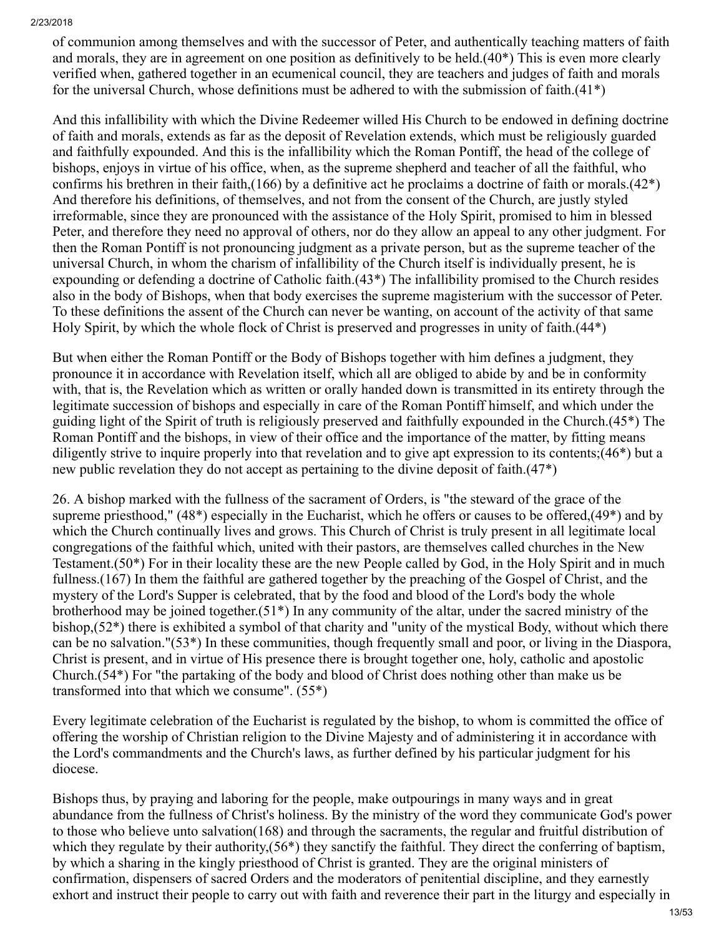of communion among themselves and with the successor of Peter, and authentically teaching matters of faith and morals, they are in agreement on one position as definitively to be held.(40\*) This is even more clearly verified when, gathered together in an ecumenical council, they are teachers and judges of faith and morals for the universal Church, whose definitions must be adhered to with the submission of faith.(41\*)

And this infallibility with which the Divine Redeemer willed His Church to be endowed in defining doctrine of faith and morals, extends as far as the deposit of Revelation extends, which must be religiously guarded and faithfully expounded. And this is the infallibility which the Roman Pontiff, the head of the college of bishops, enjoys in virtue of his office, when, as the supreme shepherd and teacher of all the faithful, who confirms his brethren in their faith,(166) by a definitive act he proclaims a doctrine of faith or morals.(42\*) And therefore his definitions, of themselves, and not from the consent of the Church, are justly styled irreformable, since they are pronounced with the assistance of the Holy Spirit, promised to him in blessed Peter, and therefore they need no approval of others, nor do they allow an appeal to any other judgment. For then the Roman Pontiff is not pronouncing judgment as a private person, but as the supreme teacher of the universal Church, in whom the charism of infallibility of the Church itself is individually present, he is expounding or defending a doctrine of Catholic faith.(43\*) The infallibility promised to the Church resides also in the body of Bishops, when that body exercises the supreme magisterium with the successor of Peter. To these definitions the assent of the Church can never be wanting, on account of the activity of that same Holy Spirit, by which the whole flock of Christ is preserved and progresses in unity of faith.(44\*)

But when either the Roman Pontiff or the Body of Bishops together with him defines a judgment, they pronounce it in accordance with Revelation itself, which all are obliged to abide by and be in conformity with, that is, the Revelation which as written or orally handed down is transmitted in its entirety through the legitimate succession of bishops and especially in care of the Roman Pontiff himself, and which under the guiding light of the Spirit of truth is religiously preserved and faithfully expounded in the Church.(45\*) The Roman Pontiff and the bishops, in view of their office and the importance of the matter, by fitting means diligently strive to inquire properly into that revelation and to give apt expression to its contents;(46\*) but a new public revelation they do not accept as pertaining to the divine deposit of faith.(47\*)

26. A bishop marked with the fullness of the sacrament of Orders, is "the steward of the grace of the supreme priesthood," (48\*) especially in the Eucharist, which he offers or causes to be offered,(49\*) and by which the Church continually lives and grows. This Church of Christ is truly present in all legitimate local congregations of the faithful which, united with their pastors, are themselves called churches in the New Testament.(50\*) For in their locality these are the new People called by God, in the Holy Spirit and in much fullness.(167) In them the faithful are gathered together by the preaching of the Gospel of Christ, and the mystery of the Lord's Supper is celebrated, that by the food and blood of the Lord's body the whole brotherhood may be joined together.(51\*) In any community of the altar, under the sacred ministry of the bishop,(52\*) there is exhibited a symbol of that charity and "unity of the mystical Body, without which there can be no salvation."(53\*) In these communities, though frequently small and poor, or living in the Diaspora, Christ is present, and in virtue of His presence there is brought together one, holy, catholic and apostolic Church.(54\*) For "the partaking of the body and blood of Christ does nothing other than make us be transformed into that which we consume". (55\*)

Every legitimate celebration of the Eucharist is regulated by the bishop, to whom is committed the office of offering the worship of Christian religion to the Divine Majesty and of administering it in accordance with the Lord's commandments and the Church's laws, as further defined by his particular judgment for his diocese.

Bishops thus, by praying and laboring for the people, make outpourings in many ways and in great abundance from the fullness of Christ's holiness. By the ministry of the word they communicate God's power to those who believe unto salvation(168) and through the sacraments, the regular and fruitful distribution of which they regulate by their authority,  $(56*)$  they sanctify the faithful. They direct the conferring of baptism, by which a sharing in the kingly priesthood of Christ is granted. They are the original ministers of confirmation, dispensers of sacred Orders and the moderators of penitential discipline, and they earnestly exhort and instruct their people to carry out with faith and reverence their part in the liturgy and especially in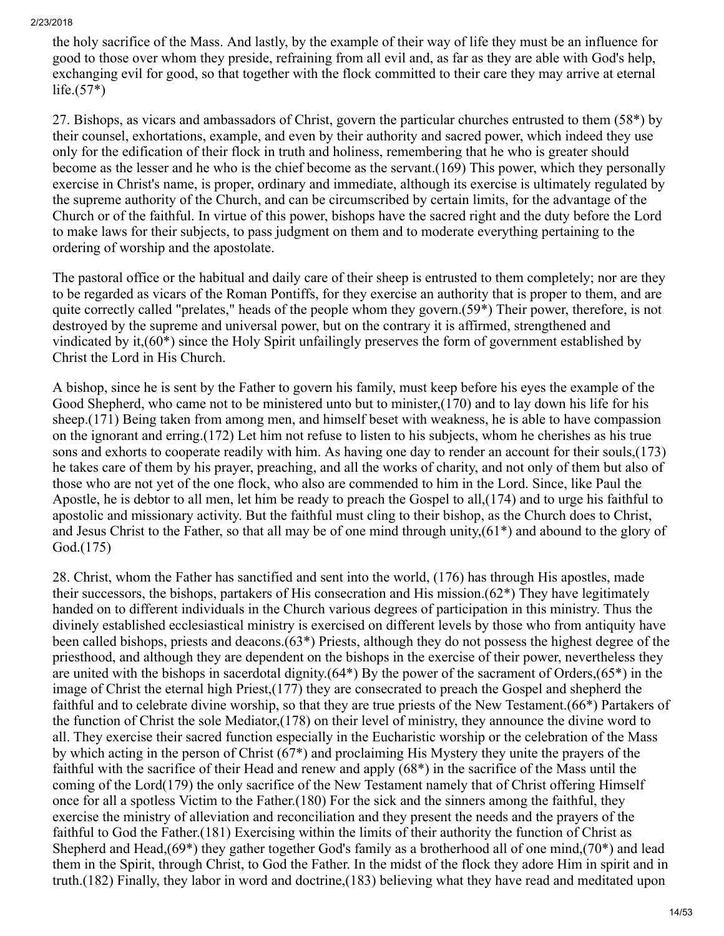the holy sacrifice of the Mass. And lastly, by the example of their way of life they must be an influence for good to those over whom they preside, refraining from all evil and, as far as they are able with God's help, exchanging evil for good, so that together with the flock committed to their care they may arrive at eternal life. $(57*)$ 

27. Bishops, as vicars and ambassadors of Christ, govern the particular churches entrusted to them (58\*) by their counsel, exhortations, example, and even by their authority and sacred power, which indeed they use only for the edification of their flock in truth and holiness, remembering that he who is greater should become as the lesser and he who is the chief become as the servant.(169) This power, which they personally exercise in Christ's name, is proper, ordinary and immediate, although its exercise is ultimately regulated by the supreme authority of the Church, and can be circumscribed by certain limits, for the advantage of the Church or of the faithful. In virtue of this power, bishops have the sacred right and the duty before the Lord to make laws for their subjects, to pass judgment on them and to moderate everything pertaining to the ordering of worship and the apostolate.

The pastoral office or the habitual and daily care of their sheep is entrusted to them completely; nor are they to be regarded as vicars of the Roman Pontiffs, for they exercise an authority that is proper to them, and are quite correctly called "prelates," heads of the people whom they govern.(59\*) Their power, therefore, is not destroyed by the supreme and universal power, but on the contrary it is affirmed, strengthened and vindicated by it,(60\*) since the Holy Spirit unfailingly preserves the form of government established by Christ the Lord in His Church.

A bishop, since he is sent by the Father to govern his family, must keep before his eyes the example of the Good Shepherd, who came not to be ministered unto but to minister,(170) and to lay down his life for his sheep.(171) Being taken from among men, and himself beset with weakness, he is able to have compassion on the ignorant and erring.(172) Let him not refuse to listen to his subjects, whom he cherishes as his true sons and exhorts to cooperate readily with him. As having one day to render an account for their souls,(173) he takes care of them by his prayer, preaching, and all the works of charity, and not only of them but also of those who are not yet of the one flock, who also are commended to him in the Lord. Since, like Paul the Apostle, he is debtor to all men, let him be ready to preach the Gospel to all,(174) and to urge his faithful to apostolic and missionary activity. But the faithful must cling to their bishop, as the Church does to Christ, and Jesus Christ to the Father, so that all may be of one mind through unity,(61\*) and abound to the glory of God.(175)

28. Christ, whom the Father has sanctified and sent into the world, (176) has through His apostles, made their successors, the bishops, partakers of His consecration and His mission.(62\*) They have legitimately handed on to different individuals in the Church various degrees of participation in this ministry. Thus the divinely established ecclesiastical ministry is exercised on different levels by those who from antiquity have been called bishops, priests and deacons.(63\*) Priests, although they do not possess the highest degree of the priesthood, and although they are dependent on the bishops in the exercise of their power, nevertheless they are united with the bishops in sacerdotal dignity.(64\*) By the power of the sacrament of Orders,(65\*) in the image of Christ the eternal high Priest,(177) they are consecrated to preach the Gospel and shepherd the faithful and to celebrate divine worship, so that they are true priests of the New Testament.(66\*) Partakers of the function of Christ the sole Mediator,(178) on their level of ministry, they announce the divine word to all. They exercise their sacred function especially in the Eucharistic worship or the celebration of the Mass by which acting in the person of Christ (67\*) and proclaiming His Mystery they unite the prayers of the faithful with the sacrifice of their Head and renew and apply (68\*) in the sacrifice of the Mass until the coming of the Lord(179) the only sacrifice of the New Testament namely that of Christ offering Himself once for all a spotless Victim to the Father.(180) For the sick and the sinners among the faithful, they exercise the ministry of alleviation and reconciliation and they present the needs and the prayers of the faithful to God the Father.(181) Exercising within the limits of their authority the function of Christ as Shepherd and Head, $(69^*)$  they gather together God's family as a brotherhood all of one mind,  $(70^*)$  and lead them in the Spirit, through Christ, to God the Father. In the midst of the flock they adore Him in spirit and in truth.(182) Finally, they labor in word and doctrine,(183) believing what they have read and meditated upon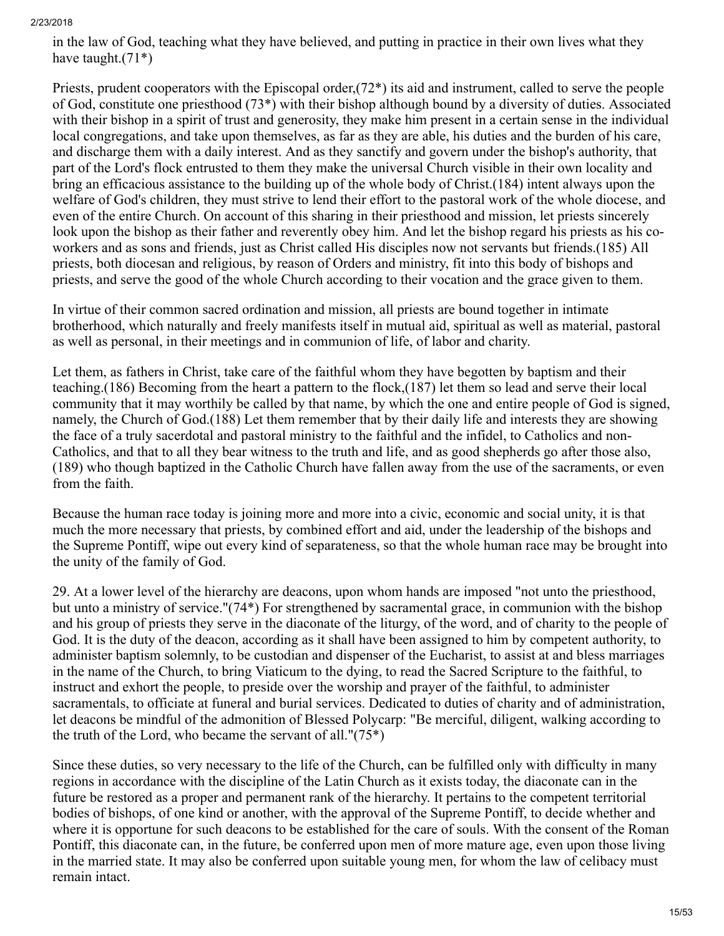in the law of God, teaching what they have believed, and putting in practice in their own lives what they have taught. $(71^*)$ 

Priests, prudent cooperators with the Episcopal order,(72\*) its aid and instrument, called to serve the people of God, constitute one priesthood (73\*) with their bishop although bound by a diversity of duties. Associated with their bishop in a spirit of trust and generosity, they make him present in a certain sense in the individual local congregations, and take upon themselves, as far as they are able, his duties and the burden of his care, and discharge them with a daily interest. And as they sanctify and govern under the bishop's authority, that part of the Lord's flock entrusted to them they make the universal Church visible in their own locality and bring an efficacious assistance to the building up of the whole body of Christ.(184) intent always upon the welfare of God's children, they must strive to lend their effort to the pastoral work of the whole diocese, and even of the entire Church. On account of this sharing in their priesthood and mission, let priests sincerely look upon the bishop as their father and reverently obey him. And let the bishop regard his priests as his coworkers and as sons and friends, just as Christ called His disciples now not servants but friends.(185) All priests, both diocesan and religious, by reason of Orders and ministry, fit into this body of bishops and priests, and serve the good of the whole Church according to their vocation and the grace given to them.

In virtue of their common sacred ordination and mission, all priests are bound together in intimate brotherhood, which naturally and freely manifests itself in mutual aid, spiritual as well as material, pastoral as well as personal, in their meetings and in communion of life, of labor and charity.

Let them, as fathers in Christ, take care of the faithful whom they have begotten by baptism and their teaching.(186) Becoming from the heart a pattern to the flock,(187) let them so lead and serve their local community that it may worthily be called by that name, by which the one and entire people of God is signed, namely, the Church of God.(188) Let them remember that by their daily life and interests they are showing the face of a truly sacerdotal and pastoral ministry to the faithful and the infidel, to Catholics and non-Catholics, and that to all they bear witness to the truth and life, and as good shepherds go after those also, (189) who though baptized in the Catholic Church have fallen away from the use of the sacraments, or even from the faith.

Because the human race today is joining more and more into a civic, economic and social unity, it is that much the more necessary that priests, by combined effort and aid, under the leadership of the bishops and the Supreme Pontiff, wipe out every kind of separateness, so that the whole human race may be brought into the unity of the family of God.

29. At a lower level of the hierarchy are deacons, upon whom hands are imposed "not unto the priesthood, but unto a ministry of service."(74\*) For strengthened by sacramental grace, in communion with the bishop and his group of priests they serve in the diaconate of the liturgy, of the word, and of charity to the people of God. It is the duty of the deacon, according as it shall have been assigned to him by competent authority, to administer baptism solemnly, to be custodian and dispenser of the Eucharist, to assist at and bless marriages in the name of the Church, to bring Viaticum to the dying, to read the Sacred Scripture to the faithful, to instruct and exhort the people, to preside over the worship and prayer of the faithful, to administer sacramentals, to officiate at funeral and burial services. Dedicated to duties of charity and of administration, let deacons be mindful of the admonition of Blessed Polycarp: "Be merciful, diligent, walking according to the truth of the Lord, who became the servant of all."(75\*)

Since these duties, so very necessary to the life of the Church, can be fulfilled only with difficulty in many regions in accordance with the discipline of the Latin Church as it exists today, the diaconate can in the future be restored as a proper and permanent rank of the hierarchy. It pertains to the competent territorial bodies of bishops, of one kind or another, with the approval of the Supreme Pontiff, to decide whether and where it is opportune for such deacons to be established for the care of souls. With the consent of the Roman Pontiff, this diaconate can, in the future, be conferred upon men of more mature age, even upon those living in the married state. It may also be conferred upon suitable young men, for whom the law of celibacy must remain intact.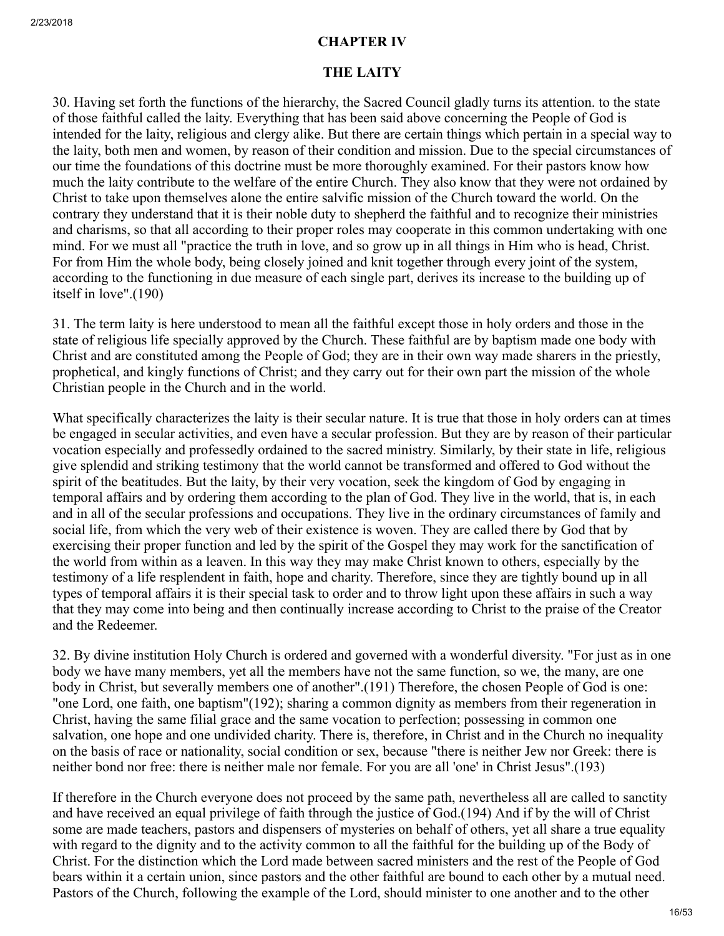## CHAPTER IV

# THE LAITY

30. Having set forth the functions of the hierarchy, the Sacred Council gladly turns its attention. to the state of those faithful called the laity. Everything that has been said above concerning the People of God is intended for the laity, religious and clergy alike. But there are certain things which pertain in a special way to the laity, both men and women, by reason of their condition and mission. Due to the special circumstances of our time the foundations of this doctrine must be more thoroughly examined. For their pastors know how much the laity contribute to the welfare of the entire Church. They also know that they were not ordained by Christ to take upon themselves alone the entire salvific mission of the Church toward the world. On the contrary they understand that it is their noble duty to shepherd the faithful and to recognize their ministries and charisms, so that all according to their proper roles may cooperate in this common undertaking with one mind. For we must all "practice the truth in love, and so grow up in all things in Him who is head, Christ. For from Him the whole body, being closely joined and knit together through every joint of the system, according to the functioning in due measure of each single part, derives its increase to the building up of itself in love".(190)

31. The term laity is here understood to mean all the faithful except those in holy orders and those in the state of religious life specially approved by the Church. These faithful are by baptism made one body with Christ and are constituted among the People of God; they are in their own way made sharers in the priestly, prophetical, and kingly functions of Christ; and they carry out for their own part the mission of the whole Christian people in the Church and in the world.

What specifically characterizes the laity is their secular nature. It is true that those in holy orders can at times be engaged in secular activities, and even have a secular profession. But they are by reason of their particular vocation especially and professedly ordained to the sacred ministry. Similarly, by their state in life, religious give splendid and striking testimony that the world cannot be transformed and offered to God without the spirit of the beatitudes. But the laity, by their very vocation, seek the kingdom of God by engaging in temporal affairs and by ordering them according to the plan of God. They live in the world, that is, in each and in all of the secular professions and occupations. They live in the ordinary circumstances of family and social life, from which the very web of their existence is woven. They are called there by God that by exercising their proper function and led by the spirit of the Gospel they may work for the sanctification of the world from within as a leaven. In this way they may make Christ known to others, especially by the testimony of a life resplendent in faith, hope and charity. Therefore, since they are tightly bound up in all types of temporal affairs it is their special task to order and to throw light upon these affairs in such a way that they may come into being and then continually increase according to Christ to the praise of the Creator and the Redeemer.

32. By divine institution Holy Church is ordered and governed with a wonderful diversity. "For just as in one body we have many members, yet all the members have not the same function, so we, the many, are one body in Christ, but severally members one of another".(191) Therefore, the chosen People of God is one: "one Lord, one faith, one baptism"(192); sharing a common dignity as members from their regeneration in Christ, having the same filial grace and the same vocation to perfection; possessing in common one salvation, one hope and one undivided charity. There is, therefore, in Christ and in the Church no inequality on the basis of race or nationality, social condition or sex, because "there is neither Jew nor Greek: there is neither bond nor free: there is neither male nor female. For you are all 'one' in Christ Jesus".(193)

If therefore in the Church everyone does not proceed by the same path, nevertheless all are called to sanctity and have received an equal privilege of faith through the justice of God.(194) And if by the will of Christ some are made teachers, pastors and dispensers of mysteries on behalf of others, yet all share a true equality with regard to the dignity and to the activity common to all the faithful for the building up of the Body of Christ. For the distinction which the Lord made between sacred ministers and the rest of the People of God bears within it a certain union, since pastors and the other faithful are bound to each other by a mutual need. Pastors of the Church, following the example of the Lord, should minister to one another and to the other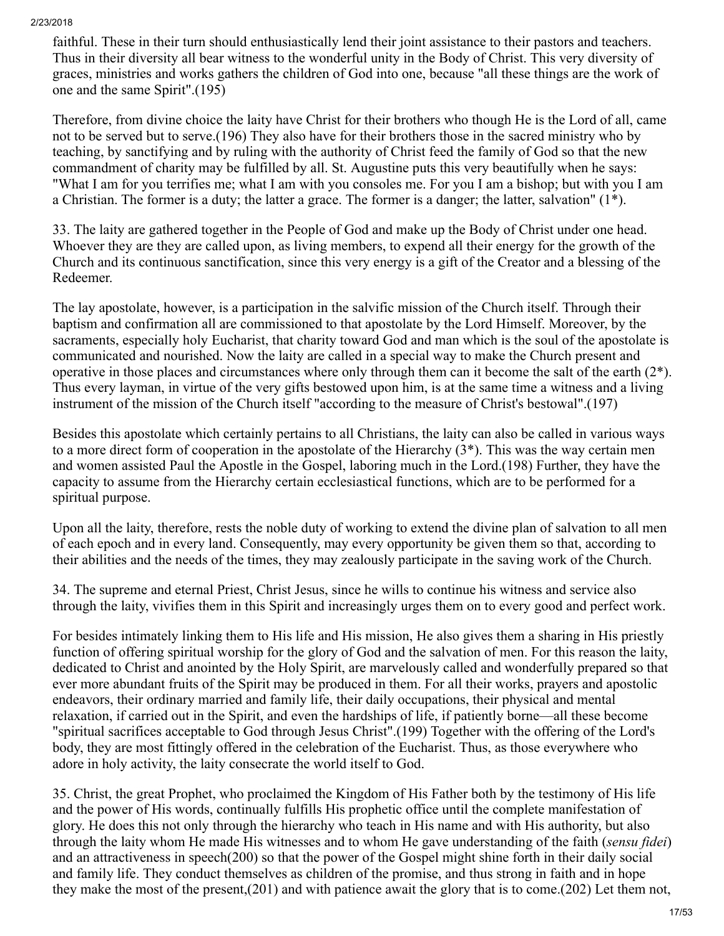faithful. These in their turn should enthusiastically lend their joint assistance to their pastors and teachers. Thus in their diversity all bear witness to the wonderful unity in the Body of Christ. This very diversity of graces, ministries and works gathers the children of God into one, because "all these things are the work of one and the same Spirit".(195)

Therefore, from divine choice the laity have Christ for their brothers who though He is the Lord of all, came not to be served but to serve.(196) They also have for their brothers those in the sacred ministry who by teaching, by sanctifying and by ruling with the authority of Christ feed the family of God so that the new commandment of charity may be fulfilled by all. St. Augustine puts this very beautifully when he says: "What I am for you terrifies me; what I am with you consoles me. For you I am a bishop; but with you I am a Christian. The former is a duty; the latter a grace. The former is a danger; the latter, salvation" (1\*).

33. The laity are gathered together in the People of God and make up the Body of Christ under one head. Whoever they are they are called upon, as living members, to expend all their energy for the growth of the Church and its continuous sanctification, since this very energy is a gift of the Creator and a blessing of the Redeemer.

The lay apostolate, however, is a participation in the salvific mission of the Church itself. Through their baptism and confirmation all are commissioned to that apostolate by the Lord Himself. Moreover, by the sacraments, especially holy Eucharist, that charity toward God and man which is the soul of the apostolate is communicated and nourished. Now the laity are called in a special way to make the Church present and operative in those places and circumstances where only through them can it become the salt of the earth  $(2^*)$ . Thus every layman, in virtue of the very gifts bestowed upon him, is at the same time a witness and a living instrument of the mission of the Church itself "according to the measure of Christ's bestowal".(197)

Besides this apostolate which certainly pertains to all Christians, the laity can also be called in various ways to a more direct form of cooperation in the apostolate of the Hierarchy  $(3^*)$ . This was the way certain men and women assisted Paul the Apostle in the Gospel, laboring much in the Lord.(198) Further, they have the capacity to assume from the Hierarchy certain ecclesiastical functions, which are to be performed for a spiritual purpose.

Upon all the laity, therefore, rests the noble duty of working to extend the divine plan of salvation to all men of each epoch and in every land. Consequently, may every opportunity be given them so that, according to their abilities and the needs of the times, they may zealously participate in the saving work of the Church.

34. The supreme and eternal Priest, Christ Jesus, since he wills to continue his witness and service also through the laity, vivifies them in this Spirit and increasingly urges them on to every good and perfect work.

For besides intimately linking them to His life and His mission, He also gives them a sharing in His priestly function of offering spiritual worship for the glory of God and the salvation of men. For this reason the laity, dedicated to Christ and anointed by the Holy Spirit, are marvelously called and wonderfully prepared so that ever more abundant fruits of the Spirit may be produced in them. For all their works, prayers and apostolic endeavors, their ordinary married and family life, their daily occupations, their physical and mental relaxation, if carried out in the Spirit, and even the hardships of life, if patiently borne—all these become "spiritual sacrifices acceptable to God through Jesus Christ".(199) Together with the offering of the Lord's body, they are most fittingly offered in the celebration of the Eucharist. Thus, as those everywhere who adore in holy activity, the laity consecrate the world itself to God.

35. Christ, the great Prophet, who proclaimed the Kingdom of His Father both by the testimony of His life and the power of His words, continually fulfills His prophetic office until the complete manifestation of glory. He does this not only through the hierarchy who teach in His name and with His authority, but also through the laity whom He made His witnesses and to whom He gave understanding of the faith (*sensu fidei*) and an attractiveness in speech(200) so that the power of the Gospel might shine forth in their daily social and family life. They conduct themselves as children of the promise, and thus strong in faith and in hope they make the most of the present,(201) and with patience await the glory that is to come.(202) Let them not,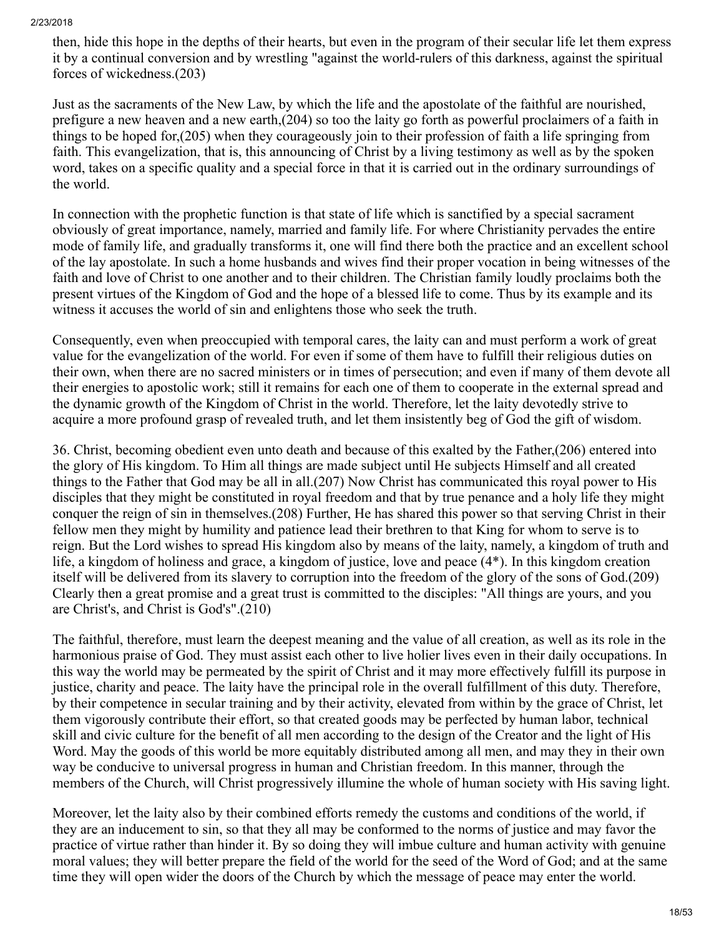then, hide this hope in the depths of their hearts, but even in the program of their secular life let them express it by a continual conversion and by wrestling "against the world-rulers of this darkness, against the spiritual forces of wickedness.(203)

Just as the sacraments of the New Law, by which the life and the apostolate of the faithful are nourished, prefigure a new heaven and a new earth,(204) so too the laity go forth as powerful proclaimers of a faith in things to be hoped for,(205) when they courageously join to their profession of faith a life springing from faith. This evangelization, that is, this announcing of Christ by a living testimony as well as by the spoken word, takes on a specific quality and a special force in that it is carried out in the ordinary surroundings of the world.

In connection with the prophetic function is that state of life which is sanctified by a special sacrament obviously of great importance, namely, married and family life. For where Christianity pervades the entire mode of family life, and gradually transforms it, one will find there both the practice and an excellent school of the lay apostolate. In such a home husbands and wives find their proper vocation in being witnesses of the faith and love of Christ to one another and to their children. The Christian family loudly proclaims both the present virtues of the Kingdom of God and the hope of a blessed life to come. Thus by its example and its witness it accuses the world of sin and enlightens those who seek the truth.

Consequently, even when preoccupied with temporal cares, the laity can and must perform a work of great value for the evangelization of the world. For even if some of them have to fulfill their religious duties on their own, when there are no sacred ministers or in times of persecution; and even if many of them devote all their energies to apostolic work; still it remains for each one of them to cooperate in the external spread and the dynamic growth of the Kingdom of Christ in the world. Therefore, let the laity devotedly strive to acquire a more profound grasp of revealed truth, and let them insistently beg of God the gift of wisdom.

36. Christ, becoming obedient even unto death and because of this exalted by the Father,(206) entered into the glory of His kingdom. To Him all things are made subject until He subjects Himself and all created things to the Father that God may be all in all.(207) Now Christ has communicated this royal power to His disciples that they might be constituted in royal freedom and that by true penance and a holy life they might conquer the reign of sin in themselves.(208) Further, He has shared this power so that serving Christ in their fellow men they might by humility and patience lead their brethren to that King for whom to serve is to reign. But the Lord wishes to spread His kingdom also by means of the laity, namely, a kingdom of truth and life, a kingdom of holiness and grace, a kingdom of justice, love and peace (4\*). In this kingdom creation itself will be delivered from its slavery to corruption into the freedom of the glory of the sons of God.(209) Clearly then a great promise and a great trust is committed to the disciples: "All things are yours, and you are Christ's, and Christ is God's".(210)

The faithful, therefore, must learn the deepest meaning and the value of all creation, as well as its role in the harmonious praise of God. They must assist each other to live holier lives even in their daily occupations. In this way the world may be permeated by the spirit of Christ and it may more effectively fulfill its purpose in justice, charity and peace. The laity have the principal role in the overall fulfillment of this duty. Therefore, by their competence in secular training and by their activity, elevated from within by the grace of Christ, let them vigorously contribute their effort, so that created goods may be perfected by human labor, technical skill and civic culture for the benefit of all men according to the design of the Creator and the light of His Word. May the goods of this world be more equitably distributed among all men, and may they in their own way be conducive to universal progress in human and Christian freedom. In this manner, through the members of the Church, will Christ progressively illumine the whole of human society with His saving light.

Moreover, let the laity also by their combined efforts remedy the customs and conditions of the world, if they are an inducement to sin, so that they all may be conformed to the norms of justice and may favor the practice of virtue rather than hinder it. By so doing they will imbue culture and human activity with genuine moral values; they will better prepare the field of the world for the seed of the Word of God; and at the same time they will open wider the doors of the Church by which the message of peace may enter the world.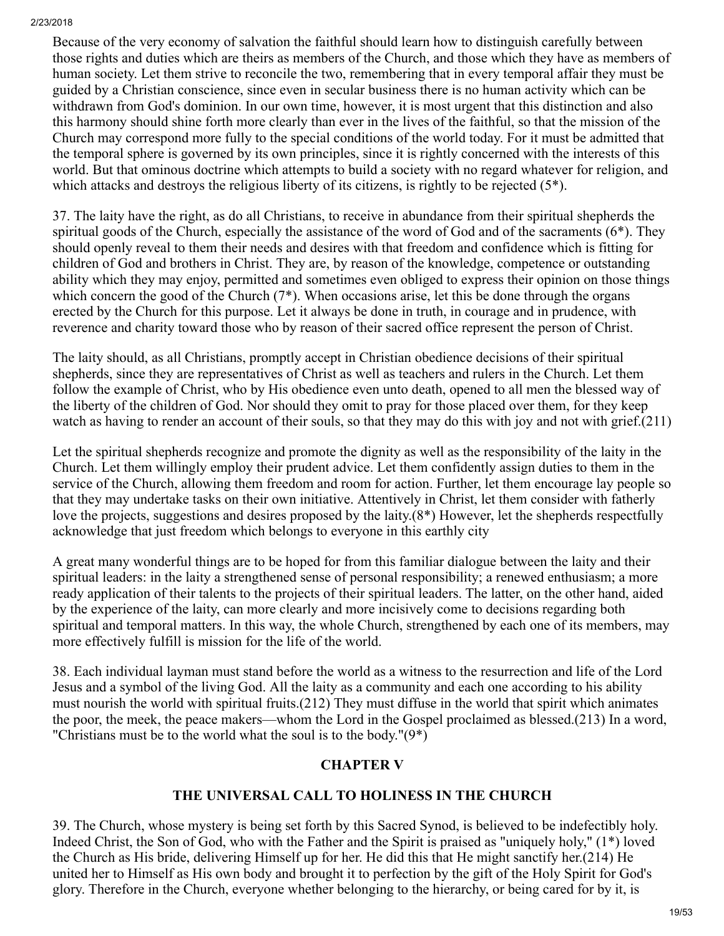Because of the very economy of salvation the faithful should learn how to distinguish carefully between those rights and duties which are theirs as members of the Church, and those which they have as members of human society. Let them strive to reconcile the two, remembering that in every temporal affair they must be guided by a Christian conscience, since even in secular business there is no human activity which can be withdrawn from God's dominion. In our own time, however, it is most urgent that this distinction and also this harmony should shine forth more clearly than ever in the lives of the faithful, so that the mission of the Church may correspond more fully to the special conditions of the world today. For it must be admitted that the temporal sphere is governed by its own principles, since it is rightly concerned with the interests of this world. But that ominous doctrine which attempts to build a society with no regard whatever for religion, and which attacks and destroys the religious liberty of its citizens, is rightly to be rejected  $(5^*)$ .

37. The laity have the right, as do all Christians, to receive in abundance from their spiritual shepherds the spiritual goods of the Church, especially the assistance of the word of God and of the sacraments (6\*). They should openly reveal to them their needs and desires with that freedom and confidence which is fitting for children of God and brothers in Christ. They are, by reason of the knowledge, competence or outstanding ability which they may enjoy, permitted and sometimes even obliged to express their opinion on those things which concern the good of the Church (7<sup>\*</sup>). When occasions arise, let this be done through the organs erected by the Church for this purpose. Let it always be done in truth, in courage and in prudence, with reverence and charity toward those who by reason of their sacred office represent the person of Christ.

The laity should, as all Christians, promptly accept in Christian obedience decisions of their spiritual shepherds, since they are representatives of Christ as well as teachers and rulers in the Church. Let them follow the example of Christ, who by His obedience even unto death, opened to all men the blessed way of the liberty of the children of God. Nor should they omit to pray for those placed over them, for they keep watch as having to render an account of their souls, so that they may do this with joy and not with grief.(211)

Let the spiritual shepherds recognize and promote the dignity as well as the responsibility of the laity in the Church. Let them willingly employ their prudent advice. Let them confidently assign duties to them in the service of the Church, allowing them freedom and room for action. Further, let them encourage lay people so that they may undertake tasks on their own initiative. Attentively in Christ, let them consider with fatherly love the projects, suggestions and desires proposed by the laity.(8\*) However, let the shepherds respectfully acknowledge that just freedom which belongs to everyone in this earthly city

A great many wonderful things are to be hoped for from this familiar dialogue between the laity and their spiritual leaders: in the laity a strengthened sense of personal responsibility; a renewed enthusiasm; a more ready application of their talents to the projects of their spiritual leaders. The latter, on the other hand, aided by the experience of the laity, can more clearly and more incisively come to decisions regarding both spiritual and temporal matters. In this way, the whole Church, strengthened by each one of its members, may more effectively fulfill is mission for the life of the world.

38. Each individual layman must stand before the world as a witness to the resurrection and life of the Lord Jesus and a symbol of the living God. All the laity as a community and each one according to his ability must nourish the world with spiritual fruits.(212) They must diffuse in the world that spirit which animates the poor, the meek, the peace makers—whom the Lord in the Gospel proclaimed as blessed.(213) In a word, "Christians must be to the world what the soul is to the body."(9\*)

## CHAPTER V

# THE UNIVERSAL CALL TO HOLINESS IN THE CHURCH

39. The Church, whose mystery is being set forth by this Sacred Synod, is believed to be indefectibly holy. Indeed Christ, the Son of God, who with the Father and the Spirit is praised as "uniquely holy," (1\*) loved the Church as His bride, delivering Himself up for her. He did this that He might sanctify her.(214) He united her to Himself as His own body and brought it to perfection by the gift of the Holy Spirit for God's glory. Therefore in the Church, everyone whether belonging to the hierarchy, or being cared for by it, is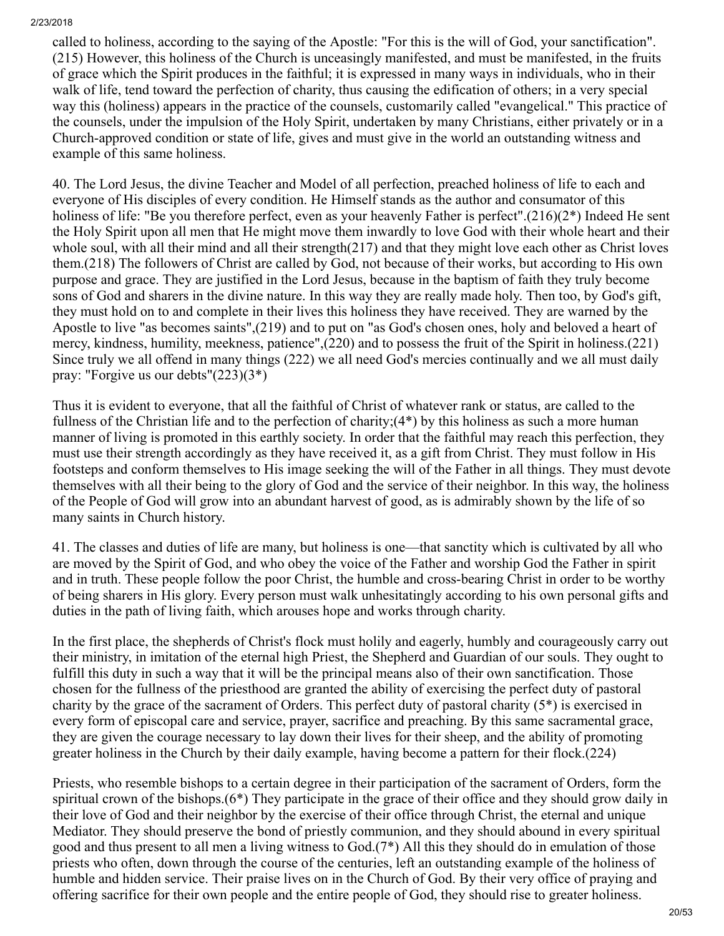called to holiness, according to the saying of the Apostle: "For this is the will of God, your sanctification". (215) However, this holiness of the Church is unceasingly manifested, and must be manifested, in the fruits of grace which the Spirit produces in the faithful; it is expressed in many ways in individuals, who in their walk of life, tend toward the perfection of charity, thus causing the edification of others; in a very special way this (holiness) appears in the practice of the counsels, customarily called "evangelical." This practice of the counsels, under the impulsion of the Holy Spirit, undertaken by many Christians, either privately or in a Church-approved condition or state of life, gives and must give in the world an outstanding witness and example of this same holiness.

40. The Lord Jesus, the divine Teacher and Model of all perfection, preached holiness of life to each and everyone of His disciples of every condition. He Himself stands as the author and consumator of this holiness of life: "Be you therefore perfect, even as your heavenly Father is perfect".(216)(2\*) Indeed He sent the Holy Spirit upon all men that He might move them inwardly to love God with their whole heart and their whole soul, with all their mind and all their strength(217) and that they might love each other as Christ loves them.(218) The followers of Christ are called by God, not because of their works, but according to His own purpose and grace. They are justified in the Lord Jesus, because in the baptism of faith they truly become sons of God and sharers in the divine nature. In this way they are really made holy. Then too, by God's gift, they must hold on to and complete in their lives this holiness they have received. They are warned by the Apostle to live "as becomes saints",(219) and to put on "as God's chosen ones, holy and beloved a heart of mercy, kindness, humility, meekness, patience",(220) and to possess the fruit of the Spirit in holiness.(221) Since truly we all offend in many things (222) we all need God's mercies continually and we all must daily pray: "Forgive us our debts"(223)(3\*)

Thus it is evident to everyone, that all the faithful of Christ of whatever rank or status, are called to the fullness of the Christian life and to the perfection of charity;(4\*) by this holiness as such a more human manner of living is promoted in this earthly society. In order that the faithful may reach this perfection, they must use their strength accordingly as they have received it, as a gift from Christ. They must follow in His footsteps and conform themselves to His image seeking the will of the Father in all things. They must devote themselves with all their being to the glory of God and the service of their neighbor. In this way, the holiness of the People of God will grow into an abundant harvest of good, as is admirably shown by the life of so many saints in Church history.

41. The classes and duties of life are many, but holiness is one—that sanctity which is cultivated by all who are moved by the Spirit of God, and who obey the voice of the Father and worship God the Father in spirit and in truth. These people follow the poor Christ, the humble and cross-bearing Christ in order to be worthy of being sharers in His glory. Every person must walk unhesitatingly according to his own personal gifts and duties in the path of living faith, which arouses hope and works through charity.

In the first place, the shepherds of Christ's flock must holily and eagerly, humbly and courageously carry out their ministry, in imitation of the eternal high Priest, the Shepherd and Guardian of our souls. They ought to fulfill this duty in such a way that it will be the principal means also of their own sanctification. Those chosen for the fullness of the priesthood are granted the ability of exercising the perfect duty of pastoral charity by the grace of the sacrament of Orders. This perfect duty of pastoral charity (5\*) is exercised in every form of episcopal care and service, prayer, sacrifice and preaching. By this same sacramental grace, they are given the courage necessary to lay down their lives for their sheep, and the ability of promoting greater holiness in the Church by their daily example, having become a pattern for their flock.(224)

Priests, who resemble bishops to a certain degree in their participation of the sacrament of Orders, form the spiritual crown of the bishops.(6\*) They participate in the grace of their office and they should grow daily in their love of God and their neighbor by the exercise of their office through Christ, the eternal and unique Mediator. They should preserve the bond of priestly communion, and they should abound in every spiritual good and thus present to all men a living witness to God.(7\*) All this they should do in emulation of those priests who often, down through the course of the centuries, left an outstanding example of the holiness of humble and hidden service. Their praise lives on in the Church of God. By their very office of praying and offering sacrifice for their own people and the entire people of God, they should rise to greater holiness.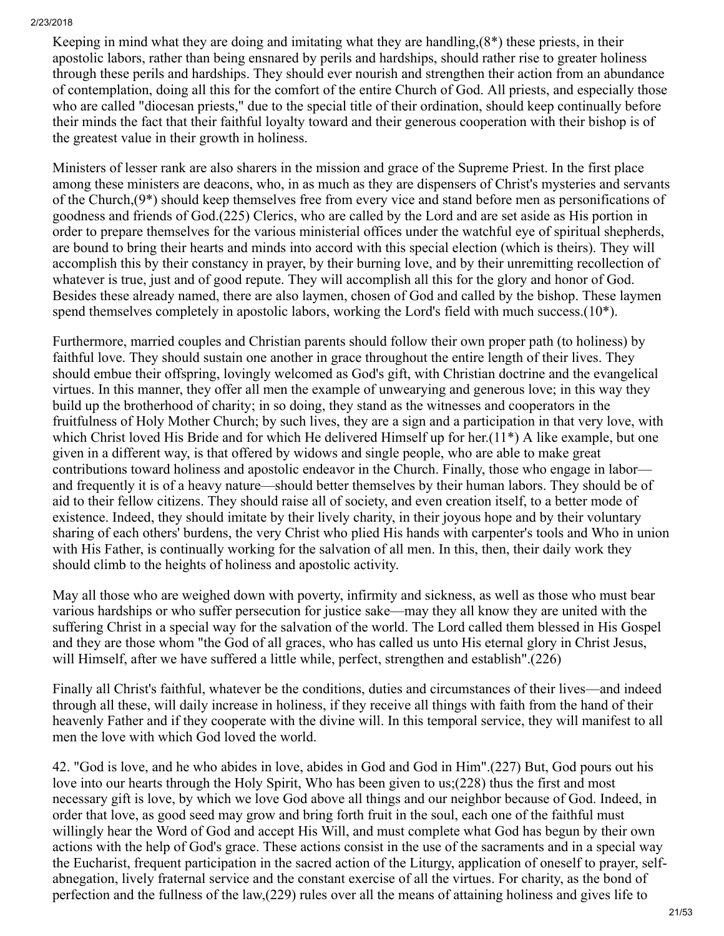Keeping in mind what they are doing and imitating what they are handling,(8\*) these priests, in their apostolic labors, rather than being ensnared by perils and hardships, should rather rise to greater holiness through these perils and hardships. They should ever nourish and strengthen their action from an abundance of contemplation, doing all this for the comfort of the entire Church of God. All priests, and especially those who are called "diocesan priests," due to the special title of their ordination, should keep continually before their minds the fact that their faithful loyalty toward and their generous cooperation with their bishop is of the greatest value in their growth in holiness.

Ministers of lesser rank are also sharers in the mission and grace of the Supreme Priest. In the first place among these ministers are deacons, who, in as much as they are dispensers of Christ's mysteries and servants of the Church,(9\*) should keep themselves free from every vice and stand before men as personifications of goodness and friends of God.(225) Clerics, who are called by the Lord and are set aside as His portion in order to prepare themselves for the various ministerial offices under the watchful eye of spiritual shepherds, are bound to bring their hearts and minds into accord with this special election (which is theirs). They will accomplish this by their constancy in prayer, by their burning love, and by their unremitting recollection of whatever is true, just and of good repute. They will accomplish all this for the glory and honor of God. Besides these already named, there are also laymen, chosen of God and called by the bishop. These laymen spend themselves completely in apostolic labors, working the Lord's field with much success.(10<sup>\*</sup>).

Furthermore, married couples and Christian parents should follow their own proper path (to holiness) by faithful love. They should sustain one another in grace throughout the entire length of their lives. They should embue their offspring, lovingly welcomed as God's gift, with Christian doctrine and the evangelical virtues. In this manner, they offer all men the example of unwearying and generous love; in this way they build up the brotherhood of charity; in so doing, they stand as the witnesses and cooperators in the fruitfulness of Holy Mother Church; by such lives, they are a sign and a participation in that very love, with which Christ loved His Bride and for which He delivered Himself up for her.(11<sup>\*</sup>) A like example, but one given in a different way, is that offered by widows and single people, who are able to make great contributions toward holiness and apostolic endeavor in the Church. Finally, those who engage in labor and frequently it is of a heavy nature—should better themselves by their human labors. They should be of aid to their fellow citizens. They should raise all of society, and even creation itself, to a better mode of existence. Indeed, they should imitate by their lively charity, in their joyous hope and by their voluntary sharing of each others' burdens, the very Christ who plied His hands with carpenter's tools and Who in union with His Father, is continually working for the salvation of all men. In this, then, their daily work they should climb to the heights of holiness and apostolic activity.

May all those who are weighed down with poverty, infirmity and sickness, as well as those who must bear various hardships or who suffer persecution for justice sake—may they all know they are united with the suffering Christ in a special way for the salvation of the world. The Lord called them blessed in His Gospel and they are those whom "the God of all graces, who has called us unto His eternal glory in Christ Jesus, will Himself, after we have suffered a little while, perfect, strengthen and establish".(226)

Finally all Christ's faithful, whatever be the conditions, duties and circumstances of their lives—and indeed through all these, will daily increase in holiness, if they receive all things with faith from the hand of their heavenly Father and if they cooperate with the divine will. In this temporal service, they will manifest to all men the love with which God loved the world.

42. "God is love, and he who abides in love, abides in God and God in Him".(227) But, God pours out his love into our hearts through the Holy Spirit, Who has been given to us;(228) thus the first and most necessary gift is love, by which we love God above all things and our neighbor because of God. Indeed, in order that love, as good seed may grow and bring forth fruit in the soul, each one of the faithful must willingly hear the Word of God and accept His Will, and must complete what God has begun by their own actions with the help of God's grace. These actions consist in the use of the sacraments and in a special way the Eucharist, frequent participation in the sacred action of the Liturgy, application of oneself to prayer, selfabnegation, lively fraternal service and the constant exercise of all the virtues. For charity, as the bond of perfection and the fullness of the law,(229) rules over all the means of attaining holiness and gives life to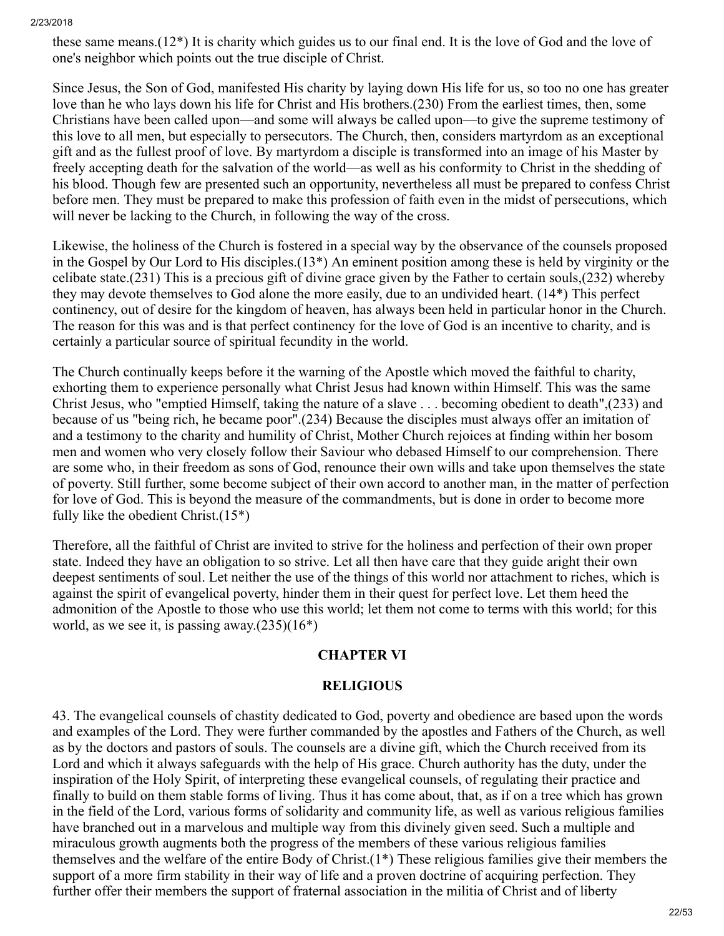these same means.(12\*) It is charity which guides us to our final end. It is the love of God and the love of one's neighbor which points out the true disciple of Christ.

Since Jesus, the Son of God, manifested His charity by laying down His life for us, so too no one has greater love than he who lays down his life for Christ and His brothers.(230) From the earliest times, then, some Christians have been called upon—and some will always be called upon—to give the supreme testimony of this love to all men, but especially to persecutors. The Church, then, considers martyrdom as an exceptional gift and as the fullest proof of love. By martyrdom a disciple is transformed into an image of his Master by freely accepting death for the salvation of the world—as well as his conformity to Christ in the shedding of his blood. Though few are presented such an opportunity, nevertheless all must be prepared to confess Christ before men. They must be prepared to make this profession of faith even in the midst of persecutions, which will never be lacking to the Church, in following the way of the cross.

Likewise, the holiness of the Church is fostered in a special way by the observance of the counsels proposed in the Gospel by Our Lord to His disciples.(13\*) An eminent position among these is held by virginity or the celibate state.(231) This is a precious gift of divine grace given by the Father to certain souls,(232) whereby they may devote themselves to God alone the more easily, due to an undivided heart. (14\*) This perfect continency, out of desire for the kingdom of heaven, has always been held in particular honor in the Church. The reason for this was and is that perfect continency for the love of God is an incentive to charity, and is certainly a particular source of spiritual fecundity in the world.

The Church continually keeps before it the warning of the Apostle which moved the faithful to charity, exhorting them to experience personally what Christ Jesus had known within Himself. This was the same Christ Jesus, who "emptied Himself, taking the nature of a slave . . . becoming obedient to death",(233) and because of us "being rich, he became poor".(234) Because the disciples must always offer an imitation of and a testimony to the charity and humility of Christ, Mother Church rejoices at finding within her bosom men and women who very closely follow their Saviour who debased Himself to our comprehension. There are some who, in their freedom as sons of God, renounce their own wills and take upon themselves the state of poverty. Still further, some become subject of their own accord to another man, in the matter of perfection for love of God. This is beyond the measure of the commandments, but is done in order to become more fully like the obedient Christ.(15\*)

Therefore, all the faithful of Christ are invited to strive for the holiness and perfection of their own proper state. Indeed they have an obligation to so strive. Let all then have care that they guide aright their own deepest sentiments of soul. Let neither the use of the things of this world nor attachment to riches, which is against the spirit of evangelical poverty, hinder them in their quest for perfect love. Let them heed the admonition of the Apostle to those who use this world; let them not come to terms with this world; for this world, as we see it, is passing away. $(235)(16^*)$ 

### CHAPTER VI

### RELIGIOUS

43. The evangelical counsels of chastity dedicated to God, poverty and obedience are based upon the words and examples of the Lord. They were further commanded by the apostles and Fathers of the Church, as well as by the doctors and pastors of souls. The counsels are a divine gift, which the Church received from its Lord and which it always safeguards with the help of His grace. Church authority has the duty, under the inspiration of the Holy Spirit, of interpreting these evangelical counsels, of regulating their practice and finally to build on them stable forms of living. Thus it has come about, that, as if on a tree which has grown in the field of the Lord, various forms of solidarity and community life, as well as various religious families have branched out in a marvelous and multiple way from this divinely given seed. Such a multiple and miraculous growth augments both the progress of the members of these various religious families themselves and the welfare of the entire Body of Christ.(1\*) These religious families give their members the support of a more firm stability in their way of life and a proven doctrine of acquiring perfection. They further offer their members the support of fraternal association in the militia of Christ and of liberty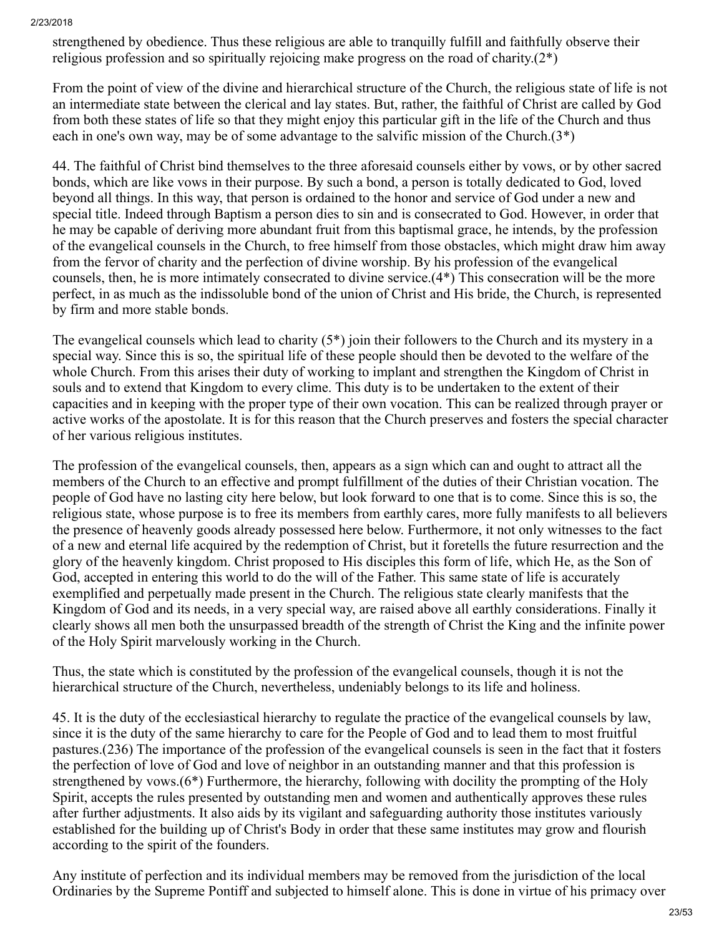strengthened by obedience. Thus these religious are able to tranquilly fulfill and faithfully observe their religious profession and so spiritually rejoicing make progress on the road of charity.(2\*)

From the point of view of the divine and hierarchical structure of the Church, the religious state of life is not an intermediate state between the clerical and lay states. But, rather, the faithful of Christ are called by God from both these states of life so that they might enjoy this particular gift in the life of the Church and thus each in one's own way, may be of some advantage to the salvific mission of the Church.(3\*)

44. The faithful of Christ bind themselves to the three aforesaid counsels either by vows, or by other sacred bonds, which are like vows in their purpose. By such a bond, a person is totally dedicated to God, loved beyond all things. In this way, that person is ordained to the honor and service of God under a new and special title. Indeed through Baptism a person dies to sin and is consecrated to God. However, in order that he may be capable of deriving more abundant fruit from this baptismal grace, he intends, by the profession of the evangelical counsels in the Church, to free himself from those obstacles, which might draw him away from the fervor of charity and the perfection of divine worship. By his profession of the evangelical counsels, then, he is more intimately consecrated to divine service.(4\*) This consecration will be the more perfect, in as much as the indissoluble bond of the union of Christ and His bride, the Church, is represented by firm and more stable bonds.

The evangelical counsels which lead to charity (5\*) join their followers to the Church and its mystery in a special way. Since this is so, the spiritual life of these people should then be devoted to the welfare of the whole Church. From this arises their duty of working to implant and strengthen the Kingdom of Christ in souls and to extend that Kingdom to every clime. This duty is to be undertaken to the extent of their capacities and in keeping with the proper type of their own vocation. This can be realized through prayer or active works of the apostolate. It is for this reason that the Church preserves and fosters the special character of her various religious institutes.

The profession of the evangelical counsels, then, appears as a sign which can and ought to attract all the members of the Church to an effective and prompt fulfillment of the duties of their Christian vocation. The people of God have no lasting city here below, but look forward to one that is to come. Since this is so, the religious state, whose purpose is to free its members from earthly cares, more fully manifests to all believers the presence of heavenly goods already possessed here below. Furthermore, it not only witnesses to the fact of a new and eternal life acquired by the redemption of Christ, but it foretells the future resurrection and the glory of the heavenly kingdom. Christ proposed to His disciples this form of life, which He, as the Son of God, accepted in entering this world to do the will of the Father. This same state of life is accurately exemplified and perpetually made present in the Church. The religious state clearly manifests that the Kingdom of God and its needs, in a very special way, are raised above all earthly considerations. Finally it clearly shows all men both the unsurpassed breadth of the strength of Christ the King and the infinite power of the Holy Spirit marvelously working in the Church.

Thus, the state which is constituted by the profession of the evangelical counsels, though it is not the hierarchical structure of the Church, nevertheless, undeniably belongs to its life and holiness.

45. It is the duty of the ecclesiastical hierarchy to regulate the practice of the evangelical counsels by law, since it is the duty of the same hierarchy to care for the People of God and to lead them to most fruitful pastures.(236) The importance of the profession of the evangelical counsels is seen in the fact that it fosters the perfection of love of God and love of neighbor in an outstanding manner and that this profession is strengthened by vows.(6\*) Furthermore, the hierarchy, following with docility the prompting of the Holy Spirit, accepts the rules presented by outstanding men and women and authentically approves these rules after further adjustments. It also aids by its vigilant and safeguarding authority those institutes variously established for the building up of Christ's Body in order that these same institutes may grow and flourish according to the spirit of the founders.

Any institute of perfection and its individual members may be removed from the jurisdiction of the local Ordinaries by the Supreme Pontiff and subjected to himself alone. This is done in virtue of his primacy over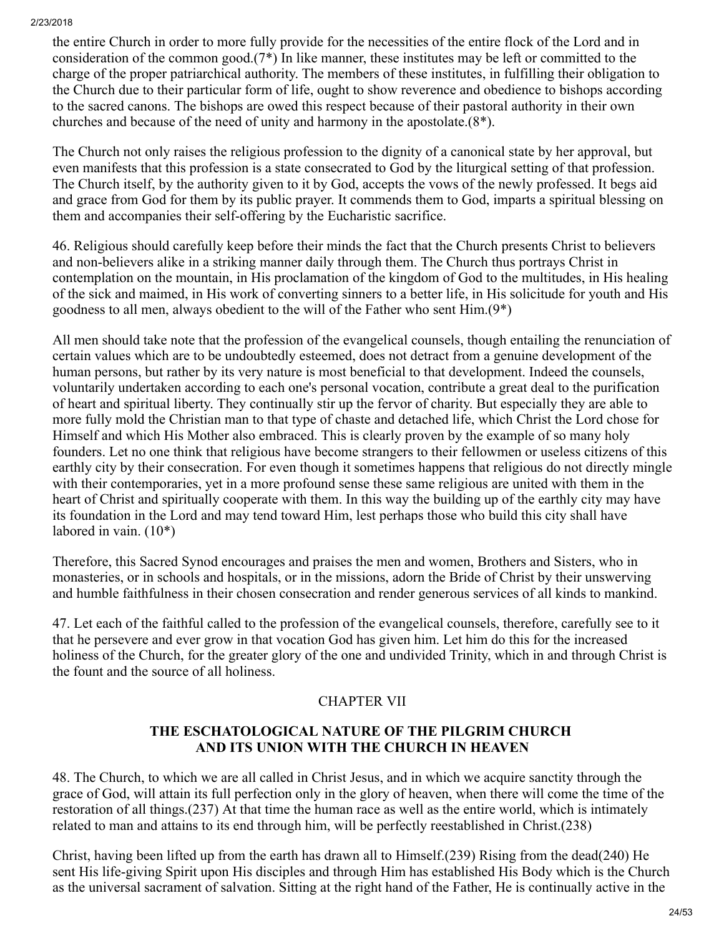the entire Church in order to more fully provide for the necessities of the entire flock of the Lord and in consideration of the common good.(7\*) In like manner, these institutes may be left or committed to the charge of the proper patriarchical authority. The members of these institutes, in fulfilling their obligation to the Church due to their particular form of life, ought to show reverence and obedience to bishops according to the sacred canons. The bishops are owed this respect because of their pastoral authority in their own churches and because of the need of unity and harmony in the apostolate.(8\*).

The Church not only raises the religious profession to the dignity of a canonical state by her approval, but even manifests that this profession is a state consecrated to God by the liturgical setting of that profession. The Church itself, by the authority given to it by God, accepts the vows of the newly professed. It begs aid and grace from God for them by its public prayer. It commends them to God, imparts a spiritual blessing on them and accompanies their self-offering by the Eucharistic sacrifice.

46. Religious should carefully keep before their minds the fact that the Church presents Christ to believers and non-believers alike in a striking manner daily through them. The Church thus portrays Christ in contemplation on the mountain, in His proclamation of the kingdom of God to the multitudes, in His healing of the sick and maimed, in His work of converting sinners to a better life, in His solicitude for youth and His goodness to all men, always obedient to the will of the Father who sent Him.(9\*)

All men should take note that the profession of the evangelical counsels, though entailing the renunciation of certain values which are to be undoubtedly esteemed, does not detract from a genuine development of the human persons, but rather by its very nature is most beneficial to that development. Indeed the counsels, voluntarily undertaken according to each one's personal vocation, contribute a great deal to the purification of heart and spiritual liberty. They continually stir up the fervor of charity. But especially they are able to more fully mold the Christian man to that type of chaste and detached life, which Christ the Lord chose for Himself and which His Mother also embraced. This is clearly proven by the example of so many holy founders. Let no one think that religious have become strangers to their fellowmen or useless citizens of this earthly city by their consecration. For even though it sometimes happens that religious do not directly mingle with their contemporaries, yet in a more profound sense these same religious are united with them in the heart of Christ and spiritually cooperate with them. In this way the building up of the earthly city may have its foundation in the Lord and may tend toward Him, lest perhaps those who build this city shall have labored in vain.  $(10^*)$ 

Therefore, this Sacred Synod encourages and praises the men and women, Brothers and Sisters, who in monasteries, or in schools and hospitals, or in the missions, adorn the Bride of Christ by their unswerving and humble faithfulness in their chosen consecration and render generous services of all kinds to mankind.

47. Let each of the faithful called to the profession of the evangelical counsels, therefore, carefully see to it that he persevere and ever grow in that vocation God has given him. Let him do this for the increased holiness of the Church, for the greater glory of the one and undivided Trinity, which in and through Christ is the fount and the source of all holiness.

# CHAPTER VII

## THE ESCHATOLOGICAL NATURE OF THE PILGRIM CHURCH AND ITS UNION WITH THE CHURCH IN HEAVEN

48. The Church, to which we are all called in Christ Jesus, and in which we acquire sanctity through the grace of God, will attain its full perfection only in the glory of heaven, when there will come the time of the restoration of all things.(237) At that time the human race as well as the entire world, which is intimately related to man and attains to its end through him, will be perfectly reestablished in Christ.(238)

Christ, having been lifted up from the earth has drawn all to Himself.(239) Rising from the dead(240) He sent His life-giving Spirit upon His disciples and through Him has established His Body which is the Church as the universal sacrament of salvation. Sitting at the right hand of the Father, He is continually active in the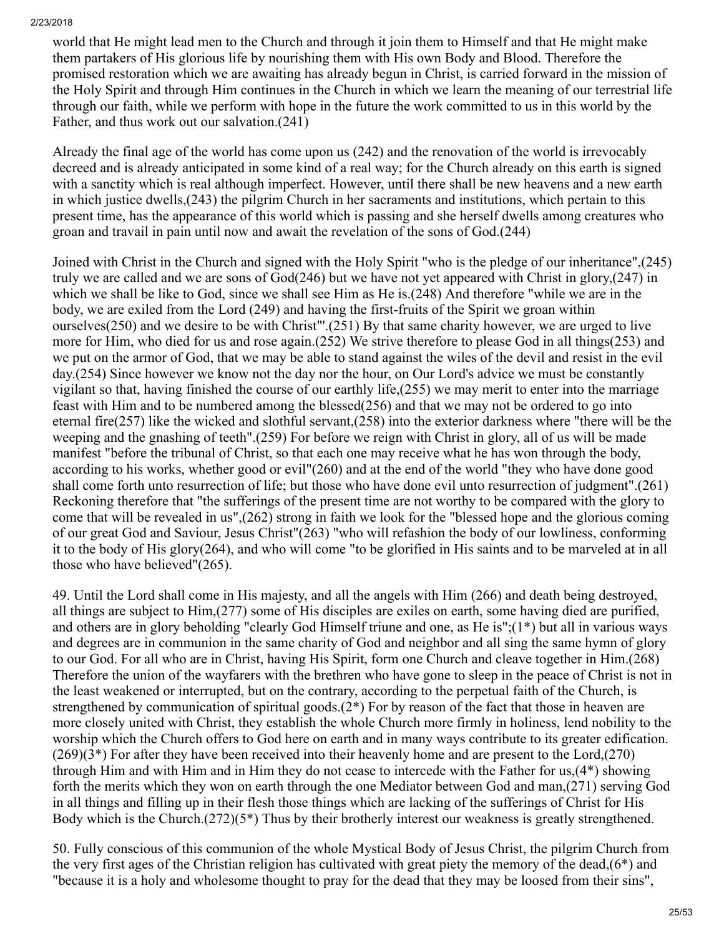world that He might lead men to the Church and through it join them to Himself and that He might make them partakers of His glorious life by nourishing them with His own Body and Blood. Therefore the promised restoration which we are awaiting has already begun in Christ, is carried forward in the mission of the Holy Spirit and through Him continues in the Church in which we learn the meaning of our terrestrial life through our faith, while we perform with hope in the future the work committed to us in this world by the Father, and thus work out our salvation.(241)

Already the final age of the world has come upon us (242) and the renovation of the world is irrevocably decreed and is already anticipated in some kind of a real way; for the Church already on this earth is signed with a sanctity which is real although imperfect. However, until there shall be new heavens and a new earth in which justice dwells,(243) the pilgrim Church in her sacraments and institutions, which pertain to this present time, has the appearance of this world which is passing and she herself dwells among creatures who groan and travail in pain until now and await the revelation of the sons of God.(244)

Joined with Christ in the Church and signed with the Holy Spirit "who is the pledge of our inheritance",(245) truly we are called and we are sons of God(246) but we have not yet appeared with Christ in glory,(247) in which we shall be like to God, since we shall see Him as He is.(248) And therefore "while we are in the body, we are exiled from the Lord (249) and having the first-fruits of the Spirit we groan within ourselves(250) and we desire to be with Christ"'.(251) By that same charity however, we are urged to live more for Him, who died for us and rose again.(252) We strive therefore to please God in all things(253) and we put on the armor of God, that we may be able to stand against the wiles of the devil and resist in the evil day.(254) Since however we know not the day nor the hour, on Our Lord's advice we must be constantly vigilant so that, having finished the course of our earthly life,(255) we may merit to enter into the marriage feast with Him and to be numbered among the blessed(256) and that we may not be ordered to go into eternal fire(257) like the wicked and slothful servant,(258) into the exterior darkness where "there will be the weeping and the gnashing of teeth".(259) For before we reign with Christ in glory, all of us will be made manifest "before the tribunal of Christ, so that each one may receive what he has won through the body, according to his works, whether good or evil"(260) and at the end of the world "they who have done good shall come forth unto resurrection of life; but those who have done evil unto resurrection of judgment".(261) Reckoning therefore that "the sufferings of the present time are not worthy to be compared with the glory to come that will be revealed in us",(262) strong in faith we look for the "blessed hope and the glorious coming of our great God and Saviour, Jesus Christ"(263) "who will refashion the body of our lowliness, conforming it to the body of His glory(264), and who will come "to be glorified in His saints and to be marveled at in all those who have believed"(265).

49. Until the Lord shall come in His majesty, and all the angels with Him (266) and death being destroyed, all things are subject to Him,(277) some of His disciples are exiles on earth, some having died are purified, and others are in glory beholding "clearly God Himself triune and one, as He is";(1\*) but all in various ways and degrees are in communion in the same charity of God and neighbor and all sing the same hymn of glory to our God. For all who are in Christ, having His Spirit, form one Church and cleave together in Him.(268) Therefore the union of the wayfarers with the brethren who have gone to sleep in the peace of Christ is not in the least weakened or interrupted, but on the contrary, according to the perpetual faith of the Church, is strengthened by communication of spiritual goods.(2\*) For by reason of the fact that those in heaven are more closely united with Christ, they establish the whole Church more firmly in holiness, lend nobility to the worship which the Church offers to God here on earth and in many ways contribute to its greater edification. (269)(3\*) For after they have been received into their heavenly home and are present to the Lord,(270) through Him and with Him and in Him they do not cease to intercede with the Father for us,(4\*) showing forth the merits which they won on earth through the one Mediator between God and man,(271) serving God in all things and filling up in their flesh those things which are lacking of the sufferings of Christ for His Body which is the Church.(272)(5\*) Thus by their brotherly interest our weakness is greatly strengthened.

50. Fully conscious of this communion of the whole Mystical Body of Jesus Christ, the pilgrim Church from the very first ages of the Christian religion has cultivated with great piety the memory of the dead,(6\*) and "because it is a holy and wholesome thought to pray for the dead that they may be loosed from their sins",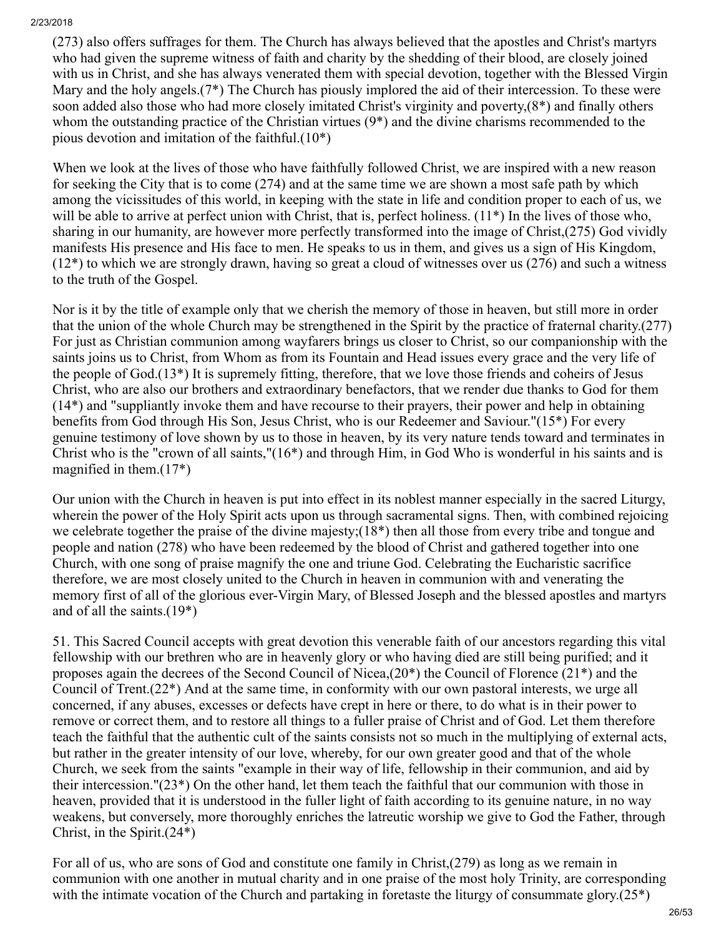(273) also offers suffrages for them. The Church has always believed that the apostles and Christ's martyrs who had given the supreme witness of faith and charity by the shedding of their blood, are closely joined with us in Christ, and she has always venerated them with special devotion, together with the Blessed Virgin Mary and the holy angels.<sup>(7\*)</sup> The Church has piously implored the aid of their intercession. To these were soon added also those who had more closely imitated Christ's virginity and poverty,(8\*) and finally others whom the outstanding practice of the Christian virtues (9\*) and the divine charisms recommended to the pious devotion and imitation of the faithful.(10\*)

When we look at the lives of those who have faithfully followed Christ, we are inspired with a new reason for seeking the City that is to come (274) and at the same time we are shown a most safe path by which among the vicissitudes of this world, in keeping with the state in life and condition proper to each of us, we will be able to arrive at perfect union with Christ, that is, perfect holiness. (11<sup>\*</sup>) In the lives of those who, sharing in our humanity, are however more perfectly transformed into the image of Christ,(275) God vividly manifests His presence and His face to men. He speaks to us in them, and gives us a sign of His Kingdom, (12\*) to which we are strongly drawn, having so great a cloud of witnesses over us (276) and such a witness to the truth of the Gospel.

Nor is it by the title of example only that we cherish the memory of those in heaven, but still more in order that the union of the whole Church may be strengthened in the Spirit by the practice of fraternal charity.(277) For just as Christian communion among wayfarers brings us closer to Christ, so our companionship with the saints joins us to Christ, from Whom as from its Fountain and Head issues every grace and the very life of the people of God.(13\*) It is supremely fitting, therefore, that we love those friends and coheirs of Jesus Christ, who are also our brothers and extraordinary benefactors, that we render due thanks to God for them (14\*) and "suppliantly invoke them and have recourse to their prayers, their power and help in obtaining benefits from God through His Son, Jesus Christ, who is our Redeemer and Saviour."(15\*) For every genuine testimony of love shown by us to those in heaven, by its very nature tends toward and terminates in Christ who is the "crown of all saints,"(16\*) and through Him, in God Who is wonderful in his saints and is magnified in them. $(17^*)$ 

Our union with the Church in heaven is put into effect in its noblest manner especially in the sacred Liturgy, wherein the power of the Holy Spirit acts upon us through sacramental signs. Then, with combined rejoicing we celebrate together the praise of the divine majesty;(18\*) then all those from every tribe and tongue and people and nation (278) who have been redeemed by the blood of Christ and gathered together into one Church, with one song of praise magnify the one and triune God. Celebrating the Eucharistic sacrifice therefore, we are most closely united to the Church in heaven in communion with and venerating the memory first of all of the glorious ever-Virgin Mary, of Blessed Joseph and the blessed apostles and martyrs and of all the saints.(19\*)

51. This Sacred Council accepts with great devotion this venerable faith of our ancestors regarding this vital fellowship with our brethren who are in heavenly glory or who having died are still being purified; and it proposes again the decrees of the Second Council of Nicea,(20\*) the Council of Florence (21\*) and the Council of Trent.(22\*) And at the same time, in conformity with our own pastoral interests, we urge all concerned, if any abuses, excesses or defects have crept in here or there, to do what is in their power to remove or correct them, and to restore all things to a fuller praise of Christ and of God. Let them therefore teach the faithful that the authentic cult of the saints consists not so much in the multiplying of external acts, but rather in the greater intensity of our love, whereby, for our own greater good and that of the whole Church, we seek from the saints "example in their way of life, fellowship in their communion, and aid by their intercession."(23\*) On the other hand, let them teach the faithful that our communion with those in heaven, provided that it is understood in the fuller light of faith according to its genuine nature, in no way weakens, but conversely, more thoroughly enriches the latreutic worship we give to God the Father, through Christ, in the Spirit.(24\*)

For all of us, who are sons of God and constitute one family in Christ,(279) as long as we remain in communion with one another in mutual charity and in one praise of the most holy Trinity, are corresponding with the intimate vocation of the Church and partaking in foretaste the liturgy of consummate glory.(25<sup>\*</sup>)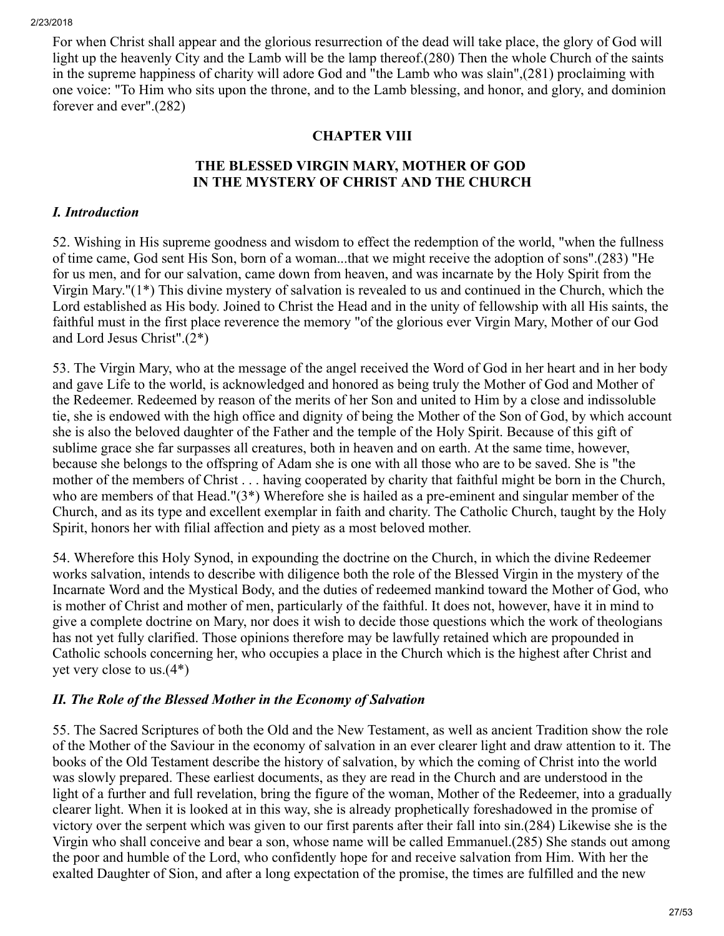For when Christ shall appear and the glorious resurrection of the dead will take place, the glory of God will light up the heavenly City and the Lamb will be the lamp thereof.(280) Then the whole Church of the saints in the supreme happiness of charity will adore God and "the Lamb who was slain",(281) proclaiming with one voice: "To Him who sits upon the throne, and to the Lamb blessing, and honor, and glory, and dominion forever and ever".(282)

## CHAPTER VIII

## THE BLESSED VIRGIN MARY, MOTHER OF GOD IN THE MYSTERY OF CHRIST AND THE CHURCH

## *I. Introduction*

52. Wishing in His supreme goodness and wisdom to effect the redemption of the world, "when the fullness of time came, God sent His Son, born of a woman...that we might receive the adoption of sons".(283) "He for us men, and for our salvation, came down from heaven, and was incarnate by the Holy Spirit from the Virgin Mary."(1\*) This divine mystery of salvation is revealed to us and continued in the Church, which the Lord established as His body. Joined to Christ the Head and in the unity of fellowship with all His saints, the faithful must in the first place reverence the memory "of the glorious ever Virgin Mary, Mother of our God and Lord Jesus Christ".(2\*)

53. The Virgin Mary, who at the message of the angel received the Word of God in her heart and in her body and gave Life to the world, is acknowledged and honored as being truly the Mother of God and Mother of the Redeemer. Redeemed by reason of the merits of her Son and united to Him by a close and indissoluble tie, she is endowed with the high office and dignity of being the Mother of the Son of God, by which account she is also the beloved daughter of the Father and the temple of the Holy Spirit. Because of this gift of sublime grace she far surpasses all creatures, both in heaven and on earth. At the same time, however, because she belongs to the offspring of Adam she is one with all those who are to be saved. She is "the mother of the members of Christ . . . having cooperated by charity that faithful might be born in the Church, who are members of that Head."(3\*) Wherefore she is hailed as a pre-eminent and singular member of the Church, and as its type and excellent exemplar in faith and charity. The Catholic Church, taught by the Holy Spirit, honors her with filial affection and piety as a most beloved mother.

54. Wherefore this Holy Synod, in expounding the doctrine on the Church, in which the divine Redeemer works salvation, intends to describe with diligence both the role of the Blessed Virgin in the mystery of the Incarnate Word and the Mystical Body, and the duties of redeemed mankind toward the Mother of God, who is mother of Christ and mother of men, particularly of the faithful. It does not, however, have it in mind to give a complete doctrine on Mary, nor does it wish to decide those questions which the work of theologians has not yet fully clarified. Those opinions therefore may be lawfully retained which are propounded in Catholic schools concerning her, who occupies a place in the Church which is the highest after Christ and yet very close to us.(4\*)

# *II. The Role of the Blessed Mother in the Economy of Salvation*

55. The Sacred Scriptures of both the Old and the New Testament, as well as ancient Tradition show the role of the Mother of the Saviour in the economy of salvation in an ever clearer light and draw attention to it. The books of the Old Testament describe the history of salvation, by which the coming of Christ into the world was slowly prepared. These earliest documents, as they are read in the Church and are understood in the light of a further and full revelation, bring the figure of the woman, Mother of the Redeemer, into a gradually clearer light. When it is looked at in this way, she is already prophetically foreshadowed in the promise of victory over the serpent which was given to our first parents after their fall into sin.(284) Likewise she is the Virgin who shall conceive and bear a son, whose name will be called Emmanuel.(285) She stands out among the poor and humble of the Lord, who confidently hope for and receive salvation from Him. With her the exalted Daughter of Sion, and after a long expectation of the promise, the times are fulfilled and the new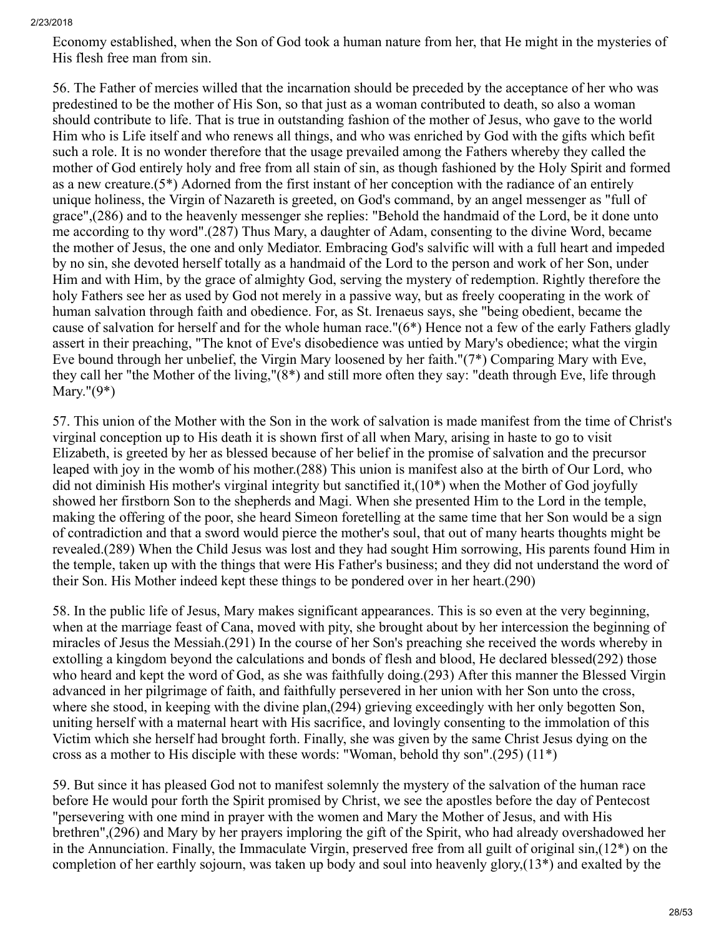Economy established, when the Son of God took a human nature from her, that He might in the mysteries of His flesh free man from sin.

56. The Father of mercies willed that the incarnation should be preceded by the acceptance of her who was predestined to be the mother of His Son, so that just as a woman contributed to death, so also a woman should contribute to life. That is true in outstanding fashion of the mother of Jesus, who gave to the world Him who is Life itself and who renews all things, and who was enriched by God with the gifts which befit such a role. It is no wonder therefore that the usage prevailed among the Fathers whereby they called the mother of God entirely holy and free from all stain of sin, as though fashioned by the Holy Spirit and formed as a new creature.(5\*) Adorned from the first instant of her conception with the radiance of an entirely unique holiness, the Virgin of Nazareth is greeted, on God's command, by an angel messenger as "full of grace",(286) and to the heavenly messenger she replies: "Behold the handmaid of the Lord, be it done unto me according to thy word".(287) Thus Mary, a daughter of Adam, consenting to the divine Word, became the mother of Jesus, the one and only Mediator. Embracing God's salvific will with a full heart and impeded by no sin, she devoted herself totally as a handmaid of the Lord to the person and work of her Son, under Him and with Him, by the grace of almighty God, serving the mystery of redemption. Rightly therefore the holy Fathers see her as used by God not merely in a passive way, but as freely cooperating in the work of human salvation through faith and obedience. For, as St. Irenaeus says, she "being obedient, became the cause of salvation for herself and for the whole human race."(6\*) Hence not a few of the early Fathers gladly assert in their preaching, "The knot of Eve's disobedience was untied by Mary's obedience; what the virgin Eve bound through her unbelief, the Virgin Mary loosened by her faith."(7\*) Comparing Mary with Eve, they call her "the Mother of the living,"(8\*) and still more often they say: "death through Eve, life through Mary."(9\*)

57. This union of the Mother with the Son in the work of salvation is made manifest from the time of Christ's virginal conception up to His death it is shown first of all when Mary, arising in haste to go to visit Elizabeth, is greeted by her as blessed because of her belief in the promise of salvation and the precursor leaped with joy in the womb of his mother.(288) This union is manifest also at the birth of Our Lord, who did not diminish His mother's virginal integrity but sanctified it,(10\*) when the Mother of God joyfully showed her firstborn Son to the shepherds and Magi. When she presented Him to the Lord in the temple, making the offering of the poor, she heard Simeon foretelling at the same time that her Son would be a sign of contradiction and that a sword would pierce the mother's soul, that out of many hearts thoughts might be revealed.(289) When the Child Jesus was lost and they had sought Him sorrowing, His parents found Him in the temple, taken up with the things that were His Father's business; and they did not understand the word of their Son. His Mother indeed kept these things to be pondered over in her heart.(290)

58. In the public life of Jesus, Mary makes significant appearances. This is so even at the very beginning, when at the marriage feast of Cana, moved with pity, she brought about by her intercession the beginning of miracles of Jesus the Messiah.(291) In the course of her Son's preaching she received the words whereby in extolling a kingdom beyond the calculations and bonds of flesh and blood, He declared blessed(292) those who heard and kept the word of God, as she was faithfully doing.(293) After this manner the Blessed Virgin advanced in her pilgrimage of faith, and faithfully persevered in her union with her Son unto the cross, where she stood, in keeping with the divine plan,(294) grieving exceedingly with her only begotten Son, uniting herself with a maternal heart with His sacrifice, and lovingly consenting to the immolation of this Victim which she herself had brought forth. Finally, she was given by the same Christ Jesus dying on the cross as a mother to His disciple with these words: "Woman, behold thy son".(295) (11\*)

59. But since it has pleased God not to manifest solemnly the mystery of the salvation of the human race before He would pour forth the Spirit promised by Christ, we see the apostles before the day of Pentecost "persevering with one mind in prayer with the women and Mary the Mother of Jesus, and with His brethren",(296) and Mary by her prayers imploring the gift of the Spirit, who had already overshadowed her in the Annunciation. Finally, the Immaculate Virgin, preserved free from all guilt of original sin,(12\*) on the completion of her earthly sojourn, was taken up body and soul into heavenly glory,(13\*) and exalted by the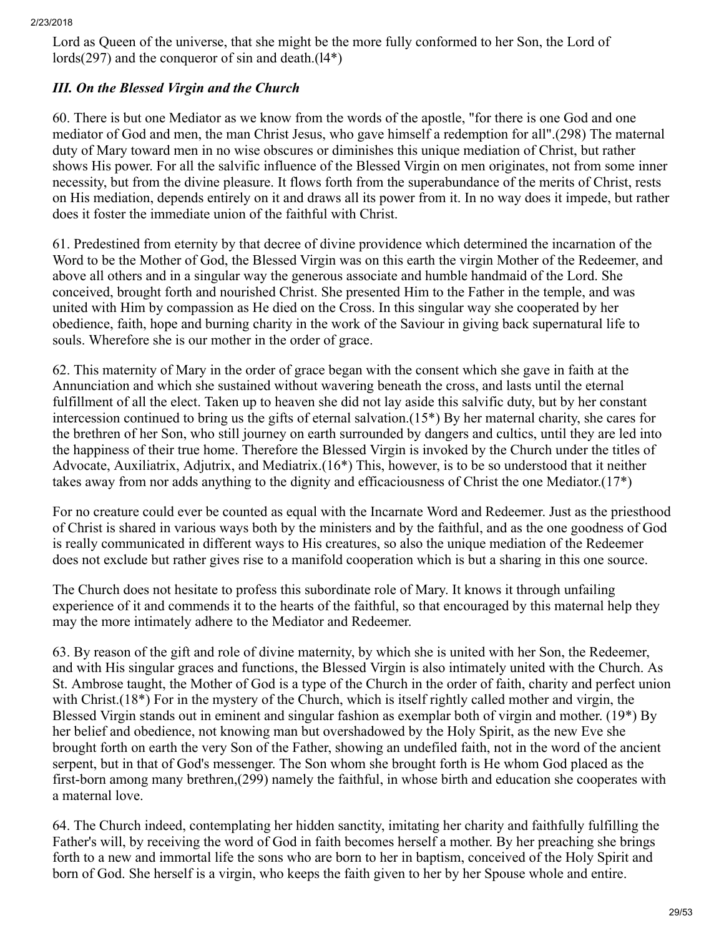Lord as Queen of the universe, that she might be the more fully conformed to her Son, the Lord of lords(297) and the conqueror of sin and death. $(14^*)$ 

# *III. On the Blessed Virgin and the Church*

60. There is but one Mediator as we know from the words of the apostle, "for there is one God and one mediator of God and men, the man Christ Jesus, who gave himself a redemption for all".(298) The maternal duty of Mary toward men in no wise obscures or diminishes this unique mediation of Christ, but rather shows His power. For all the salvific influence of the Blessed Virgin on men originates, not from some inner necessity, but from the divine pleasure. It flows forth from the superabundance of the merits of Christ, rests on His mediation, depends entirely on it and draws all its power from it. In no way does it impede, but rather does it foster the immediate union of the faithful with Christ.

61. Predestined from eternity by that decree of divine providence which determined the incarnation of the Word to be the Mother of God, the Blessed Virgin was on this earth the virgin Mother of the Redeemer, and above all others and in a singular way the generous associate and humble handmaid of the Lord. She conceived, brought forth and nourished Christ. She presented Him to the Father in the temple, and was united with Him by compassion as He died on the Cross. In this singular way she cooperated by her obedience, faith, hope and burning charity in the work of the Saviour in giving back supernatural life to souls. Wherefore she is our mother in the order of grace.

62. This maternity of Mary in the order of grace began with the consent which she gave in faith at the Annunciation and which she sustained without wavering beneath the cross, and lasts until the eternal fulfillment of all the elect. Taken up to heaven she did not lay aside this salvific duty, but by her constant intercession continued to bring us the gifts of eternal salvation.(15\*) By her maternal charity, she cares for the brethren of her Son, who still journey on earth surrounded by dangers and cultics, until they are led into the happiness of their true home. Therefore the Blessed Virgin is invoked by the Church under the titles of Advocate, Auxiliatrix, Adjutrix, and Mediatrix.(16\*) This, however, is to be so understood that it neither takes away from nor adds anything to the dignity and efficaciousness of Christ the one Mediator.(17\*)

For no creature could ever be counted as equal with the Incarnate Word and Redeemer. Just as the priesthood of Christ is shared in various ways both by the ministers and by the faithful, and as the one goodness of God is really communicated in different ways to His creatures, so also the unique mediation of the Redeemer does not exclude but rather gives rise to a manifold cooperation which is but a sharing in this one source.

The Church does not hesitate to profess this subordinate role of Mary. It knows it through unfailing experience of it and commends it to the hearts of the faithful, so that encouraged by this maternal help they may the more intimately adhere to the Mediator and Redeemer.

63. By reason of the gift and role of divine maternity, by which she is united with her Son, the Redeemer, and with His singular graces and functions, the Blessed Virgin is also intimately united with the Church. As St. Ambrose taught, the Mother of God is a type of the Church in the order of faith, charity and perfect union with Christ. (18<sup>\*</sup>) For in the mystery of the Church, which is itself rightly called mother and virgin, the Blessed Virgin stands out in eminent and singular fashion as exemplar both of virgin and mother. (19\*) By her belief and obedience, not knowing man but overshadowed by the Holy Spirit, as the new Eve she brought forth on earth the very Son of the Father, showing an undefiled faith, not in the word of the ancient serpent, but in that of God's messenger. The Son whom she brought forth is He whom God placed as the first-born among many brethren,(299) namely the faithful, in whose birth and education she cooperates with a maternal love.

64. The Church indeed, contemplating her hidden sanctity, imitating her charity and faithfully fulfilling the Father's will, by receiving the word of God in faith becomes herself a mother. By her preaching she brings forth to a new and immortal life the sons who are born to her in baptism, conceived of the Holy Spirit and born of God. She herself is a virgin, who keeps the faith given to her by her Spouse whole and entire.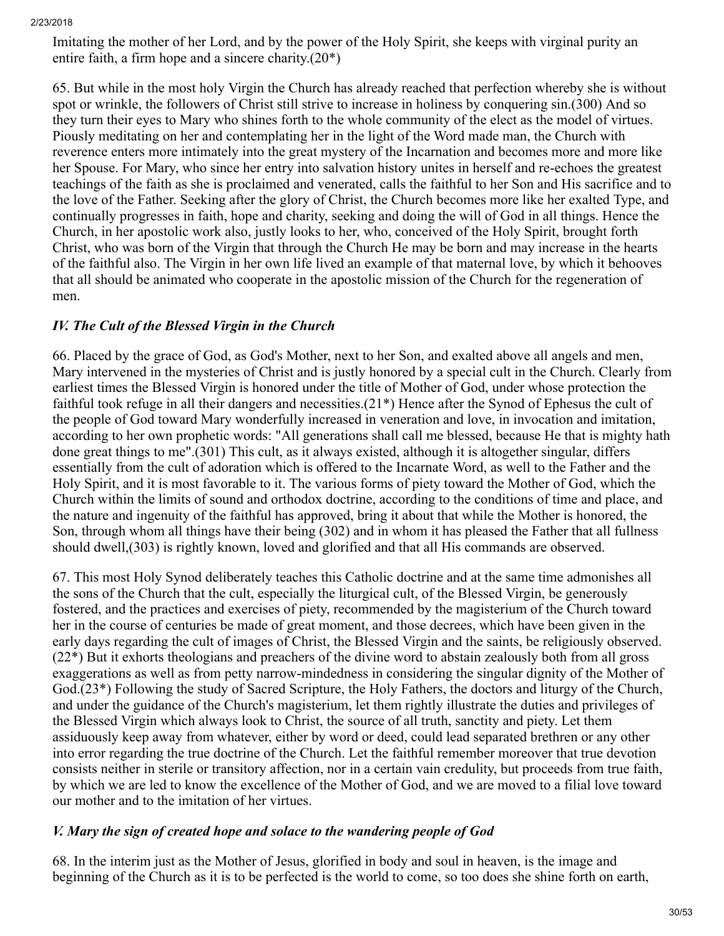Imitating the mother of her Lord, and by the power of the Holy Spirit, she keeps with virginal purity an entire faith, a firm hope and a sincere charity.(20\*)

65. But while in the most holy Virgin the Church has already reached that perfection whereby she is without spot or wrinkle, the followers of Christ still strive to increase in holiness by conquering sin.(300) And so they turn their eyes to Mary who shines forth to the whole community of the elect as the model of virtues. Piously meditating on her and contemplating her in the light of the Word made man, the Church with reverence enters more intimately into the great mystery of the Incarnation and becomes more and more like her Spouse. For Mary, who since her entry into salvation history unites in herself and re-echoes the greatest teachings of the faith as she is proclaimed and venerated, calls the faithful to her Son and His sacrifice and to the love of the Father. Seeking after the glory of Christ, the Church becomes more like her exalted Type, and continually progresses in faith, hope and charity, seeking and doing the will of God in all things. Hence the Church, in her apostolic work also, justly looks to her, who, conceived of the Holy Spirit, brought forth Christ, who was born of the Virgin that through the Church He may be born and may increase in the hearts of the faithful also. The Virgin in her own life lived an example of that maternal love, by which it behooves that all should be animated who cooperate in the apostolic mission of the Church for the regeneration of men.

# *IV. The Cult of the Blessed Virgin in the Church*

66. Placed by the grace of God, as God's Mother, next to her Son, and exalted above all angels and men, Mary intervened in the mysteries of Christ and is justly honored by a special cult in the Church. Clearly from earliest times the Blessed Virgin is honored under the title of Mother of God, under whose protection the faithful took refuge in all their dangers and necessities.(21\*) Hence after the Synod of Ephesus the cult of the people of God toward Mary wonderfully increased in veneration and love, in invocation and imitation, according to her own prophetic words: "All generations shall call me blessed, because He that is mighty hath done great things to me".(301) This cult, as it always existed, although it is altogether singular, differs essentially from the cult of adoration which is offered to the Incarnate Word, as well to the Father and the Holy Spirit, and it is most favorable to it. The various forms of piety toward the Mother of God, which the Church within the limits of sound and orthodox doctrine, according to the conditions of time and place, and the nature and ingenuity of the faithful has approved, bring it about that while the Mother is honored, the Son, through whom all things have their being (302) and in whom it has pleased the Father that all fullness should dwell,(303) is rightly known, loved and glorified and that all His commands are observed.

67. This most Holy Synod deliberately teaches this Catholic doctrine and at the same time admonishes all the sons of the Church that the cult, especially the liturgical cult, of the Blessed Virgin, be generously fostered, and the practices and exercises of piety, recommended by the magisterium of the Church toward her in the course of centuries be made of great moment, and those decrees, which have been given in the early days regarding the cult of images of Christ, the Blessed Virgin and the saints, be religiously observed. (22\*) But it exhorts theologians and preachers of the divine word to abstain zealously both from all gross exaggerations as well as from petty narrow-mindedness in considering the singular dignity of the Mother of God.(23\*) Following the study of Sacred Scripture, the Holy Fathers, the doctors and liturgy of the Church, and under the guidance of the Church's magisterium, let them rightly illustrate the duties and privileges of the Blessed Virgin which always look to Christ, the source of all truth, sanctity and piety. Let them assiduously keep away from whatever, either by word or deed, could lead separated brethren or any other into error regarding the true doctrine of the Church. Let the faithful remember moreover that true devotion consists neither in sterile or transitory affection, nor in a certain vain credulity, but proceeds from true faith, by which we are led to know the excellence of the Mother of God, and we are moved to a filial love toward our mother and to the imitation of her virtues.

# *V. Mary the sign of created hope and solace to the wandering people of God*

68. In the interim just as the Mother of Jesus, glorified in body and soul in heaven, is the image and beginning of the Church as it is to be perfected is the world to come, so too does she shine forth on earth,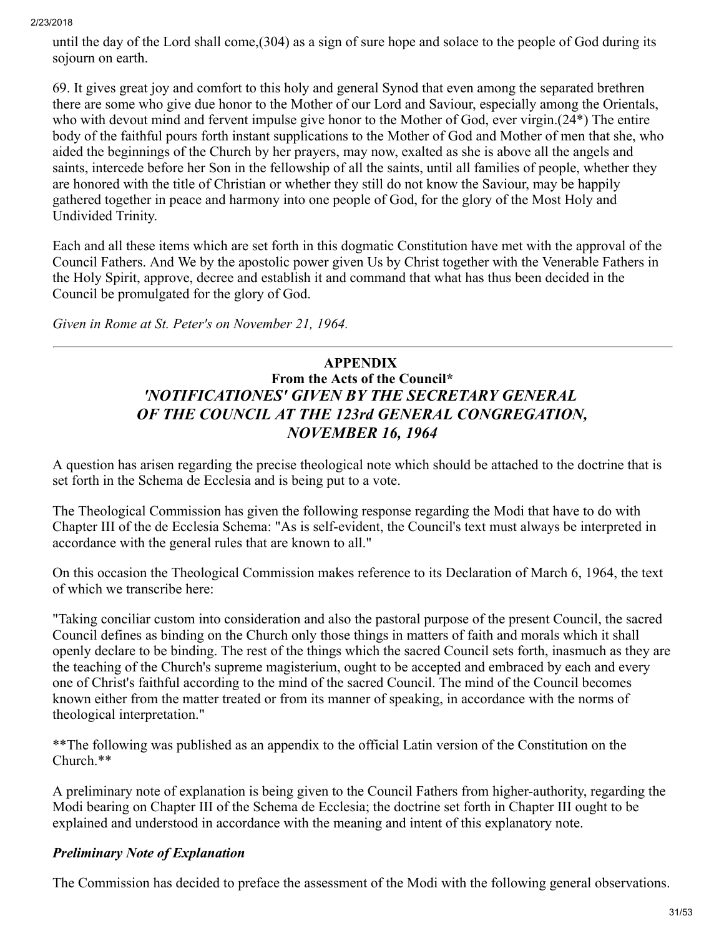until the day of the Lord shall come,(304) as a sign of sure hope and solace to the people of God during its sojourn on earth.

69. It gives great joy and comfort to this holy and general Synod that even among the separated brethren there are some who give due honor to the Mother of our Lord and Saviour, especially among the Orientals, who with devout mind and fervent impulse give honor to the Mother of God, ever virgin.  $(24^*)$  The entire body of the faithful pours forth instant supplications to the Mother of God and Mother of men that she, who aided the beginnings of the Church by her prayers, may now, exalted as she is above all the angels and saints, intercede before her Son in the fellowship of all the saints, until all families of people, whether they are honored with the title of Christian or whether they still do not know the Saviour, may be happily gathered together in peace and harmony into one people of God, for the glory of the Most Holy and Undivided Trinity.

Each and all these items which are set forth in this dogmatic Constitution have met with the approval of the Council Fathers. And We by the apostolic power given Us by Christ together with the Venerable Fathers in the Holy Spirit, approve, decree and establish it and command that what has thus been decided in the Council be promulgated for the glory of God.

*Given in Rome at St. Peter's on November 21, 1964.*

# APPENDIX From the Acts of the Council\* *'NOTIFICATIONES' GIVEN BY THE SECRETARY GENERAL OF THE COUNCIL AT THE 123rd GENERAL CONGREGATION, NOVEMBER 16, 1964*

A question has arisen regarding the precise theological note which should be attached to the doctrine that is set forth in the Schema de Ecclesia and is being put to a vote.

The Theological Commission has given the following response regarding the Modi that have to do with Chapter III of the de Ecclesia Schema: "As is self-evident, the Council's text must always be interpreted in accordance with the general rules that are known to all."

On this occasion the Theological Commission makes reference to its Declaration of March 6, 1964, the text of which we transcribe here:

"Taking conciliar custom into consideration and also the pastoral purpose of the present Council, the sacred Council defines as binding on the Church only those things in matters of faith and morals which it shall openly declare to be binding. The rest of the things which the sacred Council sets forth, inasmuch as they are the teaching of the Church's supreme magisterium, ought to be accepted and embraced by each and every one of Christ's faithful according to the mind of the sacred Council. The mind of the Council becomes known either from the matter treated or from its manner of speaking, in accordance with the norms of theological interpretation."

\*\*The following was published as an appendix to the official Latin version of the Constitution on the Church.\*\*

A preliminary note of explanation is being given to the Council Fathers from higher-authority, regarding the Modi bearing on Chapter III of the Schema de Ecclesia; the doctrine set forth in Chapter III ought to be explained and understood in accordance with the meaning and intent of this explanatory note.

# *Preliminary Note of Explanation*

The Commission has decided to preface the assessment of the Modi with the following general observations.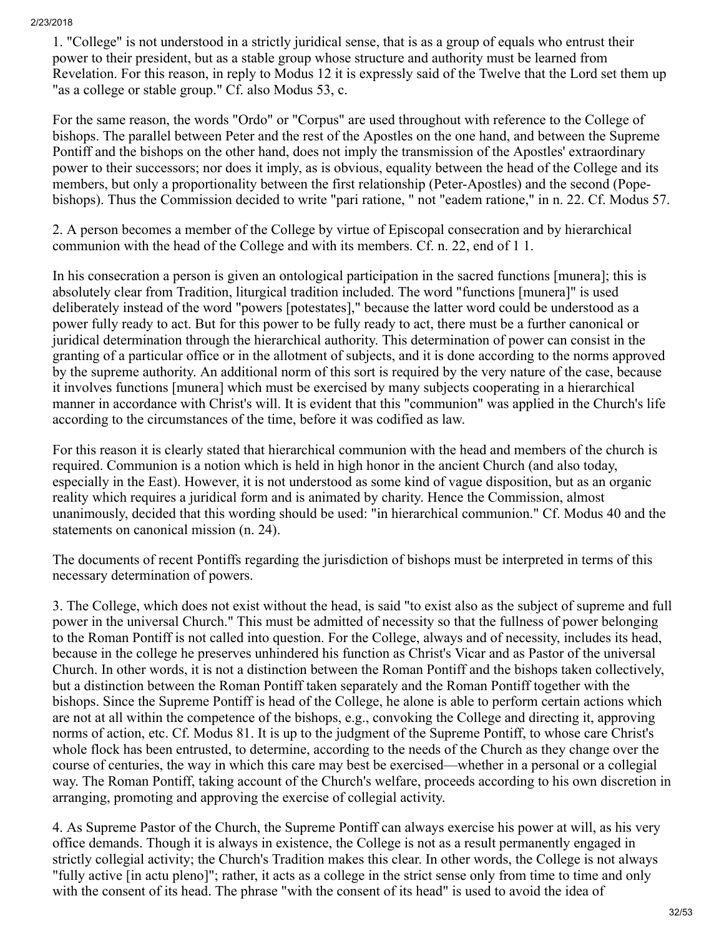1. "College" is not understood in a strictly juridical sense, that is as a group of equals who entrust their power to their president, but as a stable group whose structure and authority must be learned from Revelation. For this reason, in reply to Modus 12 it is expressly said of the Twelve that the Lord set them up "as a college or stable group." Cf. also Modus 53, c.

For the same reason, the words "Ordo" or "Corpus" are used throughout with reference to the College of bishops. The parallel between Peter and the rest of the Apostles on the one hand, and between the Supreme Pontiff and the bishops on the other hand, does not imply the transmission of the Apostles' extraordinary power to their successors; nor does it imply, as is obvious, equality between the head of the College and its members, but only a proportionality between the first relationship (Peter-Apostles) and the second (Popebishops). Thus the Commission decided to write "pari ratione, " not "eadem ratione," in n. 22. Cf. Modus 57.

2. A person becomes a member of the College by virtue of Episcopal consecration and by hierarchical communion with the head of the College and with its members. Cf. n. 22, end of 1 1.

In his consecration a person is given an ontological participation in the sacred functions [munera]; this is absolutely clear from Tradition, liturgical tradition included. The word "functions [munera]" is used deliberately instead of the word "powers [potestates]," because the latter word could be understood as a power fully ready to act. But for this power to be fully ready to act, there must be a further canonical or juridical determination through the hierarchical authority. This determination of power can consist in the granting of a particular office or in the allotment of subjects, and it is done according to the norms approved by the supreme authority. An additional norm of this sort is required by the very nature of the case, because it involves functions [munera] which must be exercised by many subjects cooperating in a hierarchical manner in accordance with Christ's will. It is evident that this "communion" was applied in the Church's life according to the circumstances of the time, before it was codified as law.

For this reason it is clearly stated that hierarchical communion with the head and members of the church is required. Communion is a notion which is held in high honor in the ancient Church (and also today, especially in the East). However, it is not understood as some kind of vague disposition, but as an organic reality which requires a juridical form and is animated by charity. Hence the Commission, almost unanimously, decided that this wording should be used: "in hierarchical communion." Cf. Modus 40 and the statements on canonical mission (n. 24).

The documents of recent Pontiffs regarding the jurisdiction of bishops must be interpreted in terms of this necessary determination of powers.

3. The College, which does not exist without the head, is said "to exist also as the subject of supreme and full power in the universal Church." This must be admitted of necessity so that the fullness of power belonging to the Roman Pontiff is not called into question. For the College, always and of necessity, includes its head, because in the college he preserves unhindered his function as Christ's Vicar and as Pastor of the universal Church. In other words, it is not a distinction between the Roman Pontiff and the bishops taken collectively, but a distinction between the Roman Pontiff taken separately and the Roman Pontiff together with the bishops. Since the Supreme Pontiff is head of the College, he alone is able to perform certain actions which are not at all within the competence of the bishops, e.g., convoking the College and directing it, approving norms of action, etc. Cf. Modus 81. It is up to the judgment of the Supreme Pontiff, to whose care Christ's whole flock has been entrusted, to determine, according to the needs of the Church as they change over the course of centuries, the way in which this care may best be exercised—whether in a personal or a collegial way. The Roman Pontiff, taking account of the Church's welfare, proceeds according to his own discretion in arranging, promoting and approving the exercise of collegial activity.

4. As Supreme Pastor of the Church, the Supreme Pontiff can always exercise his power at will, as his very office demands. Though it is always in existence, the College is not as a result permanently engaged in strictly collegial activity; the Church's Tradition makes this clear. In other words, the College is not always "fully active [in actu pleno]"; rather, it acts as a college in the strict sense only from time to time and only with the consent of its head. The phrase "with the consent of its head" is used to avoid the idea of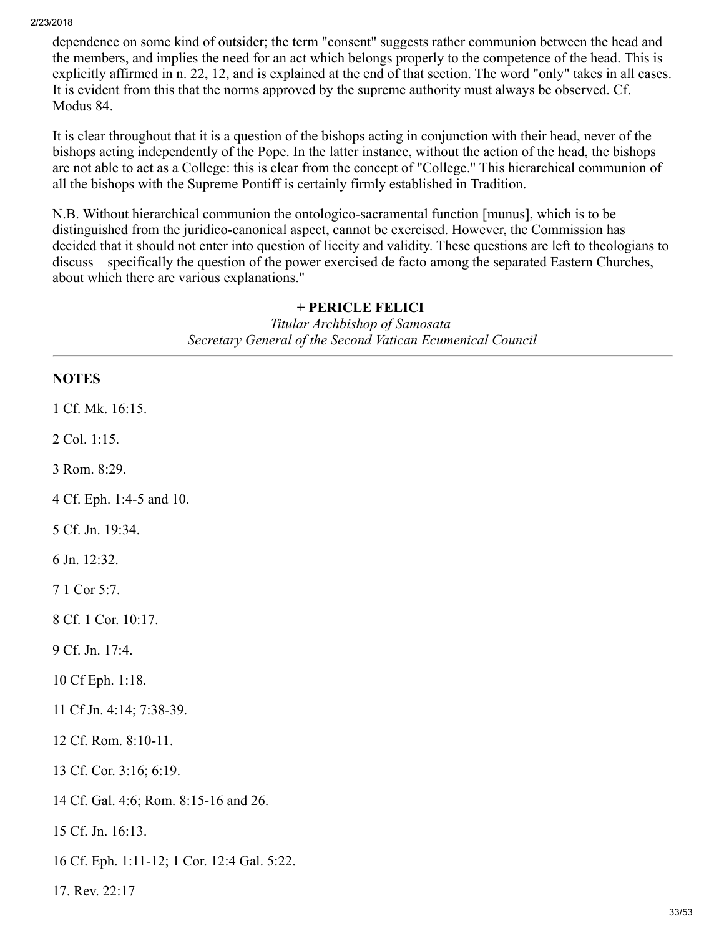dependence on some kind of outsider; the term "consent" suggests rather communion between the head and the members, and implies the need for an act which belongs properly to the competence of the head. This is explicitly affirmed in n. 22, 12, and is explained at the end of that section. The word "only" takes in all cases. It is evident from this that the norms approved by the supreme authority must always be observed. Cf. Modus 84.

It is clear throughout that it is a question of the bishops acting in conjunction with their head, never of the bishops acting independently of the Pope. In the latter instance, without the action of the head, the bishops are not able to act as a College: this is clear from the concept of "College." This hierarchical communion of all the bishops with the Supreme Pontiff is certainly firmly established in Tradition.

N.B. Without hierarchical communion the ontologico-sacramental function [munus], which is to be distinguished from the juridico-canonical aspect, cannot be exercised. However, the Commission has decided that it should not enter into question of liceity and validity. These questions are left to theologians to discuss—specifically the question of the power exercised de facto among the separated Eastern Churches, about which there are various explanations."

## + PERICLE FELICI

*Titular Archbishop of Samosata Secretary General of the Second Vatican Ecumenical Council*

### **NOTES**

- 1 Cf. Mk. 16:15.
- 2 Col. 1:15.
- 3 Rom. 8:29.
- 4 Cf. Eph. 1:4-5 and 10.
- 5 Cf. Jn. 19:34.
- 6 Jn. 12:32.
- 7 1 Cor 5:7.
- 8 Cf. 1 Cor. 10:17.
- 9 Cf. Jn. 17:4.
- 10 Cf Eph. 1:18.
- 11 Cf Jn. 4:14; 7:38-39.
- 12 Cf. Rom. 8:10-11.
- 13 Cf. Cor. 3:16; 6:19.
- 14 Cf. Gal. 4:6; Rom. 8:15-16 and 26.
- 15 Cf. Jn. 16:13.
- 16 Cf. Eph. 1:11-12; 1 Cor. 12:4 Gal. 5:22.
- 17. Rev. 22:17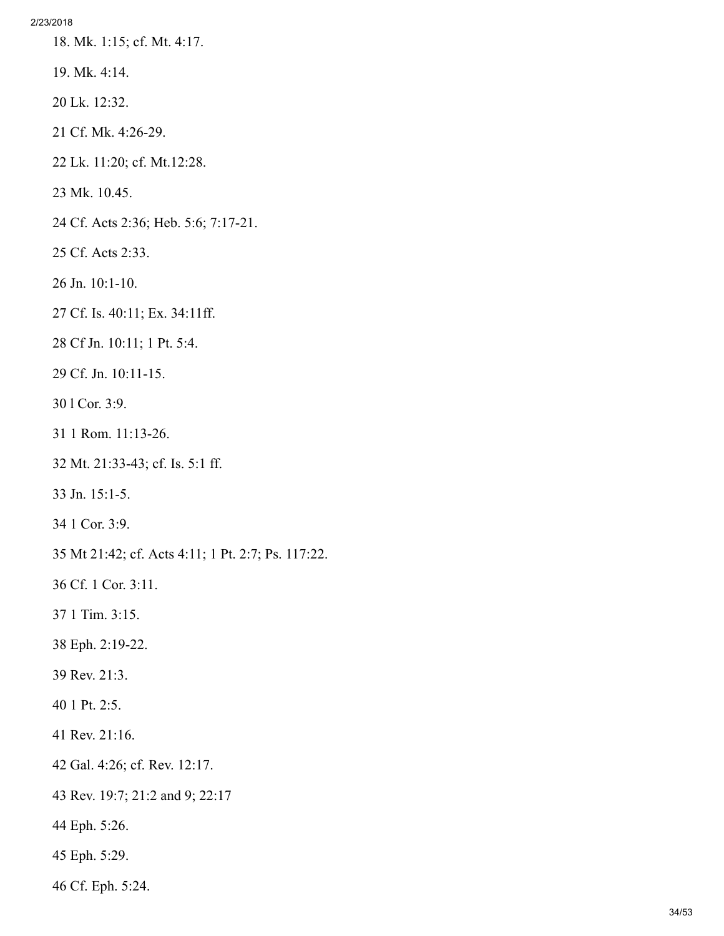18. Mk. 1:15; cf. Mt. 4:17.

19. Mk. 4:14.

20 Lk. 12:32.

21 Cf. Mk. 4:26-29.

22 Lk. 11:20; cf. Mt.12:28.

23 Mk. 10.45.

24 Cf. Acts 2:36; Heb. 5:6; 7:17-21.

25 Cf. Acts 2:33.

26 Jn. 10:1-10.

27 Cf. Is. 40:11; Ex. 34:11ff.

28 Cf Jn. 10:11; 1 Pt. 5:4.

29 Cf. Jn. 10:11-15.

30 l Cor. 3:9.

31 1 Rom. 11:13-26.

32 Mt. 21:33-43; cf. Is. 5:1 ff.

33 Jn. 15:1-5.

34 1 Cor. 3:9.

35 Mt 21:42; cf. Acts 4:11; 1 Pt. 2:7; Ps. 117:22.

36 Cf. 1 Cor. 3:11.

37 1 Tim. 3:15.

38 Eph. 2:19-22.

39 Rev. 21:3.

40 1 Pt. 2:5.

41 Rev. 21:16.

42 Gal. 4:26; cf. Rev. 12:17.

43 Rev. 19:7; 21:2 and 9; 22:17

44 Eph. 5:26.

45 Eph. 5:29.

46 Cf. Eph. 5:24.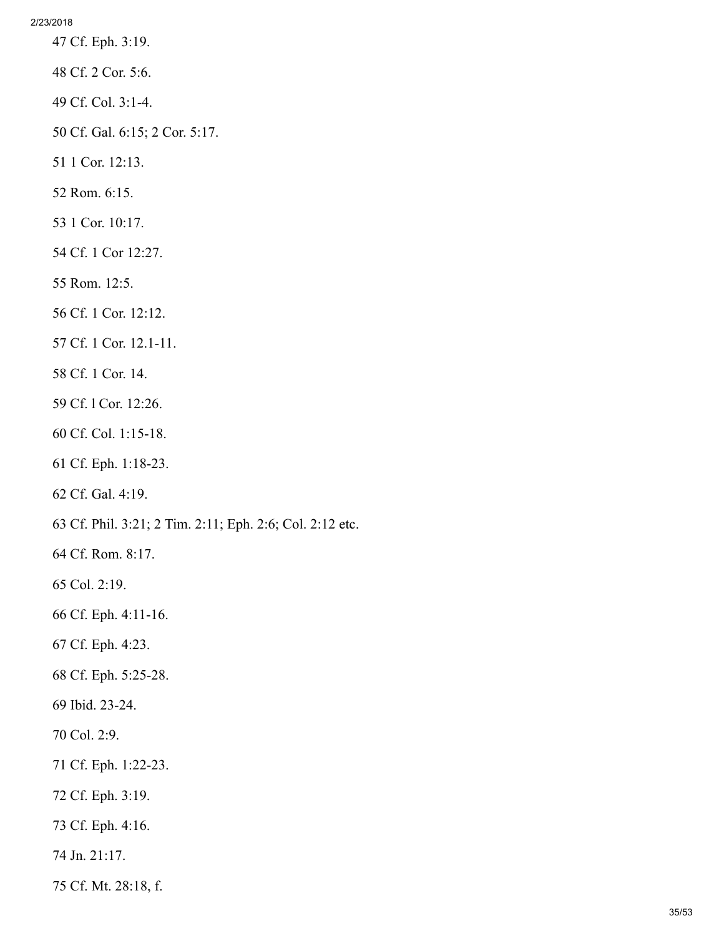47 Cf. Eph. 3:19.

48 Cf. 2 Cor. 5:6.

49 Cf. Col. 3:1-4.

50 Cf. Gal. 6:15; 2 Cor. 5:17.

51 1 Cor. 12:13.

52 Rom. 6:15.

53 1 Cor. 10:17.

54 Cf. 1 Cor 12:27.

55 Rom. 12:5.

56 Cf. 1 Cor. 12:12.

57 Cf. 1 Cor. 12.1-11.

58 Cf. 1 Cor. 14.

59 Cf. l Cor. 12:26.

60 Cf. Col. 1:15-18.

61 Cf. Eph. 1:18-23.

62 Cf. Gal. 4:19.

63 Cf. Phil. 3:21; 2 Tim. 2:11; Eph. 2:6; Col. 2:12 etc.

64 Cf. Rom. 8:17.

65 Col. 2:19.

66 Cf. Eph. 4:11-16.

67 Cf. Eph. 4:23.

68 Cf. Eph. 5:25-28.

69 Ibid. 23-24.

70 Col. 2:9.

71 Cf. Eph. 1:22-23.

72 Cf. Eph. 3:19.

73 Cf. Eph. 4:16.

74 Jn. 21:17.

75 Cf. Mt. 28:18, f.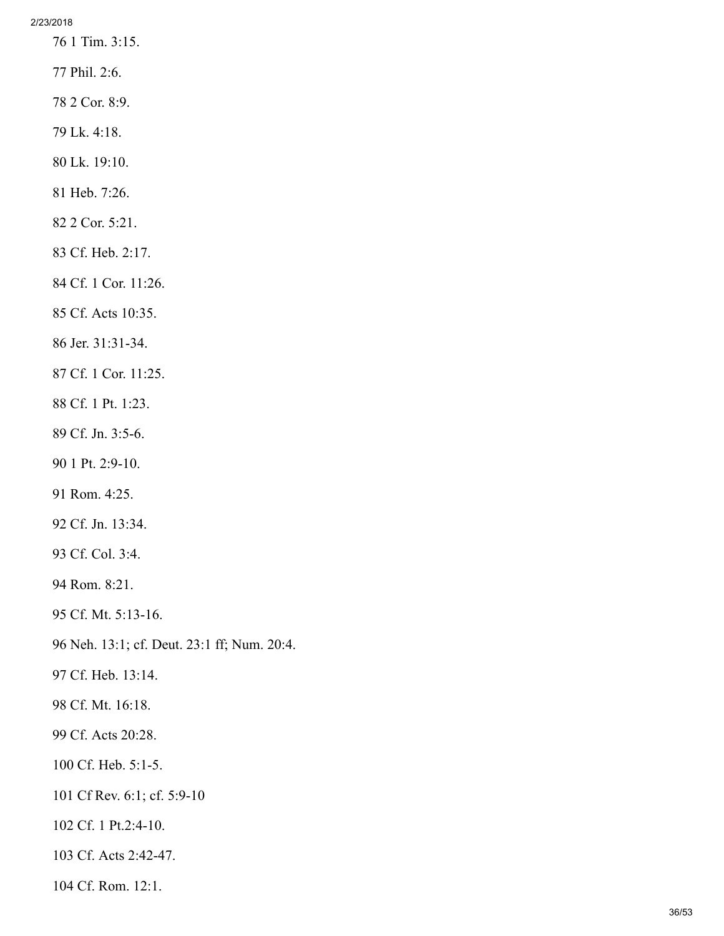76 1 Tim. 3:15.

77 Phil. 2:6.

78 2 Cor. 8:9.

79 Lk. 4:18.

80 Lk. 19:10.

81 Heb. 7:26.

82 2 Cor. 5:21.

83 Cf. Heb. 2:17.

84 Cf. 1 Cor. 11:26.

85 Cf. Acts 10:35.

86 Jer. 31:31-34.

87 Cf. 1 Cor. 11:25.

88 Cf. 1 Pt. 1:23.

89 Cf. Jn. 3:5-6.

90 1 Pt. 2:9-10.

91 Rom. 4:25.

92 Cf. Jn. 13:34.

93 Cf. Col. 3:4.

94 Rom. 8:21.

95 Cf. Mt. 5:13-16.

96 Neh. 13:1; cf. Deut. 23:1 ff; Num. 20:4.

97 Cf. Heb. 13:14.

98 Cf. Mt. 16:18.

99 Cf. Acts 20:28.

100 Cf. Heb. 5:1-5.

101 Cf Rev. 6:1; cf. 5:9-10

102 Cf. 1 Pt.2:4-10.

103 Cf. Acts 2:42-47.

104 Cf. Rom. 12:1.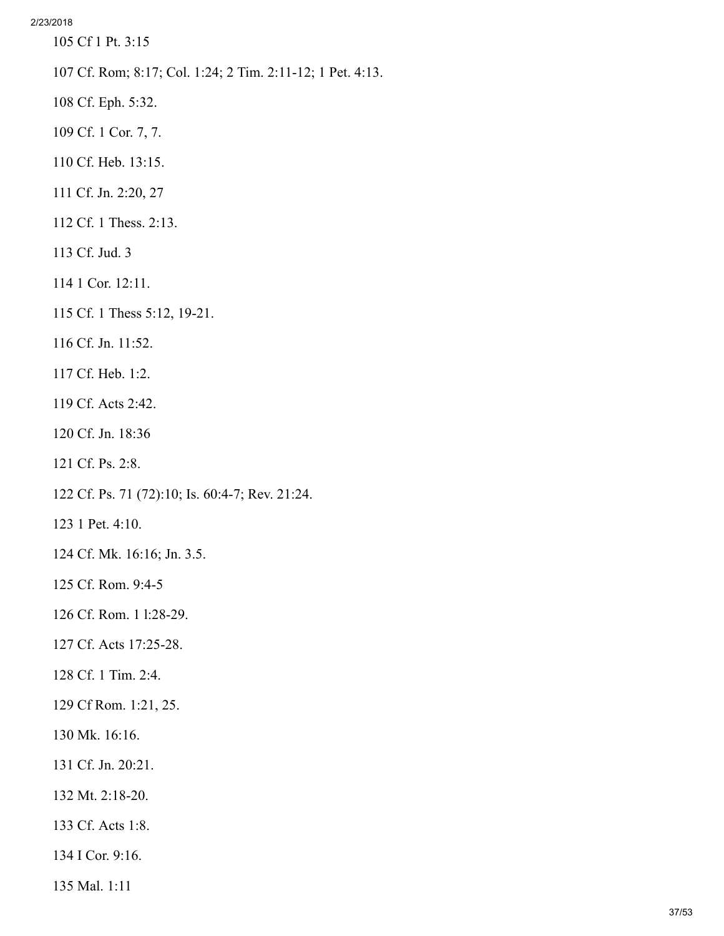105 Cf 1 Pt. 3:15

- 107 Cf. Rom; 8:17; Col. 1:24; 2 Tim. 2:11-12; 1 Pet. 4:13.
- 108 Cf. Eph. 5:32.
- 109 Cf. 1 Cor. 7, 7.
- 110 Cf. Heb. 13:15.
- 111 Cf. Jn. 2:20, 27
- 112 Cf. 1 Thess. 2:13.
- 113 Cf. Jud. 3
- 114 1 Cor. 12:11.
- 115 Cf. 1 Thess 5:12, 19-21.
- 116 Cf. Jn. 11:52.
- 117 Cf. Heb. 1:2.
- 119 Cf. Acts 2:42.
- 120 Cf. Jn. 18:36
- 121 Cf. Ps. 2:8.
- 122 Cf. Ps. 71 (72):10; Is. 60:4-7; Rev. 21:24.
- 123 1 Pet. 4:10.
- 124 Cf. Mk. 16:16; Jn. 3.5.
- 125 Cf. Rom. 9:4-5
- 126 Cf. Rom. 1 l:28-29.
- 127 Cf. Acts 17:25-28.
- 128 Cf. 1 Tim. 2:4.
- 129 Cf Rom. 1:21, 25.
- 130 Mk. 16:16.
- 131 Cf. Jn. 20:21.
- 132 Mt. 2:18-20.
- 133 Cf. Acts 1:8.
- 134 I Cor. 9:16.
- 135 Mal. 1:11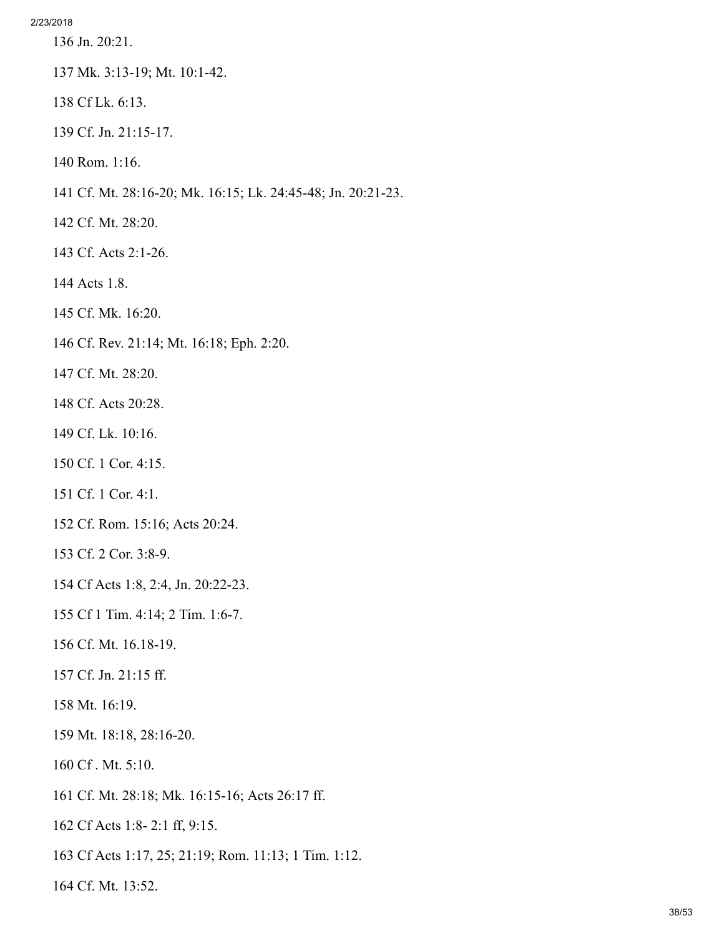136 Jn. 20:21.

- 137 Mk. 3:13-19; Mt. 10:1-42.
- 138 Cf Lk. 6:13.
- 139 Cf. Jn. 21:15-17.
- 140 Rom. 1:16.
- 141 Cf. Mt. 28:16-20; Mk. 16:15; Lk. 24:45-48; Jn. 20:21-23.
- 142 Cf. Mt. 28:20.
- 143 Cf. Acts 2:1-26.
- 144 Acts 1.8.
- 145 Cf. Mk. 16:20.
- 146 Cf. Rev. 21:14; Mt. 16:18; Eph. 2:20.
- 147 Cf. Mt. 28:20.
- 148 Cf. Acts 20:28.
- 149 Cf. Lk. 10:16.
- 150 Cf. 1 Cor. 4:15.
- 151 Cf. 1 Cor. 4:1.
- 152 Cf. Rom. 15:16; Acts 20:24.
- 153 Cf. 2 Cor. 3:8-9.
- 154 Cf Acts 1:8, 2:4, Jn. 20:22-23.
- 155 Cf 1 Tim. 4:14; 2 Tim. 1:6-7.
- 156 Cf. Mt. 16.18-19.
- 157 Cf. Jn. 21:15 ff.
- 158 Mt. 16:19.
- 159 Mt. 18:18, 28:16-20.
- 160 Cf . Mt. 5:10.
- 161 Cf. Mt. 28:18; Mk. 16:15-16; Acts 26:17 ff.
- 162 Cf Acts 1:8- 2:1 ff, 9:15.
- 163 Cf Acts 1:17, 25; 21:19; Rom. 11:13; 1 Tim. 1:12.
- 164 Cf. Mt. 13:52.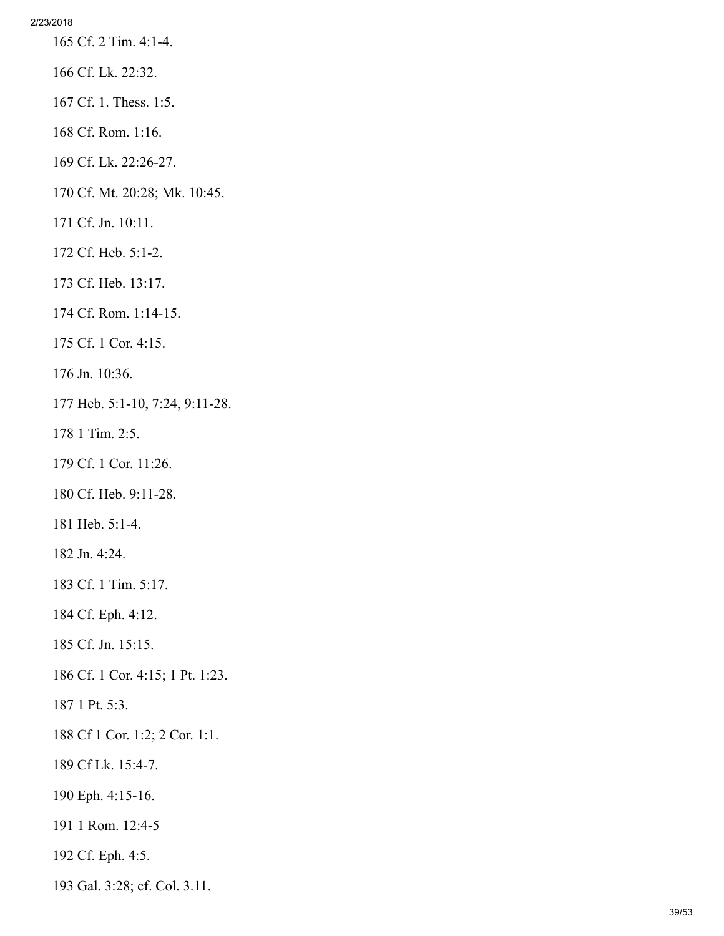165 Cf. 2 Tim. 4:1-4.

- 166 Cf. Lk. 22:32.
- 167 Cf. 1. Thess. 1:5.
- 168 Cf. Rom. 1:16.
- 169 Cf. Lk. 22:26-27.
- 170 Cf. Mt. 20:28; Mk. 10:45.
- 171 Cf. Jn. 10:11.
- 172 Cf. Heb. 5:1-2.
- 173 Cf. Heb. 13:17.
- 174 Cf. Rom. 1:14-15.
- 175 Cf. 1 Cor. 4:15.
- 176 Jn. 10:36.
- 177 Heb. 5:1-10, 7:24, 9:11-28.
- 178 1 Tim. 2:5.
- 179 Cf. 1 Cor. 11:26.
- 180 Cf. Heb. 9:11-28.
- 181 Heb. 5:1-4.
- 182 Jn. 4:24.
- 183 Cf. 1 Tim. 5:17.
- 184 Cf. Eph. 4:12.
- 185 Cf. Jn. 15:15.
- 186 Cf. 1 Cor. 4:15; 1 Pt. 1:23.
- 187 1 Pt. 5:3.
- 188 Cf 1 Cor. 1:2; 2 Cor. 1:1.
- 189 Cf Lk. 15:4-7.
- 190 Eph. 4:15-16.
- 191 1 Rom. 12:4-5
- 192 Cf. Eph. 4:5.
- 193 Gal. 3:28; cf. Col. 3.11.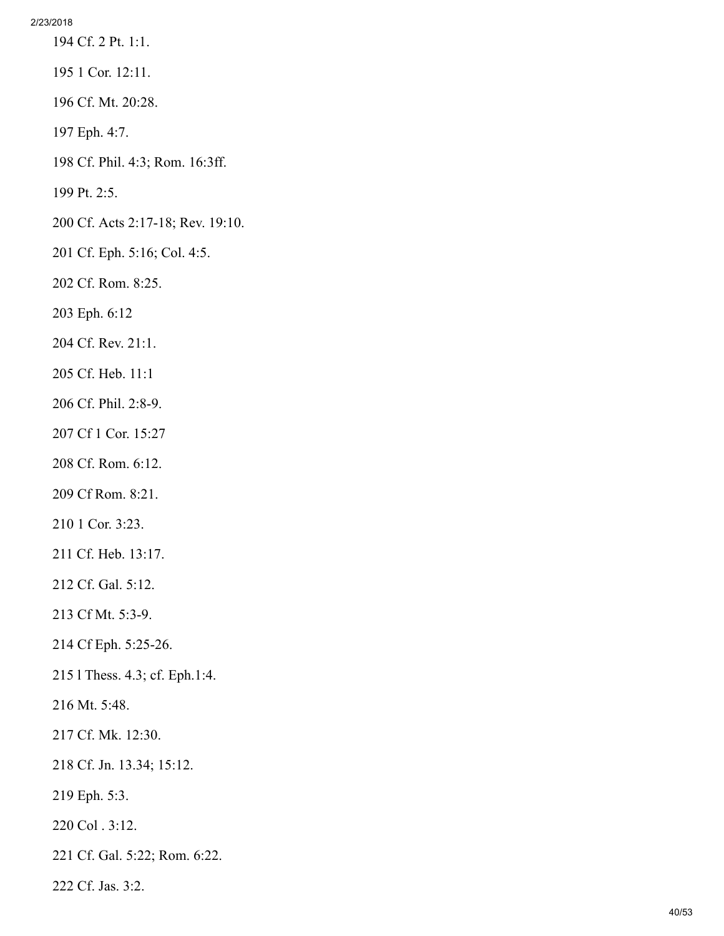194 Cf. 2 Pt. 1:1.

- 195 1 Cor. 12:11.
- 196 Cf. Mt. 20:28.
- 197 Eph. 4:7.
- 198 Cf. Phil. 4:3; Rom. 16:3ff.
- 199 Pt. 2:5.
- 200 Cf. Acts 2:17-18; Rev. 19:10.
- 201 Cf. Eph. 5:16; Col. 4:5.
- 202 Cf. Rom. 8:25.
- 203 Eph. 6:12
- 204 Cf. Rev. 21:1.
- 205 Cf. Heb. 11:1
- 206 Cf. Phil. 2:8-9.
- 207 Cf 1 Cor. 15:27
- 208 Cf. Rom. 6:12.
- 209 Cf Rom. 8:21.
- 210 1 Cor. 3:23.
- 211 Cf. Heb. 13:17.
- 212 Cf. Gal. 5:12.
- 213 Cf Mt. 5:3-9.
- 214 Cf Eph. 5:25-26.
- 215 l Thess. 4.3; cf. Eph.1:4.
- 216 Mt. 5:48.
- 217 Cf. Mk. 12:30.
- 218 Cf. Jn. 13.34; 15:12.
- 219 Eph. 5:3.
- 220 Col . 3:12.
- 221 Cf. Gal. 5:22; Rom. 6:22.
- 222 Cf. Jas. 3:2.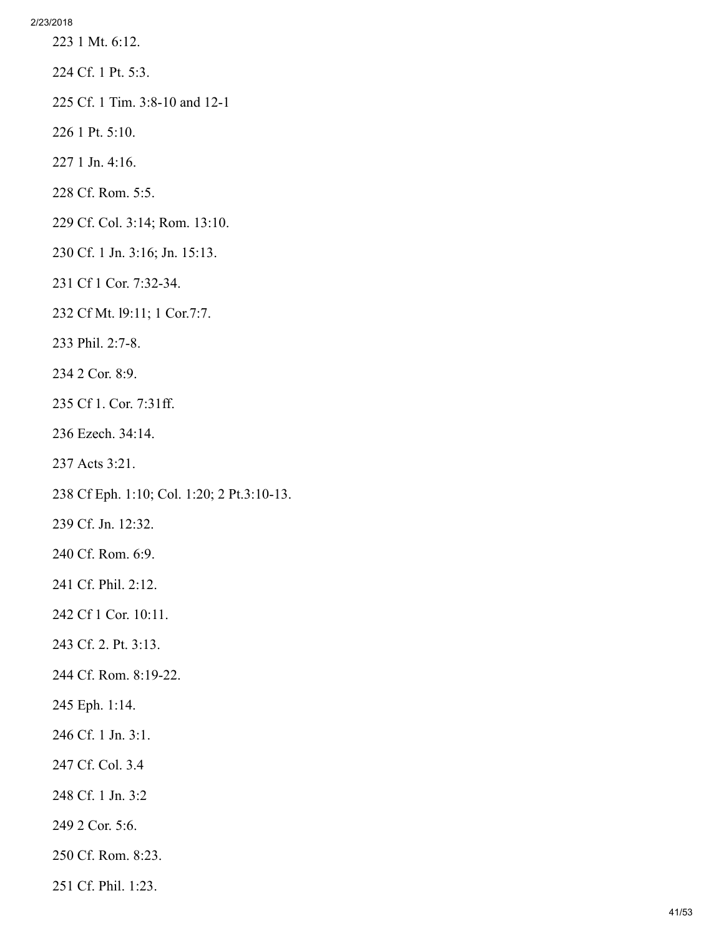223 1 Mt. 6:12.

224 Cf. 1 Pt. 5:3.

225 Cf. 1 Tim. 3:8-10 and 12-1

226 1 Pt. 5:10.

227 1 Jn. 4:16.

228 Cf. Rom. 5:5.

229 Cf. Col. 3:14; Rom. 13:10.

230 Cf. 1 Jn. 3:16; Jn. 15:13.

231 Cf 1 Cor. 7:32-34.

232 Cf Mt. l9:11; 1 Cor.7:7.

233 Phil. 2:7-8.

234 2 Cor. 8:9.

235 Cf 1. Cor. 7:31ff.

236 Ezech. 34:14.

237 Acts 3:21.

238 Cf Eph. 1:10; Col. 1:20; 2 Pt.3:10-13.

239 Cf. Jn. 12:32.

240 Cf. Rom. 6:9.

241 Cf. Phil. 2:12.

242 Cf 1 Cor. 10:11.

243 Cf. 2. Pt. 3:13.

244 Cf. Rom. 8:19-22.

245 Eph. 1:14.

246 Cf. 1 Jn. 3:1.

247 Cf. Col. 3.4

248 Cf. 1 Jn. 3:2

249 2 Cor. 5:6.

250 Cf. Rom. 8:23.

251 Cf. Phil. 1:23.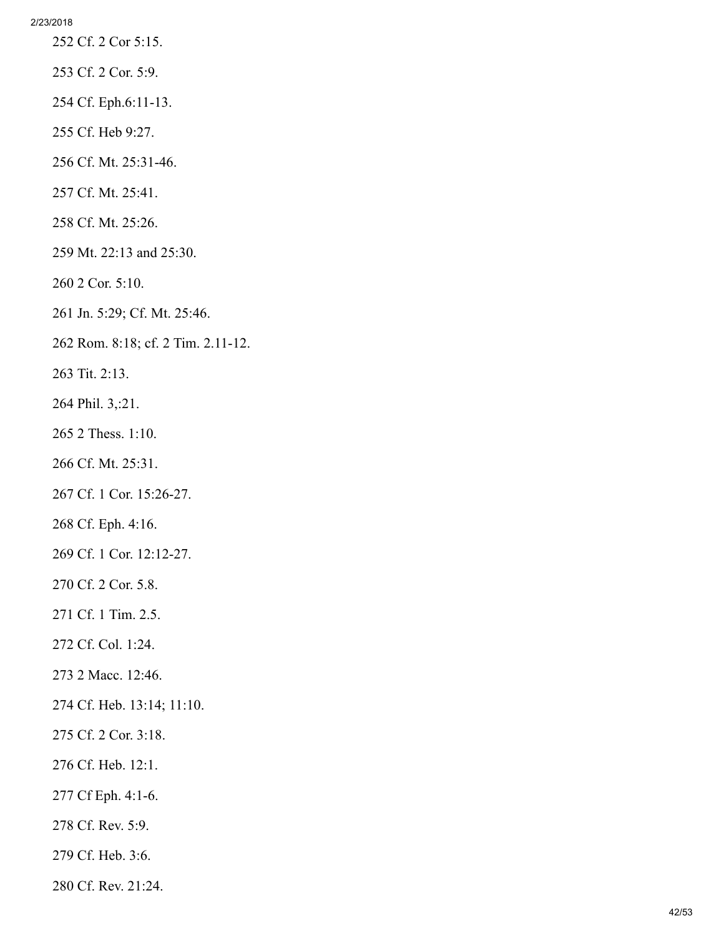252 Cf. 2 Cor 5:15.

- 253 Cf. 2 Cor. 5:9.
- 254 Cf. Eph.6:11-13.
- 255 Cf. Heb 9:27.
- 256 Cf. Mt. 25:31-46.
- 257 Cf. Mt. 25:41.
- 258 Cf. Mt. 25:26.
- 259 Mt. 22:13 and 25:30.
- 260 2 Cor. 5:10.
- 261 Jn. 5:29; Cf. Mt. 25:46.
- 262 Rom. 8:18; cf. 2 Tim. 2.11-12.
- 263 Tit. 2:13.
- 264 Phil. 3,:21.
- 265 2 Thess. 1:10.
- 266 Cf. Mt. 25:31.
- 267 Cf. 1 Cor. 15:26-27.
- 268 Cf. Eph. 4:16.
- 269 Cf. 1 Cor. 12:12-27.
- 270 Cf. 2 Cor. 5.8.
- 271 Cf. 1 Tim. 2.5.
- 272 Cf. Col. 1:24.
- 273 2 Macc. 12:46.
- 274 Cf. Heb. 13:14; 11:10.
- 275 Cf. 2 Cor. 3:18.
- 276 Cf. Heb. 12:1.
- 277 Cf Eph. 4:1-6.
- 278 Cf. Rev. 5:9.
- 279 Cf. Heb. 3:6.
- 280 Cf. Rev. 21:24.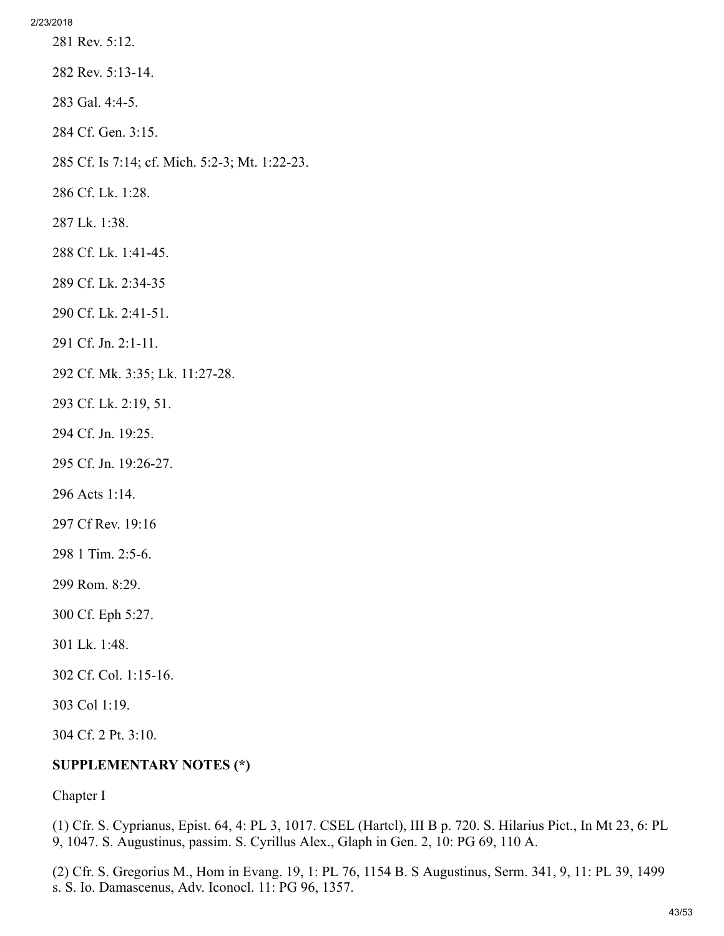281 Rev. 5:12.

282 Rev. 5:13-14.

283 Gal. 4:4-5.

284 Cf. Gen. 3:15.

285 Cf. Is 7:14; cf. Mich. 5:2-3; Mt. 1:22-23.

286 Cf. Lk. 1:28.

287 Lk. 1:38.

288 Cf. Lk. 1:41-45.

289 Cf. Lk. 2:34-35

290 Cf. Lk. 2:41-51.

291 Cf. Jn. 2:1-11.

292 Cf. Mk. 3:35; Lk. 11:27-28.

293 Cf. Lk. 2:19, 51.

294 Cf. Jn. 19:25.

295 Cf. Jn. 19:26-27.

296 Acts 1:14.

297 Cf Rev. 19:16

298 1 Tim. 2:5-6.

299 Rom. 8:29.

300 Cf. Eph 5:27.

301 Lk. 1:48.

302 Cf. Col. 1:15-16.

303 Col 1:19.

304 Cf. 2 Pt. 3:10.

## SUPPLEMENTARY NOTES (\*)

Chapter I

(1) Cfr. S. Cyprianus, Epist. 64, 4: PL 3, 1017. CSEL (Hartcl), III B p. 720. S. Hilarius Pict., In Mt 23, 6: PL 9, 1047. S. Augustinus, passim. S. Cyrillus Alex., Glaph in Gen. 2, 10: PG 69, 110 A.

(2) Cfr. S. Gregorius M., Hom in Evang. 19, 1: PL 76, 1154 B. S Augustinus, Serm. 341, 9, 11: PL 39, 1499 s. S. Io. Damascenus, Adv. Iconocl. 11: PG 96, 1357.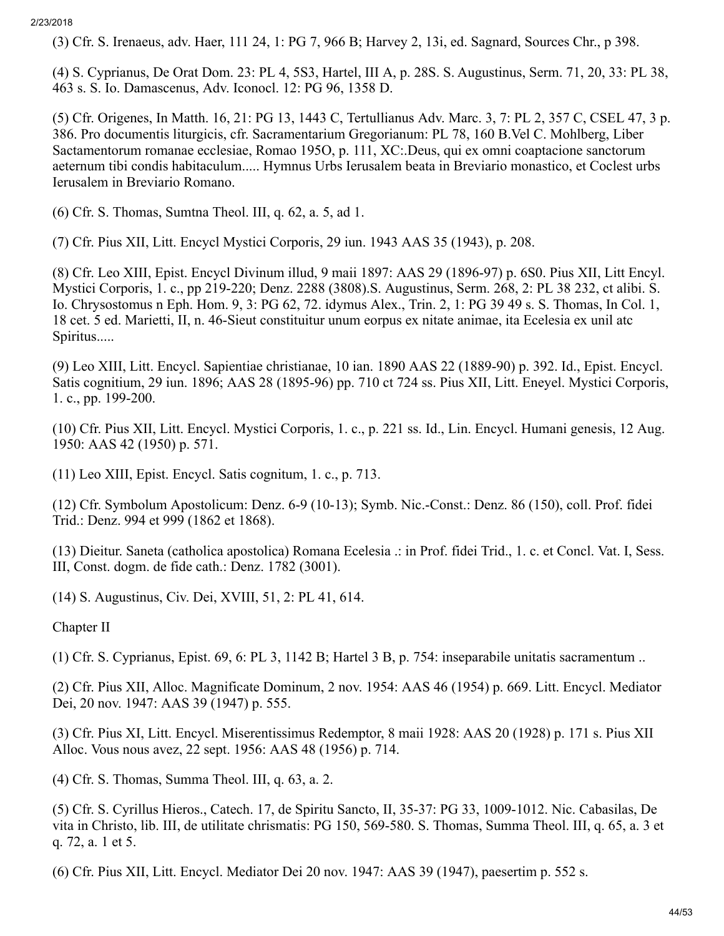(3) Cfr. S. Irenaeus, adv. Haer, 111 24, 1: PG 7, 966 B; Harvey 2, 13i, ed. Sagnard, Sources Chr., p 398.

(4) S. Cyprianus, De Orat Dom. 23: PL 4, 5S3, Hartel, III A, p. 28S. S. Augustinus, Serm. 71, 20, 33: PL 38, 463 s. S. Io. Damascenus, Adv. Iconocl. 12: PG 96, 1358 D.

(5) Cfr. Origenes, In Matth. 16, 21: PG 13, 1443 C, Tertullianus Adv. Marc. 3, 7: PL 2, 357 C, CSEL 47, 3 p. 386. Pro documentis liturgicis, cfr. Sacramentarium Gregorianum: PL 78, 160 B.Vel C. Mohlberg, Liber Sactamentorum romanae ecclesiae, Romao 195O, p. 111, XC:.Deus, qui ex omni coaptacione sanctorum aeternum tibi condis habitaculum..... Hymnus Urbs Ierusalem beata in Breviario monastico, et Coclest urbs Ierusalem in Breviario Romano.

(6) Cfr. S. Thomas, Sumtna Theol. III, q. 62, a. 5, ad 1.

(7) Cfr. Pius XII, Litt. Encycl Mystici Corporis, 29 iun. 1943 AAS 35 (1943), p. 208.

(8) Cfr. Leo XIII, Epist. Encycl Divinum illud, 9 maii 1897: AAS 29 (1896-97) p. 6S0. Pius XII, Litt Encyl. Mystici Corporis, 1. c., pp 219-220; Denz. 2288 (3808).S. Augustinus, Serm. 268, 2: PL 38 232, ct alibi. S. Io. Chrysostomus n Eph. Hom. 9, 3: PG 62, 72. idymus Alex., Trin. 2, 1: PG 39 49 s. S. Thomas, In Col. 1, 18 cet. 5 ed. Marietti, II, n. 46-Sieut constituitur unum eorpus ex nitate animae, ita Ecelesia ex unil atc Spiritus.....

(9) Leo XIII, Litt. Encycl. Sapientiae christianae, 10 ian. 1890 AAS 22 (1889-90) p. 392. Id., Epist. Encycl. Satis cognitium, 29 iun. 1896; AAS 28 (1895-96) pp. 710 ct 724 ss. Pius XII, Litt. Eneyel. Mystici Corporis, 1. c., pp. 199-200.

(10) Cfr. Pius XII, Litt. Encycl. Mystici Corporis, 1. c., p. 221 ss. Id., Lin. Encycl. Humani genesis, 12 Aug. 1950: AAS 42 (1950) p. 571.

(11) Leo XIII, Epist. Encycl. Satis cognitum, 1. c., p. 713.

(12) Cfr. Symbolum Apostolicum: Denz. 6-9 (10-13); Symb. Nic.-Const.: Denz. 86 (150), coll. Prof. fidei Trid.: Denz. 994 et 999 (1862 et 1868).

(13) Dieitur. Saneta (catholica apostolica) Romana Ecelesia .: in Prof. fidei Trid., 1. c. et Concl. Vat. I, Sess. III, Const. dogm. de fide cath.: Denz. 1782 (3001).

(14) S. Augustinus, Civ. Dei, XVIII, 51, 2: PL 41, 614.

Chapter II

(1) Cfr. S. Cyprianus, Epist. 69, 6: PL 3, 1142 B; Hartel 3 B, p. 754: inseparabile unitatis sacramentum ..

(2) Cfr. Pius XII, Alloc. Magnificate Dominum, 2 nov. 1954: AAS 46 (1954) p. 669. Litt. Encycl. Mediator Dei, 20 nov. 1947: AAS 39 (1947) p. 555.

(3) Cfr. Pius XI, Litt. Encycl. Miserentissimus Redemptor, 8 maii 1928: AAS 20 (1928) p. 171 s. Pius XII Alloc. Vous nous avez, 22 sept. 1956: AAS 48 (1956) p. 714.

(4) Cfr. S. Thomas, Summa Theol. III, q. 63, a. 2.

(5) Cfr. S. Cyrillus Hieros., Catech. 17, de Spiritu Sancto, II, 35-37: PG 33, 1009-1012. Nic. Cabasilas, De vita in Christo, lib. III, de utilitate chrismatis: PG 150, 569-580. S. Thomas, Summa Theol. III, q. 65, a. 3 et q. 72, a. 1 et 5.

(6) Cfr. Pius XII, Litt. Encycl. Mediator Dei 20 nov. 1947: AAS 39 (1947), paesertim p. 552 s.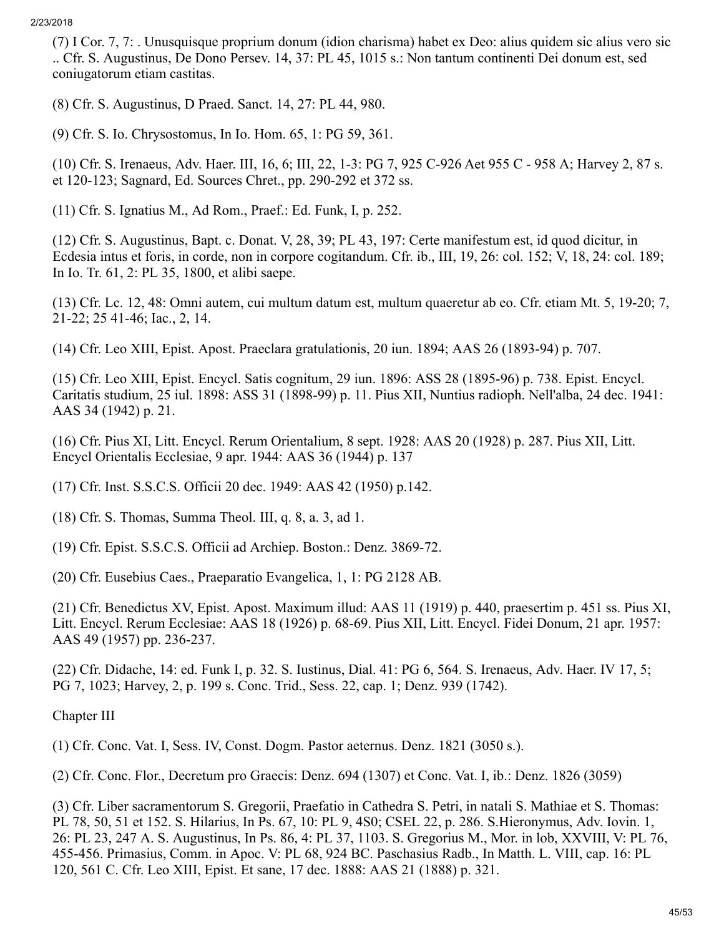(7) I Cor. 7, 7: . Unusquisque proprium donum (idion charisma) habet ex Deo: alius quidem sic alius vero sic .. Cfr. S. Augustinus, De Dono Persev. 14, 37: PL 45, 1015 s.: Non tantum continenti Dei donum est, sed coniugatorum etiam castitas.

(8) Cfr. S. Augustinus, D Praed. Sanct. 14, 27: PL 44, 980.

(9) Cfr. S. Io. Chrysostomus, In Io. Hom. 65, 1: PG 59, 361.

(10) Cfr. S. Irenaeus, Adv. Haer. III, 16, 6; III, 22, 1-3: PG 7, 925 C-926 Aet 955 C - 958 A; Harvey 2, 87 s. et 120-123; Sagnard, Ed. Sources Chret., pp. 290-292 et 372 ss.

(11) Cfr. S. Ignatius M., Ad Rom., Praef.: Ed. Funk, I, p. 252.

(12) Cfr. S. Augustinus, Bapt. c. Donat. V, 28, 39; PL 43, 197: Certe manifestum est, id quod dicitur, in Ecdesia intus et foris, in corde, non in corpore cogitandum. Cfr. ib., III, 19, 26: col. 152; V, 18, 24: col. 189; In Io. Tr. 61, 2: PL 35, 1800, et alibi saepe.

(13) Cfr. Lc. 12, 48: Omni autem, cui multum datum est, multum quaeretur ab eo. Cfr. etiam Mt. 5, 19-20; 7, 21-22; 25 41-46; Iac., 2, 14.

(14) Cfr. Leo XIII, Epist. Apost. Praeclara gratulationis, 20 iun. 1894; AAS 26 (1893-94) p. 707.

(15) Cfr. Leo XIII, Epist. Encycl. Satis cognitum, 29 iun. 1896: ASS 28 (1895-96) p. 738. Epist. Encycl. Caritatis studium, 25 iul. 1898: ASS 31 (1898-99) p. 11. Pius XII, Nuntius radioph. Nell'alba, 24 dec. 1941: AAS 34 (1942) p. 21.

(16) Cfr. Pius XI, Litt. Encycl. Rerum Orientalium, 8 sept. 1928: AAS 20 (1928) p. 287. Pius XII, Litt. Encycl Orientalis Ecclesiae, 9 apr. 1944: AAS 36 (1944) p. 137

(17) Cfr. Inst. S.S.C.S. Officii 20 dec. 1949: AAS 42 (1950) p.142.

(18) Cfr. S. Thomas, Summa Theol. III, q. 8, a. 3, ad 1.

(19) Cfr. Epist. S.S.C.S. Officii ad Archiep. Boston.: Denz. 3869-72.

(20) Cfr. Eusebius Caes., Praeparatio Evangelica, 1, 1: PG 2128 AB.

(21) Cfr. Benedictus XV, Epist. Apost. Maximum illud: AAS 11 (1919) p. 440, praesertim p. 451 ss. Pius XI, Litt. Encycl. Rerum Ecclesiae: AAS 18 (1926) p. 68-69. Pius XII, Litt. Encycl. Fidei Donum, 21 apr. 1957: AAS 49 (1957) pp. 236-237.

(22) Cfr. Didache, 14: ed. Funk I, p. 32. S. Iustinus, Dial. 41: PG 6, 564. S. Irenaeus, Adv. Haer. IV 17, 5; PG 7, 1023; Harvey, 2, p. 199 s. Conc. Trid., Sess. 22, cap. 1; Denz. 939 (1742).

Chapter III

(1) Cfr. Conc. Vat. I, Sess. IV, Const. Dogm. Pastor aeternus. Denz. 1821 (3050 s.).

(2) Cfr. Conc. Flor., Decretum pro Graecis: Denz. 694 (1307) et Conc. Vat. I, ib.: Denz. 1826 (3059)

(3) Cfr. Liber sacramentorum S. Gregorii, Praefatio in Cathedra S. Petri, in natali S. Mathiae et S. Thomas: PL 78, 50, 51 et 152. S. Hilarius, In Ps. 67, 10: PL 9, 4S0; CSEL 22, p. 286. S.Hieronymus, Adv. Iovin. 1, 26: PL 23, 247 A. S. Augustinus, In Ps. 86, 4: PL 37, 1103. S. Gregorius M., Mor. in lob, XXVIII, V: PL 76, 455-456. Primasius, Comm. in Apoc. V: PL 68, 924 BC. Paschasius Radb., In Matth. L. VIII, cap. 16: PL 120, 561 C. Cfr. Leo XIII, Epist. Et sane, 17 dec. 1888: AAS 21 (1888) p. 321.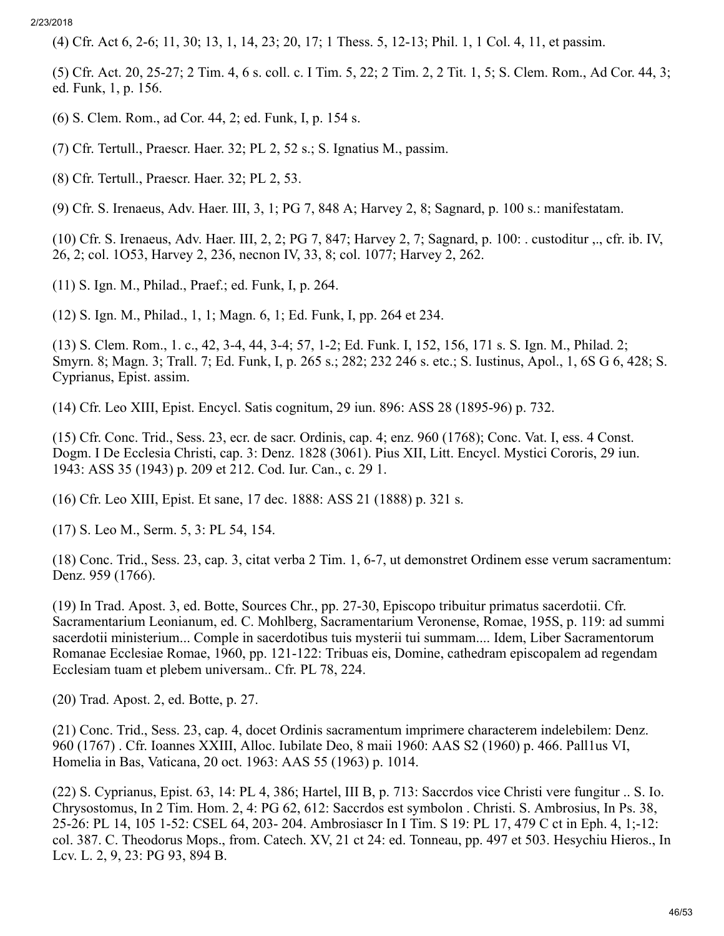(4) Cfr. Act 6, 2-6; 11, 30; 13, 1, 14, 23; 20, 17; 1 Thess. 5, 12-13; Phil. 1, 1 Col. 4, 11, et passim.

(5) Cfr. Act. 20, 25-27; 2 Tim. 4, 6 s. coll. c. I Tim. 5, 22; 2 Tim. 2, 2 Tit. 1, 5; S. Clem. Rom., Ad Cor. 44, 3; ed. Funk, 1, p. 156.

(6) S. Clem. Rom., ad Cor. 44, 2; ed. Funk, I, p. 154 s.

(7) Cfr. Tertull., Praescr. Haer. 32; PL 2, 52 s.; S. Ignatius M., passim.

(8) Cfr. Tertull., Praescr. Haer. 32; PL 2, 53.

(9) Cfr. S. Irenaeus, Adv. Haer. III, 3, 1; PG 7, 848 A; Harvey 2, 8; Sagnard, p. 100 s.: manifestatam.

(10) Cfr. S. Irenaeus, Adv. Haer. III, 2, 2; PG 7, 847; Harvey 2, 7; Sagnard, p. 100: . custoditur ,., cfr. ib. IV, 26, 2; col. 1O53, Harvey 2, 236, necnon IV, 33, 8; col. 1077; Harvey 2, 262.

(11) S. Ign. M., Philad., Praef.; ed. Funk, I, p. 264.

(12) S. Ign. M., Philad., 1, 1; Magn. 6, 1; Ed. Funk, I, pp. 264 et 234.

(13) S. Clem. Rom., 1. c., 42, 3-4, 44, 3-4; 57, 1-2; Ed. Funk. I, 152, 156, 171 s. S. Ign. M., Philad. 2; Smyrn. 8; Magn. 3; Trall. 7; Ed. Funk, I, p. 265 s.; 282; 232 246 s. etc.; S. Iustinus, Apol., 1, 6S G 6, 428; S. Cyprianus, Epist. assim.

(14) Cfr. Leo XIII, Epist. Encycl. Satis cognitum, 29 iun. 896: ASS 28 (1895-96) p. 732.

(15) Cfr. Conc. Trid., Sess. 23, ecr. de sacr. Ordinis, cap. 4; enz. 960 (1768); Conc. Vat. I, ess. 4 Const. Dogm. I De Ecclesia Christi, cap. 3: Denz. 1828 (3061). Pius XII, Litt. Encycl. Mystici Cororis, 29 iun. 1943: ASS 35 (1943) p. 209 et 212. Cod. Iur. Can., c. 29 1.

(16) Cfr. Leo XIII, Epist. Et sane, 17 dec. 1888: ASS 21 (1888) p. 321 s.

(17) S. Leo M., Serm. 5, 3: PL 54, 154.

(18) Conc. Trid., Sess. 23, cap. 3, citat verba 2 Tim. 1, 6-7, ut demonstret Ordinem esse verum sacramentum: Denz. 959 (1766).

(19) In Trad. Apost. 3, ed. Botte, Sources Chr., pp. 27-30, Episcopo tribuitur primatus sacerdotii. Cfr. Sacramentarium Leonianum, ed. C. Mohlberg, Sacramentarium Veronense, Romae, 195S, p. 119: ad summi sacerdotii ministerium... Comple in sacerdotibus tuis mysterii tui summam.... Idem, Liber Sacramentorum Romanae Ecclesiae Romae, 1960, pp. 121-122: Tribuas eis, Domine, cathedram episcopalem ad regendam Ecclesiam tuam et plebem universam.. Cfr. PL 78, 224.

(20) Trad. Apost. 2, ed. Botte, p. 27.

(21) Conc. Trid., Sess. 23, cap. 4, docet Ordinis sacramentum imprimere characterem indelebilem: Denz. 960 (1767) . Cfr. Ioannes XXIII, Alloc. Iubilate Deo, 8 maii 1960: AAS S2 (1960) p. 466. Pall1us VI, Homelia in Bas, Vaticana, 20 oct. 1963: AAS 55 (1963) p. 1014.

(22) S. Cyprianus, Epist. 63, 14: PL 4, 386; Hartel, III B, p. 713: Saccrdos vice Christi vere fungitur .. S. Io. Chrysostomus, In 2 Tim. Hom. 2, 4: PG 62, 612: Saccrdos est symbolon . Christi. S. Ambrosius, In Ps. 38, 25-26: PL 14, 105 1-52: CSEL 64, 203- 204. Ambrosiascr In I Tim. S 19: PL 17, 479 C ct in Eph. 4, 1;-12: col. 387. C. Theodorus Mops., from. Catech. XV, 21 ct 24: ed. Tonneau, pp. 497 et 503. Hesychiu Hieros., In Lcv. L. 2, 9, 23: PG 93, 894 B.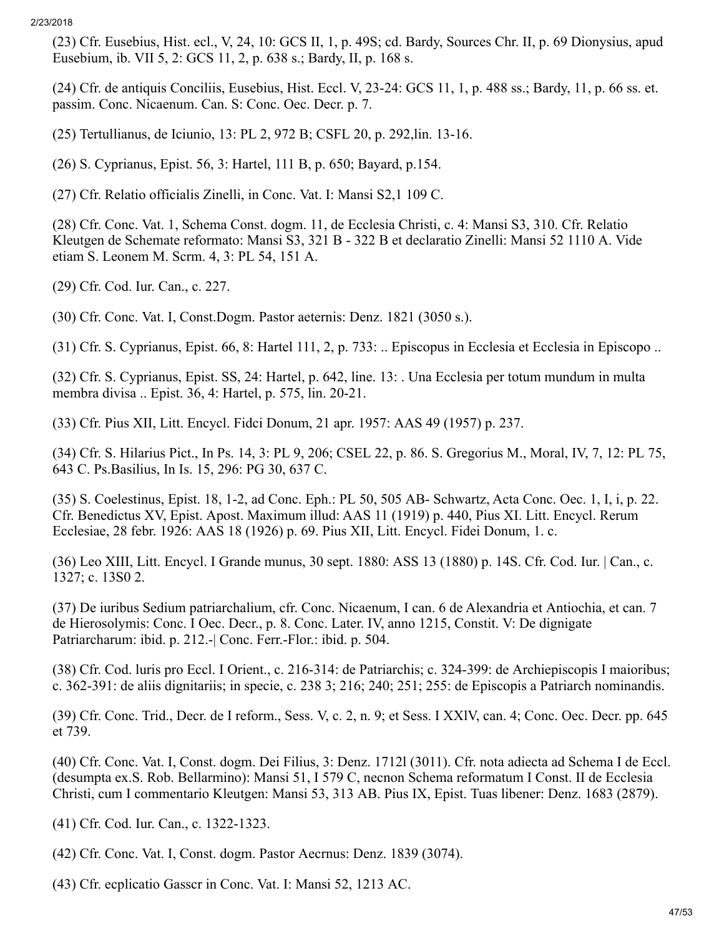(23) Cfr. Eusebius, Hist. ecl., V, 24, 10: GCS II, 1, p. 49S; cd. Bardy, Sources Chr. II, p. 69 Dionysius, apud Eusebium, ib. VII 5, 2: GCS 11, 2, p. 638 s.; Bardy, II, p. 168 s.

(24) Cfr. de antiquis Conciliis, Eusebius, Hist. Eccl. V, 23-24: GCS 11, 1, p. 488 ss.; Bardy, 11, p. 66 ss. et. passim. Conc. Nicaenum. Can. S: Conc. Oec. Decr. p. 7.

(25) Tertullianus, de Iciunio, 13: PL 2, 972 B; CSFL 20, p. 292,lin. 13-16.

(26) S. Cyprianus, Epist. 56, 3: Hartel, 111 B, p. 650; Bayard, p.154.

(27) Cfr. Relatio officialis Zinelli, in Conc. Vat. I: Mansi S2,1 109 C.

(28) Cfr. Conc. Vat. 1, Schema Const. dogm. 11, de Ecclesia Christi, c. 4: Mansi S3, 310. Cfr. Relatio Kleutgen de Schemate reformato: Mansi S3, 321 B - 322 B et declaratio Zinelli: Mansi 52 1110 A. Vide etiam S. Leonem M. Scrm. 4, 3: PL 54, 151 A.

(29) Cfr. Cod. Iur. Can., c. 227.

(30) Cfr. Conc. Vat. I, Const.Dogm. Pastor aeternis: Denz. 1821 (3050 s.).

(31) Cfr. S. Cyprianus, Epist. 66, 8: Hartel 111, 2, p. 733: .. Episcopus in Ecclesia et Ecclesia in Episcopo ..

(32) Cfr. S. Cyprianus, Epist. SS, 24: Hartel, p. 642, line. 13: . Una Ecclesia per totum mundum in multa membra divisa .. Epist. 36, 4: Hartel, p. 575, lin. 20-21.

(33) Cfr. Pius XII, Litt. Encycl. Fidci Donum, 21 apr. 1957: AAS 49 (1957) p. 237.

(34) Cfr. S. Hilarius Pict., In Ps. 14, 3: PL 9, 206; CSEL 22, p. 86. S. Gregorius M., Moral, IV, 7, 12: PL 75, 643 C. Ps.Basilius, In Is. 15, 296: PG 30, 637 C.

(35) S. Coelestinus, Epist. 18, 1-2, ad Conc. Eph.: PL 50, 505 AB- Schwartz, Acta Conc. Oec. 1, I, i, p. 22. Cfr. Benedictus XV, Epist. Apost. Maximum illud: AAS 11 (1919) p. 440, Pius XI. Litt. Encycl. Rerum Ecclesiae, 28 febr. 1926: AAS 18 (1926) p. 69. Pius XII, Litt. Encycl. Fidei Donum, 1. c.

(36) Leo XIII, Litt. Encycl. I Grande munus, 30 sept. 1880: ASS 13 (1880) p. 14S. Cfr. Cod. Iur. | Can., c. 1327; c. 13S0 2.

(37) De iuribus Sedium patriarchalium, cfr. Conc. Nicaenum, I can. 6 de Alexandria et Antiochia, et can. 7 de Hierosolymis: Conc. I Oec. Decr., p. 8. Conc. Later. IV, anno 1215, Constit. V: De dignigate Patriarcharum: ibid. p. 212.- Conc. Ferr.-Flor.: ibid. p. 504.

(38) Cfr. Cod. luris pro Eccl. I Orient., c. 216-314: de Patriarchis; c. 324-399: de Archiepiscopis I maioribus; c. 362-391: de aliis dignitariis; in specie, c. 238 3; 216; 240; 251; 255: de Episcopis a Patriarch nominandis.

(39) Cfr. Conc. Trid., Decr. de I reform., Sess. V, c. 2, n. 9; et Sess. I XXlV, can. 4; Conc. Oec. Decr. pp. 645 et 739.

(40) Cfr. Conc. Vat. I, Const. dogm. Dei Filius, 3: Denz. 1712l (3011). Cfr. nota adiecta ad Schema I de Eccl. (desumpta ex.S. Rob. Bellarmino): Mansi 51, I 579 C, necnon Schema reformatum I Const. II de Ecclesia Christi, cum I commentario Kleutgen: Mansi 53, 313 AB. Pius IX, Epist. Tuas libener: Denz. 1683 (2879).

(41) Cfr. Cod. Iur. Can., c. 1322-1323.

(42) Cfr. Conc. Vat. I, Const. dogm. Pastor Aecrnus: Denz. 1839 (3074).

(43) Cfr. ecplicatio Gasscr in Conc. Vat. I: Mansi 52, 1213 AC.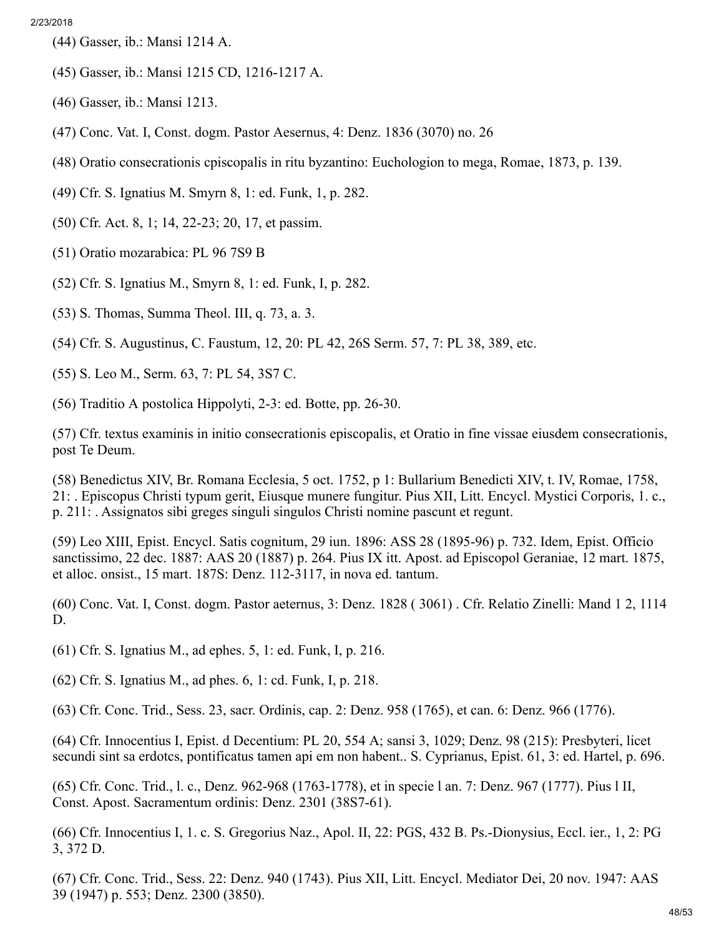- (44) Gasser, ib.: Mansi 1214 A.
- (45) Gasser, ib.: Mansi 1215 CD, 1216-1217 A.
- (46) Gasser, ib.: Mansi 1213.
- (47) Conc. Vat. I, Const. dogm. Pastor Aesernus, 4: Denz. 1836 (3070) no. 26
- (48) Oratio consecrationis cpiscopalis in ritu byzantino: Euchologion to mega, Romae, 1873, p. 139.
- (49) Cfr. S. Ignatius M. Smyrn 8, 1: ed. Funk, 1, p. 282.
- (50) Cfr. Act. 8, 1; 14, 22-23; 20, 17, et passim.
- (51) Oratio mozarabica: PL 96 7S9 B
- (52) Cfr. S. Ignatius M., Smyrn 8, 1: ed. Funk, I, p. 282.
- (53) S. Thomas, Summa Theol. III, q. 73, a. 3.
- (54) Cfr. S. Augustinus, C. Faustum, 12, 20: PL 42, 26S Serm. 57, 7: PL 38, 389, etc.
- (55) S. Leo M., Serm. 63, 7: PL 54, 3S7 C.
- (56) Traditio A postolica Hippolyti, 2-3: ed. Botte, pp. 26-30.

(57) Cfr. textus examinis in initio consecrationis episcopalis, et Oratio in fine vissae eiusdem consecrationis, post Te Deum.

(58) Benedictus XIV, Br. Romana Ecclesia, 5 oct. 1752, p 1: Bullarium Benedicti XIV, t. IV, Romae, 1758, 21: . Episcopus Christi typum gerit, Eiusque munere fungitur. Pius XII, Litt. Encycl. Mystici Corporis, 1. c., p. 211: . Assignatos sibi greges singuli singulos Christi nomine pascunt et regunt.

(59) Leo XIII, Epist. Encycl. Satis cognitum, 29 iun. 1896: ASS 28 (1895-96) p. 732. Idem, Epist. Officio sanctissimo, 22 dec. 1887: AAS 20 (1887) p. 264. Pius IX itt. Apost. ad Episcopol Geraniae, 12 mart. 1875, et alloc. onsist., 15 mart. 187S: Denz. 112-3117, in nova ed. tantum.

(60) Conc. Vat. I, Const. dogm. Pastor aeternus, 3: Denz. 1828 ( 3061) . Cfr. Relatio Zinelli: Mand 1 2, 1114 D.

(61) Cfr. S. Ignatius M., ad ephes. 5, 1: ed. Funk, I, p. 216.

(62) Cfr. S. Ignatius M., ad phes. 6, 1: cd. Funk, I, p. 218.

(63) Cfr. Conc. Trid., Sess. 23, sacr. Ordinis, cap. 2: Denz. 958 (1765), et can. 6: Denz. 966 (1776).

(64) Cfr. Innocentius I, Epist. d Decentium: PL 20, 554 A; sansi 3, 1029; Denz. 98 (215): Presbyteri, licet secundi sint sa erdotcs, pontificatus tamen api em non habent.. S. Cyprianus, Epist. 61, 3: ed. Hartel, p. 696.

(65) Cfr. Conc. Trid., l. c., Denz. 962-968 (1763-1778), et in specie l an. 7: Denz. 967 (1777). Pius l II, Const. Apost. Sacramentum ordinis: Denz. 2301 (38S7-61).

(66) Cfr. Innocentius I, 1. c. S. Gregorius Naz., Apol. II, 22: PGS, 432 B. Ps.-Dionysius, Eccl. ier., 1, 2: PG 3, 372 D.

(67) Cfr. Conc. Trid., Sess. 22: Denz. 940 (1743). Pius XII, Litt. Encycl. Mediator Dei, 20 nov. 1947: AAS 39 (1947) p. 553; Denz. 2300 (3850).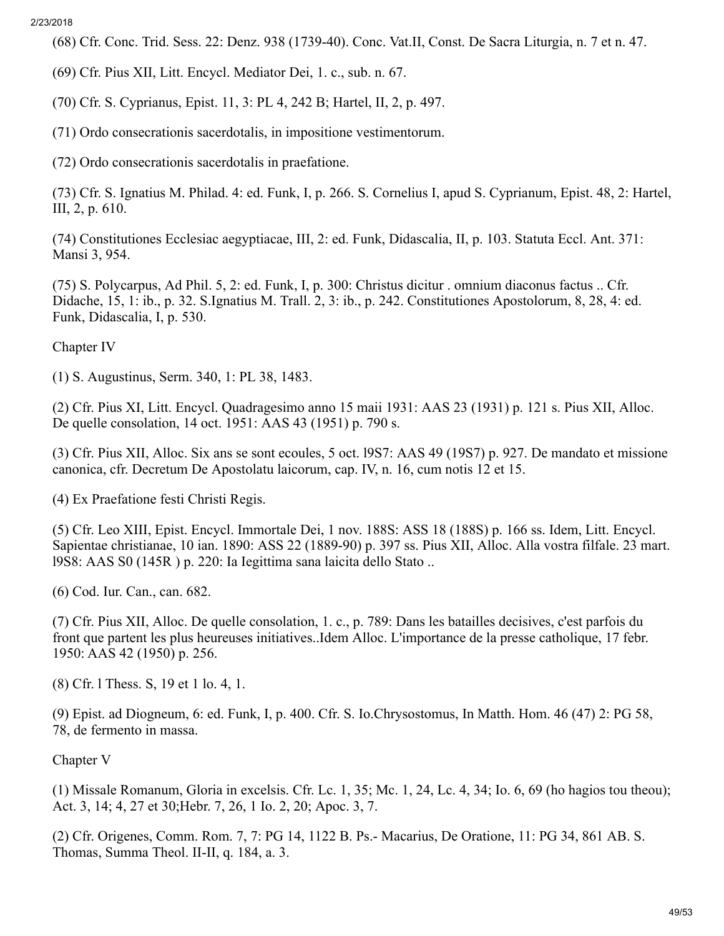(68) Cfr. Conc. Trid. Sess. 22: Denz. 938 (1739-40). Conc. Vat.II, Const. De Sacra Liturgia, n. 7 et n. 47.

(69) Cfr. Pius XII, Litt. Encycl. Mediator Dei, 1. c., sub. n. 67.

(70) Cfr. S. Cyprianus, Epist. 11, 3: PL 4, 242 B; Hartel, II, 2, p. 497.

(71) Ordo consecrationis sacerdotalis, in impositione vestimentorum.

(72) Ordo consecrationis sacerdotalis in praefatione.

(73) Cfr. S. Ignatius M. Philad. 4: ed. Funk, I, p. 266. S. Cornelius I, apud S. Cyprianum, Epist. 48, 2: Hartel, III, 2, p. 610.

(74) Constitutiones Ecclesiac aegyptiacae, III, 2: ed. Funk, Didascalia, II, p. 103. Statuta Eccl. Ant. 371: Mansi 3, 954.

(75) S. Polycarpus, Ad Phil. 5, 2: ed. Funk, I, p. 300: Christus dicitur . omnium diaconus factus .. Cfr. Didache, 15, 1: ib., p. 32. S.Ignatius M. Trall. 2, 3: ib., p. 242. Constitutiones Apostolorum, 8, 28, 4: ed. Funk, Didascalia, I, p. 530.

Chapter IV

(1) S. Augustinus, Serm. 340, 1: PL 38, 1483.

(2) Cfr. Pius XI, Litt. Encycl. Quadragesimo anno 15 maii 1931: AAS 23 (1931) p. 121 s. Pius XII, Alloc. De quelle consolation, 14 oct. 1951: AAS 43 (1951) p. 790 s.

(3) Cfr. Pius XII, Alloc. Six ans se sont ecoules, 5 oct. l9S7: AAS 49 (19S7) p. 927. De mandato et missione canonica, cfr. Decretum De Apostolatu laicorum, cap. IV, n. 16, cum notis 12 et 15.

(4) Ex Praefatione festi Christi Regis.

(5) Cfr. Leo XIII, Epist. Encycl. Immortale Dei, 1 nov. 188S: ASS 18 (188S) p. 166 ss. Idem, Litt. Encycl. Sapientae christianae, 10 ian. 1890: ASS 22 (1889-90) p. 397 ss. Pius XII, Alloc. Alla vostra filfale. 23 mart. l9S8: AAS S0 (145R ) p. 220: Ia Iegittima sana laicita dello Stato ..

(6) Cod. Iur. Can., can. 682.

(7) Cfr. Pius XII, Alloc. De quelle consolation, 1. c., p. 789: Dans les batailles decisives, c'est parfois du front que partent les plus heureuses initiatives..Idem Alloc. L'importance de la presse catholique, 17 febr. 1950: AAS 42 (1950) p. 256.

(8) Cfr. l Thess. S, 19 et 1 lo. 4, 1.

(9) Epist. ad Diogneum, 6: ed. Funk, I, p. 400. Cfr. S. Io.Chrysostomus, In Matth. Hom. 46 (47) 2: PG 58, 78, de fermento in massa.

Chapter V

(1) Missale Romanum, Gloria in excelsis. Cfr. Lc. 1, 35; Mc. 1, 24, Lc. 4, 34; Io. 6, 69 (ho hagios tou theou); Act. 3, 14; 4, 27 et 30;Hebr. 7, 26, 1 Io. 2, 20; Apoc. 3, 7.

(2) Cfr. Origenes, Comm. Rom. 7, 7: PG 14, 1122 B. Ps.- Macarius, De Oratione, 11: PG 34, 861 AB. S. Thomas, Summa Theol. II-II, q. 184, a. 3.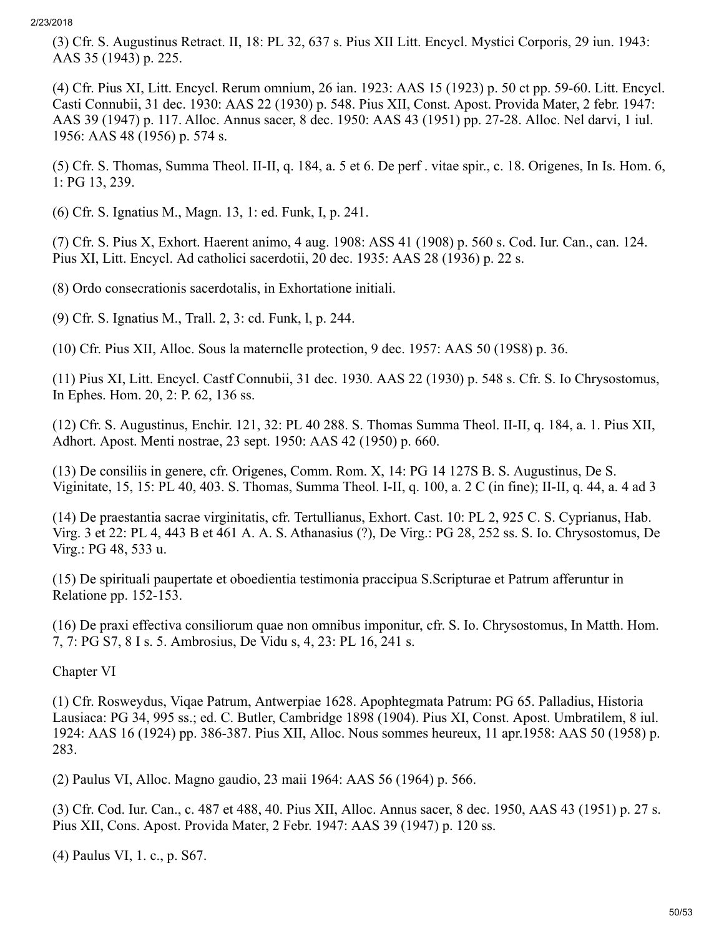(3) Cfr. S. Augustinus Retract. II, 18: PL 32, 637 s. Pius XII Litt. Encycl. Mystici Corporis, 29 iun. 1943: AAS 35 (1943) p. 225.

(4) Cfr. Pius XI, Litt. Encycl. Rerum omnium, 26 ian. 1923: AAS 15 (1923) p. 50 ct pp. 59-60. Litt. Encycl. Casti Connubii, 31 dec. 1930: AAS 22 (1930) p. 548. Pius XII, Const. Apost. Provida Mater, 2 febr. 1947: AAS 39 (1947) p. 117. Alloc. Annus sacer, 8 dec. 1950: AAS 43 (1951) pp. 27-28. Alloc. Nel darvi, 1 iul. 1956: AAS 48 (1956) p. 574 s.

(5) Cfr. S. Thomas, Summa Theol. II-II, q. 184, a. 5 et 6. De perf . vitae spir., c. 18. Origenes, In Is. Hom. 6, 1: PG 13, 239.

(6) Cfr. S. Ignatius M., Magn. 13, 1: ed. Funk, I, p. 241.

(7) Cfr. S. Pius X, Exhort. Haerent animo, 4 aug. 1908: ASS 41 (1908) p. 560 s. Cod. Iur. Can., can. 124. Pius XI, Litt. Encycl. Ad catholici sacerdotii, 20 dec. 1935: AAS 28 (1936) p. 22 s.

(8) Ordo consecrationis sacerdotalis, in Exhortatione initiali.

(9) Cfr. S. Ignatius M., Trall. 2, 3: cd. Funk, l, p. 244.

(10) Cfr. Pius XII, Alloc. Sous la maternclle protection, 9 dec. 1957: AAS 50 (19S8) p. 36.

(11) Pius XI, Litt. Encycl. Castf Connubii, 31 dec. 1930. AAS 22 (1930) p. 548 s. Cfr. S. Io Chrysostomus, In Ephes. Hom. 20, 2: P. 62, 136 ss.

(12) Cfr. S. Augustinus, Enchir. 121, 32: PL 40 288. S. Thomas Summa Theol. II-II, q. 184, a. 1. Pius XII, Adhort. Apost. Menti nostrae, 23 sept. 1950: AAS 42 (1950) p. 660.

(13) De consiliis in genere, cfr. Origenes, Comm. Rom. X, 14: PG 14 127S B. S. Augustinus, De S. Viginitate, 15, 15: PL 40, 403. S. Thomas, Summa Theol. I-II, q. 100, a. 2 C (in fine); II-II, q. 44, a. 4 ad 3

(14) De praestantia sacrae virginitatis, cfr. Tertullianus, Exhort. Cast. 10: PL 2, 925 C. S. Cyprianus, Hab. Virg. 3 et 22: PL 4, 443 B et 461 A. A. S. Athanasius (?), De Virg.: PG 28, 252 ss. S. Io. Chrysostomus, De Virg.: PG 48, 533 u.

(15) De spirituali paupertate et oboedientia testimonia praccipua S.Scripturae et Patrum afferuntur in Relatione pp. 152-153.

(16) De praxi effectiva consiliorum quae non omnibus imponitur, cfr. S. Io. Chrysostomus, In Matth. Hom. 7, 7: PG S7, 8 I s. 5. Ambrosius, De Vidu s, 4, 23: PL 16, 241 s.

Chapter VI

(1) Cfr. Rosweydus, Viqae Patrum, Antwerpiae 1628. Apophtegmata Patrum: PG 65. Palladius, Historia Lausiaca: PG 34, 995 ss.; ed. C. Butler, Cambridge 1898 (1904). Pius XI, Const. Apost. Umbratilem, 8 iul. 1924: AAS 16 (1924) pp. 386-387. Pius XII, Alloc. Nous sommes heureux, 11 apr.1958: AAS 50 (1958) p. 283.

(2) Paulus VI, Alloc. Magno gaudio, 23 maii 1964: AAS 56 (1964) p. 566.

(3) Cfr. Cod. Iur. Can., c. 487 et 488, 40. Pius XII, Alloc. Annus sacer, 8 dec. 1950, AAS 43 (1951) p. 27 s. Pius XII, Cons. Apost. Provida Mater, 2 Febr. 1947: AAS 39 (1947) p. 120 ss.

(4) Paulus VI, 1. c., p. S67.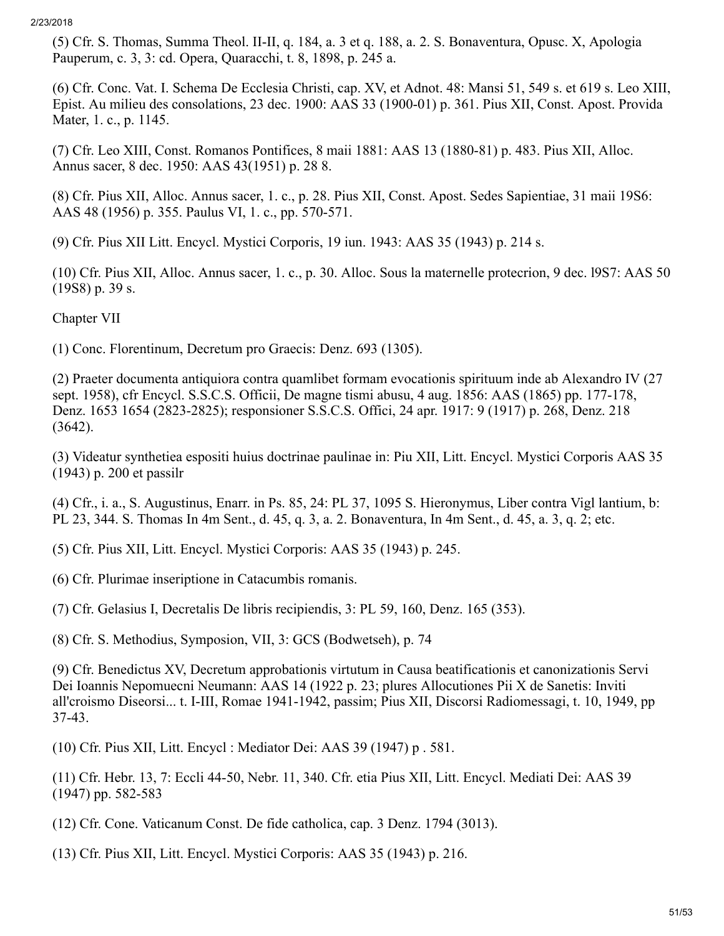(5) Cfr. S. Thomas, Summa Theol. II-II, q. 184, a. 3 et q. 188, a. 2. S. Bonaventura, Opusc. X, Apologia Pauperum, c. 3, 3: cd. Opera, Quaracchi, t. 8, 1898, p. 245 a.

(6) Cfr. Conc. Vat. I. Schema De Ecclesia Christi, cap. XV, et Adnot. 48: Mansi 51, 549 s. et 619 s. Leo XIII, Epist. Au milieu des consolations, 23 dec. 1900: AAS 33 (1900-01) p. 361. Pius XII, Const. Apost. Provida Mater, 1. c., p. 1145.

(7) Cfr. Leo XIII, Const. Romanos Pontifices, 8 maii 1881: AAS 13 (1880-81) p. 483. Pius XII, Alloc. Annus sacer, 8 dec. 1950: AAS 43(1951) p. 28 8.

(8) Cfr. Pius XII, Alloc. Annus sacer, 1. c., p. 28. Pius XII, Const. Apost. Sedes Sapientiae, 31 maii 19S6: AAS 48 (1956) p. 355. Paulus VI, 1. c., pp. 570-571.

(9) Cfr. Pius XII Litt. Encycl. Mystici Corporis, 19 iun. 1943: AAS 35 (1943) p. 214 s.

(10) Cfr. Pius XII, Alloc. Annus sacer, 1. c., p. 30. Alloc. Sous la maternelle protecrion, 9 dec. l9S7: AAS 50 (19S8) p. 39 s.

Chapter VII

(1) Conc. Florentinum, Decretum pro Graecis: Denz. 693 (1305).

(2) Praeter documenta antiquiora contra quamlibet formam evocationis spirituum inde ab Alexandro IV (27 sept. 1958), cfr Encycl. S.S.C.S. Officii, De magne tismi abusu, 4 aug. 1856: AAS (1865) pp. 177-178, Denz. 1653 1654 (2823-2825); responsioner S.S.C.S. Offici, 24 apr. 1917: 9 (1917) p. 268, Denz. 218 (3642).

(3) Videatur synthetiea espositi huius doctrinae paulinae in: Piu XII, Litt. Encycl. Mystici Corporis AAS 35 (1943) p. 200 et passilr

(4) Cfr., i. a., S. Augustinus, Enarr. in Ps. 85, 24: PL 37, 1095 S. Hieronymus, Liber contra Vigl lantium, b: PL 23, 344. S. Thomas In 4m Sent., d. 45, q. 3, a. 2. Bonaventura, In 4m Sent., d. 45, a. 3, q. 2; etc.

- (5) Cfr. Pius XII, Litt. Encycl. Mystici Corporis: AAS 35 (1943) p. 245.
- (6) Cfr. Plurimae inseriptione in Catacumbis romanis.

(7) Cfr. Gelasius I, Decretalis De libris recipiendis, 3: PL 59, 160, Denz. 165 (353).

(8) Cfr. S. Methodius, Symposion, VII, 3: GCS (Bodwetseh), p. 74

(9) Cfr. Benedictus XV, Decretum approbationis virtutum in Causa beatificationis et canonizationis Servi Dei Ioannis Nepomuecni Neumann: AAS 14 (1922 p. 23; plures Allocutiones Pii X de Sanetis: Inviti all'croismo Diseorsi... t. I-III, Romae 1941-1942, passim; Pius XII, Discorsi Radiomessagi, t. 10, 1949, pp 37-43.

(10) Cfr. Pius XII, Litt. Encycl : Mediator Dei: AAS 39 (1947) p . 581.

(11) Cfr. Hebr. 13, 7: Eccli 44-50, Nebr. 11, 340. Cfr. etia Pius XII, Litt. Encycl. Mediati Dei: AAS 39 (1947) pp. 582-583

(12) Cfr. Cone. Vaticanum Const. De fide catholica, cap. 3 Denz. 1794 (3013).

(13) Cfr. Pius XII, Litt. Encycl. Mystici Corporis: AAS 35 (1943) p. 216.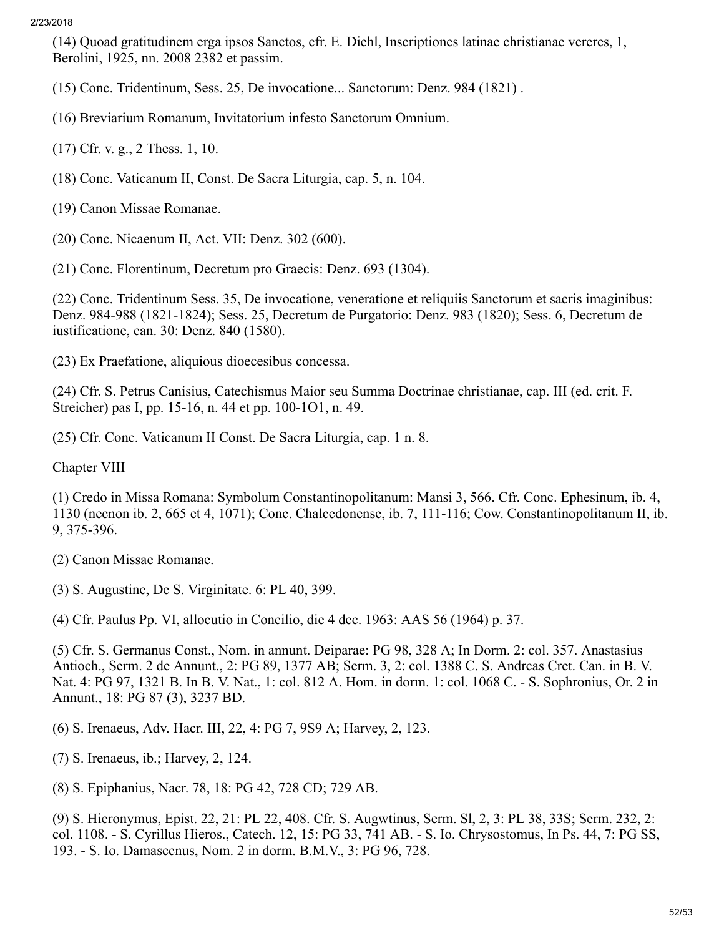(14) Quoad gratitudinem erga ipsos Sanctos, cfr. E. Diehl, Inscriptiones latinae christianae vereres, 1, Berolini, 1925, nn. 2008 2382 et passim.

(15) Conc. Tridentinum, Sess. 25, De invocatione... Sanctorum: Denz. 984 (1821) .

(16) Breviarium Romanum, Invitatorium infesto Sanctorum Omnium.

(17) Cfr. v. g., 2 Thess. 1, 10.

(18) Conc. Vaticanum II, Const. De Sacra Liturgia, cap. 5, n. 104.

(19) Canon Missae Romanae.

(20) Conc. Nicaenum II, Act. VII: Denz. 302 (600).

(21) Conc. Florentinum, Decretum pro Graecis: Denz. 693 (1304).

(22) Conc. Tridentinum Sess. 35, De invocatione, veneratione et reliquiis Sanctorum et sacris imaginibus: Denz. 984-988 (1821-1824); Sess. 25, Decretum de Purgatorio: Denz. 983 (1820); Sess. 6, Decretum de iustificatione, can. 30: Denz. 840 (1580).

(23) Ex Praefatione, aliquious dioecesibus concessa.

(24) Cfr. S. Petrus Canisius, Catechismus Maior seu Summa Doctrinae christianae, cap. III (ed. crit. F. Streicher) pas I, pp. 15-16, n. 44 et pp. 100-1O1, n. 49.

(25) Cfr. Conc. Vaticanum II Const. De Sacra Liturgia, cap. 1 n. 8.

Chapter VIII

(1) Credo in Missa Romana: Symbolum Constantinopolitanum: Mansi 3, 566. Cfr. Conc. Ephesinum, ib. 4, 1130 (necnon ib. 2, 665 et 4, 1071); Conc. Chalcedonense, ib. 7, 111-116; Cow. Constantinopolitanum II, ib. 9, 375-396.

(2) Canon Missae Romanae.

(3) S. Augustine, De S. Virginitate. 6: PL 40, 399.

(4) Cfr. Paulus Pp. VI, allocutio in Concilio, die 4 dec. 1963: AAS 56 (1964) p. 37.

(5) Cfr. S. Germanus Const., Nom. in annunt. Deiparae: PG 98, 328 A; In Dorm. 2: col. 357. Anastasius Antioch., Serm. 2 de Annunt., 2: PG 89, 1377 AB; Serm. 3, 2: col. 1388 C. S. Andrcas Cret. Can. in B. V. Nat. 4: PG 97, 1321 B. In B. V. Nat., 1: col. 812 A. Hom. in dorm. 1: col. 1068 C. - S. Sophronius, Or. 2 in Annunt., 18: PG 87 (3), 3237 BD.

(6) S. Irenaeus, Adv. Hacr. III, 22, 4: PG 7, 9S9 A; Harvey, 2, 123.

(7) S. Irenaeus, ib.; Harvey, 2, 124.

(8) S. Epiphanius, Nacr. 78, 18: PG 42, 728 CD; 729 AB.

(9) S. Hieronymus, Epist. 22, 21: PL 22, 408. Cfr. S. Augwtinus, Serm. Sl, 2, 3: PL 38, 33S; Serm. 232, 2: col. 1108. - S. Cyrillus Hieros., Catech. 12, 15: PG 33, 741 AB. - S. Io. Chrysostomus, In Ps. 44, 7: PG SS, 193. - S. Io. Damasccnus, Nom. 2 in dorm. B.M.V., 3: PG 96, 728.